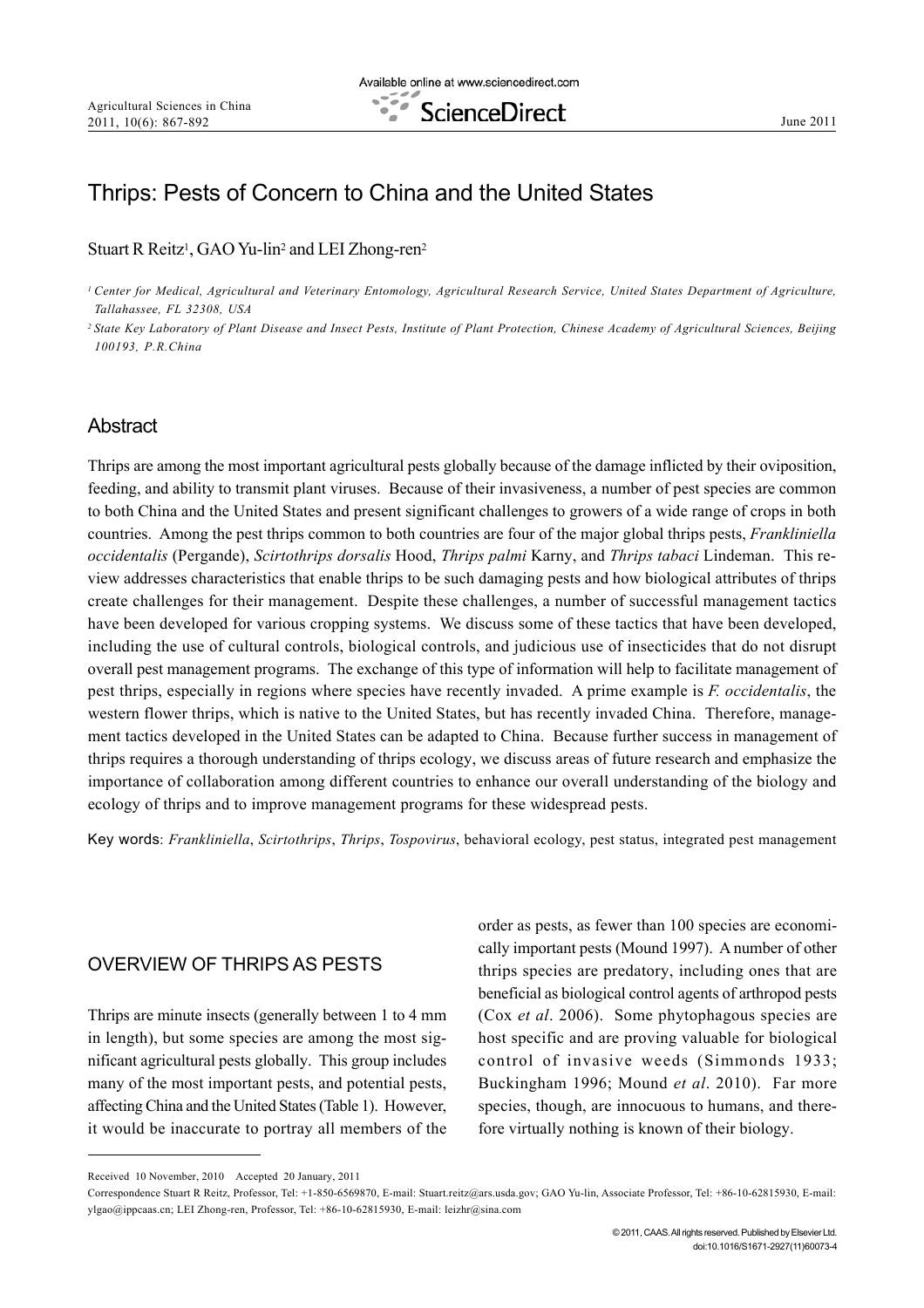# Thrips: Pests of Concern to China and the United States

### Stuart R Reitz<sup>1</sup>, GAO Yu-lin<sup>2</sup> and LEI Zhong-ren<sup>2</sup>

*<sup>2</sup> State Key Laboratory of Plant Disease and Insect Pests, Institute of Plant Protection, Chinese Academy of Agricultural Sciences, Beijing 100193, P.R.China*

### **Abstract**

Thrips are among the most important agricultural pests globally because of the damage inflicted by their oviposition, feeding, and ability to transmit plant viruses. Because of their invasiveness, a number of pest species are common to both China and the United States and present significant challenges to growers of a wide range of crops in both countries. Among the pest thrips common to both countries are four of the major global thrips pests, *Frankliniella occidentalis* (Pergande), *Scirtothrips dorsalis* Hood, *Thrips palmi* Karny, and *Thrips tabaci* Lindeman. This review addresses characteristics that enable thrips to be such damaging pests and how biological attributes of thrips create challenges for their management. Despite these challenges, a number of successful management tactics have been developed for various cropping systems. We discuss some of these tactics that have been developed, including the use of cultural controls, biological controls, and judicious use of insecticides that do not disrupt overall pest management programs. The exchange of this type of information will help to facilitate management of pest thrips, especially in regions where species have recently invaded. A prime example is *F. occidentalis*, the western flower thrips, which is native to the United States, but has recently invaded China. Therefore, management tactics developed in the United States can be adapted to China. Because further success in management of thrips requires a thorough understanding of thrips ecology, we discuss areas of future research and emphasize the importance of collaboration among different countries to enhance our overall understanding of the biology and ecology of thrips and to improve management programs for these widespread pests.

Key words: *Frankliniella*, *Scirtothrips*, *Thrips*, *Tospovirus*, behavioral ecology, pest status, integrated pest management

### OVERVIEW OF THRIPS AS PESTS

Thrips are minute insects (generally between 1 to 4 mm in length), but some species are among the most significant agricultural pests globally. This group includes many of the most important pests, and potential pests, affecting China and the United States (Table 1). However, it would be inaccurate to portray all members of the

order as pests, as fewer than 100 species are economically important pests (Mound 1997). A number of other thrips species are predatory, including ones that are beneficial as biological control agents of arthropod pests (Cox *et al*. 2006). Some phytophagous species are host specific and are proving valuable for biological control of invasive weeds (Simmonds 1933; Buckingham 1996; Mound *et al*. 2010). Far more species, though, are innocuous to humans, and therefore virtually nothing is known of their biology.

*<sup>1</sup> Center for Medical, Agricultural and Veterinary Entomology, Agricultural Research Service, United States Department of Agriculture, Tallahassee, FL 32308, USA*

Received 10 November, 2010 Accepted 20 January, 2011

Correspondence Stuart R Reitz, Professor, Tel: +1-850-6569870, E-mail: Stuart.reitz@ars.usda.gov; GAO Yu-lin, Associate Professor, Tel: +86-10-62815930, E-mail: ylgao@ippcaas.cn; LEI Zhong-ren, Professor, Tel: +86-10-62815930, E-mail: leizhr@sina.com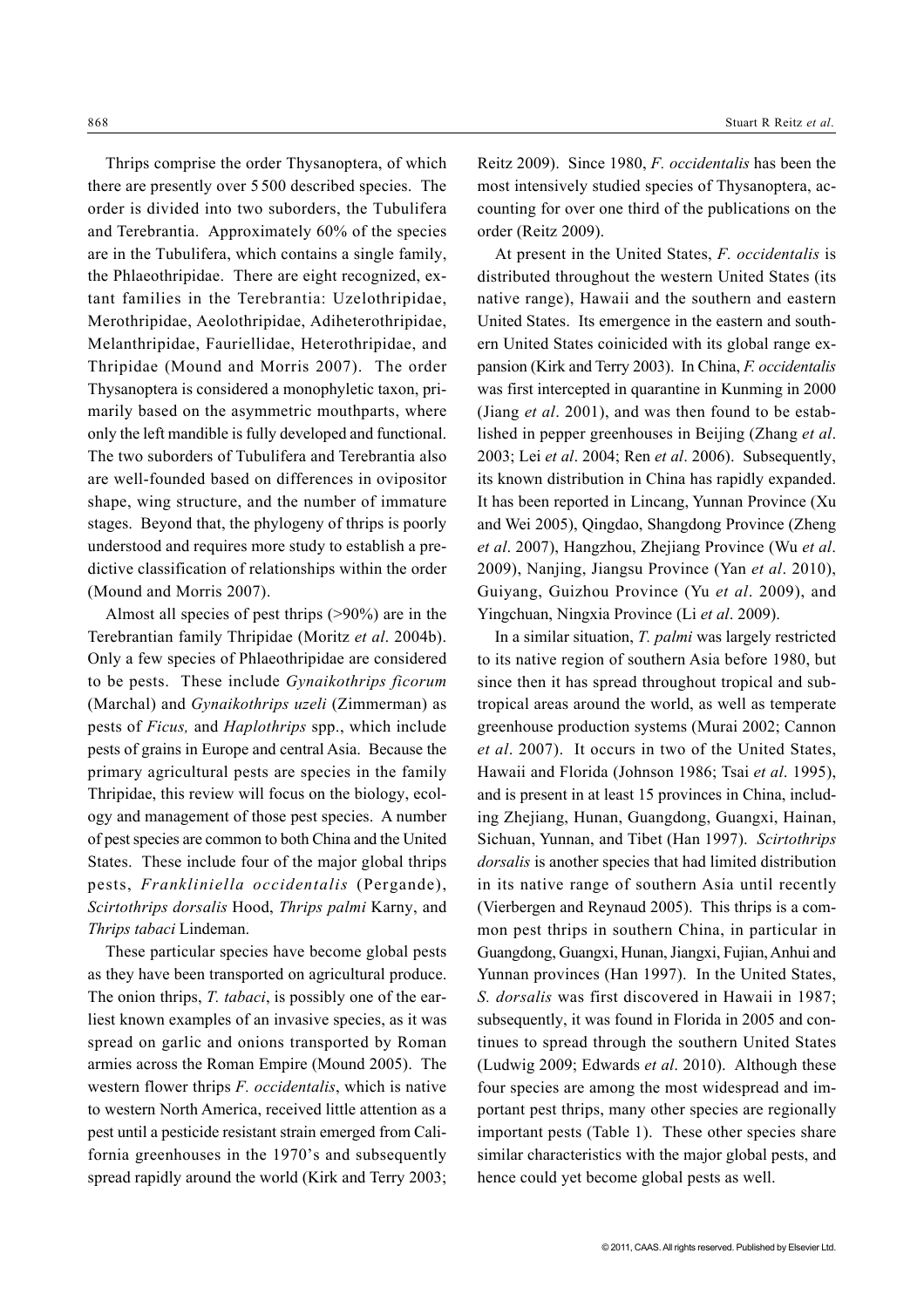Thrips comprise the order Thysanoptera, of which there are presently over 5 500 described species. The order is divided into two suborders, the Tubulifera and Terebrantia. Approximately 60% of the species are in the Tubulifera, which contains a single family, the Phlaeothripidae. There are eight recognized, extant families in the Terebrantia: Uzelothripidae, Merothripidae, Aeolothripidae, Adiheterothripidae, Melanthripidae, Fauriellidae, Heterothripidae, and Thripidae (Mound and Morris 2007). The order Thysanoptera is considered a monophyletic taxon, primarily based on the asymmetric mouthparts, where only the left mandible is fully developed and functional. The two suborders of Tubulifera and Terebrantia also are well-founded based on differences in ovipositor shape, wing structure, and the number of immature stages. Beyond that, the phylogeny of thrips is poorly understood and requires more study to establish a predictive classification of relationships within the order (Mound and Morris 2007).

Almost all species of pest thrips (>90%) are in the Terebrantian family Thripidae (Moritz *et al*. 2004b). Only a few species of Phlaeothripidae are considered to be pests. These include *Gynaikothrips ficorum* (Marchal) and *Gynaikothrips uzeli* (Zimmerman) as pests of *Ficus,* and *Haplothrips* spp., which include pests of grains in Europe and central Asia. Because the primary agricultural pests are species in the family Thripidae, this review will focus on the biology, ecology and management of those pest species. A number of pest species are common to both China and the United States. These include four of the major global thrips pests, *Frankliniella occidentalis* (Pergande), *Scirtothrips dorsalis* Hood, *Thrips palmi* Karny, and *Thrips tabaci* Lindeman.

These particular species have become global pests as they have been transported on agricultural produce. The onion thrips, *T. tabaci*, is possibly one of the earliest known examples of an invasive species, as it was spread on garlic and onions transported by Roman armies across the Roman Empire (Mound 2005). The western flower thrips *F. occidentalis*, which is native to western North America, received little attention as a pest until a pesticide resistant strain emerged from California greenhouses in the 1970's and subsequently spread rapidly around the world (Kirk and Terry 2003;

Reitz 2009). Since 1980, *F. occidentalis* has been the most intensively studied species of Thysanoptera, accounting for over one third of the publications on the order (Reitz 2009).

At present in the United States, *F. occidentalis* is distributed throughout the western United States (its native range), Hawaii and the southern and eastern United States. Its emergence in the eastern and southern United States coinicided with its global range expansion (Kirk and Terry 2003). In China, *F. occidentalis* was first intercepted in quarantine in Kunming in 2000 (Jiang *et al*. 2001), and was then found to be established in pepper greenhouses in Beijing (Zhang *et al*. 2003; Lei *et al*. 2004; Ren *et al*. 2006). Subsequently, its known distribution in China has rapidly expanded. It has been reported in Lincang, Yunnan Province (Xu and Wei 2005), Qingdao, Shangdong Province (Zheng *et al*. 2007), Hangzhou, Zhejiang Province (Wu *et al*. 2009), Nanjing, Jiangsu Province (Yan *et al*. 2010), Guiyang, Guizhou Province (Yu *et al*. 2009), and Yingchuan, Ningxia Province (Li *et al*. 2009).

In a similar situation, *T. palmi* was largely restricted to its native region of southern Asia before 1980, but since then it has spread throughout tropical and subtropical areas around the world, as well as temperate greenhouse production systems (Murai 2002; Cannon *et al*. 2007). It occurs in two of the United States, Hawaii and Florida (Johnson 1986; Tsai *et al*. 1995), and is present in at least 15 provinces in China, including Zhejiang, Hunan, Guangdong, Guangxi, Hainan, Sichuan, Yunnan, and Tibet (Han 1997). *Scirtothrips dorsalis* is another species that had limited distribution in its native range of southern Asia until recently (Vierbergen and Reynaud 2005). This thrips is a common pest thrips in southern China, in particular in Guangdong, Guangxi, Hunan, Jiangxi, Fujian, Anhui and Yunnan provinces (Han 1997). In the United States, *S. dorsalis* was first discovered in Hawaii in 1987; subsequently, it was found in Florida in 2005 and continues to spread through the southern United States (Ludwig 2009; Edwards *et al*. 2010). Although these four species are among the most widespread and important pest thrips, many other species are regionally important pests (Table 1). These other species share similar characteristics with the major global pests, and hence could yet become global pests as well.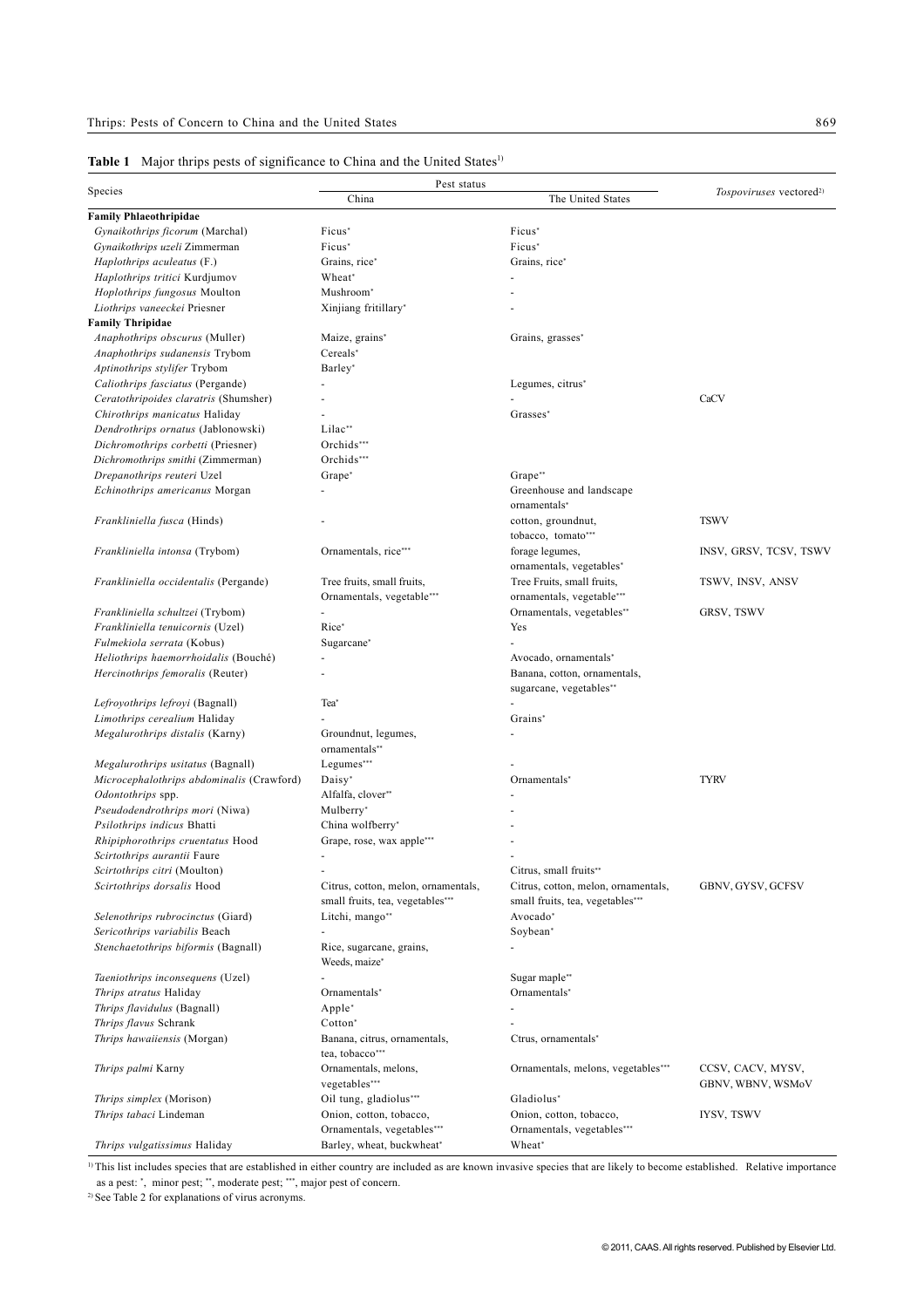Table 1 Major thrips pests of significance to China and the United States<sup>1)</sup>

|                                           | Pest status                         |                                     |                                     |
|-------------------------------------------|-------------------------------------|-------------------------------------|-------------------------------------|
| Species                                   | China                               | The United States                   | Tospoviruses vectored <sup>2)</sup> |
| <b>Family Phlaeothripidae</b>             |                                     |                                     |                                     |
| Gynaikothrips ficorum (Marchal)           | Ficus <sup>*</sup>                  | Ficus <sup>*</sup>                  |                                     |
| Gynaikothrips uzeli Zimmerman             | Ficus <sup>*</sup>                  | Ficus <sup>*</sup>                  |                                     |
| Haplothrips aculeatus (F.)                | Grains, rice*                       | Grains, rice*                       |                                     |
| Haplothrips tritici Kurdjumov             | Wheat*                              |                                     |                                     |
| Hoplothrips fungosus Moulton              | Mushroom <sup>*</sup>               |                                     |                                     |
| Liothrips vaneeckei Priesner              | Xinjiang fritillary*                |                                     |                                     |
| <b>Family Thripidae</b>                   |                                     |                                     |                                     |
| Anaphothrips obscurus (Muller)            | Maize, grains*                      | Grains, grasses*                    |                                     |
| Anaphothrips sudanensis Trybom            | Cereals*                            |                                     |                                     |
| Aptinothrips stylifer Trybom              | Barley*                             |                                     |                                     |
| Caliothrips fasciatus (Pergande)          |                                     | Legumes, citrus*                    |                                     |
| Ceratothripoides claratris (Shumsher)     |                                     |                                     | CaCV                                |
| Chirothrips manicatus Haliday             |                                     | Grasses*                            |                                     |
| Dendrothrips ornatus (Jablonowski)        | Lilac**                             |                                     |                                     |
| Dichromothrips corbetti (Priesner)        | Orchids***                          |                                     |                                     |
| Dichromothrips smithi (Zimmerman)         | Orchids***                          |                                     |                                     |
| Drepanothrips reuteri Uzel                | Grape*                              | Grape**                             |                                     |
| Echinothrips americanus Morgan            |                                     | Greenhouse and landscape            |                                     |
|                                           |                                     | ornamentals*                        |                                     |
|                                           |                                     |                                     |                                     |
| Frankliniella fusca (Hinds)               |                                     | cotton, groundnut,                  | <b>TSWV</b>                         |
|                                           |                                     | tobacco, tomato***                  |                                     |
| Frankliniella intonsa (Trybom)            | Ornamentals, rice***                | forage legumes,                     | INSV, GRSV, TCSV, TSWV              |
|                                           |                                     | ornamentals, vegetables*            |                                     |
| Frankliniella occidentalis (Pergande)     | Tree fruits, small fruits,          | Tree Fruits, small fruits,          | TSWV, INSV, ANSV                    |
|                                           | Ornamentals, vegetable***           | ornamentals, vegetable***           |                                     |
| Frankliniella schultzei (Trybom)          |                                     | Ornamentals, vegetables**           | <b>GRSV, TSWV</b>                   |
| Frankliniella tenuicornis (Uzel)          | Rice*                               | Yes                                 |                                     |
| Fulmekiola serrata (Kobus)                | Sugarcane*                          |                                     |                                     |
| Heliothrips haemorrhoidalis (Bouché)      |                                     | Avocado, ornamentals*               |                                     |
| Hercinothrips femoralis (Reuter)          |                                     | Banana, cotton, ornamentals,        |                                     |
|                                           |                                     | sugarcane, vegetables**             |                                     |
| Lefroyothrips lefroyi (Bagnall)           | Tea <sup>*</sup>                    |                                     |                                     |
| Limothrips cerealium Haliday              |                                     | Grains*                             |                                     |
| Megalurothrips distalis (Karny)           | Groundnut, legumes,                 |                                     |                                     |
|                                           | ornamentals**                       |                                     |                                     |
| Megalurothrips usitatus (Bagnall)         | Legumes***                          |                                     |                                     |
| Microcephalothrips abdominalis (Crawford) | Daisy*                              | Ornamentals*                        | <b>TYRV</b>                         |
| Odontothrips spp.                         | Alfalfa, clover**                   |                                     |                                     |
| Pseudodendrothrips mori (Niwa)            | Mulberry <sup>*</sup>               |                                     |                                     |
| Psilothrips indicus Bhatti                | China wolfberry*                    |                                     |                                     |
| Rhipiphorothrips cruentatus Hood          | Grape, rose, wax apple***           |                                     |                                     |
| Scirtothrips aurantii Faure               |                                     |                                     |                                     |
| <i>Scirtothrips citri</i> (Moulton)       |                                     | Citrus, small fruits**              |                                     |
| Scirtothrips dorsalis Hood                | Citrus, cotton, melon, ornamentals, | Citrus, cotton, melon, ornamentals, | GBNV, GYSV, GCFSV                   |
|                                           | small fruits, tea, vegetables***    | small fruits, tea, vegetables***    |                                     |
| Selenothrips rubrocinctus (Giard)         | Litchi, mango**                     | Avocado*                            |                                     |
| Sericothrips variabilis Beach             |                                     | Soybean*                            |                                     |
| Stenchaetothrips biformis (Bagnall)       | Rice, sugarcane, grains,            |                                     |                                     |
|                                           | Weeds, maize*                       |                                     |                                     |
| Taeniothrips inconsequens (Uzel)          |                                     | Sugar maple**                       |                                     |
| Thrips atratus Haliday                    | Ornamentals*                        | Ornamentals*                        |                                     |
| Thrips flavidulus (Bagnall)               | Apple*                              |                                     |                                     |
| Thrips flavus Schrank                     | Cotton*                             |                                     |                                     |
|                                           |                                     | Ctrus, ornamentals*                 |                                     |
| Thrips hawaiiensis (Morgan)               | Banana, citrus, ornamentals,        |                                     |                                     |
|                                           | tea, tobacco***                     |                                     |                                     |
| Thrips palmi Karny                        | Ornamentals, melons,                | Ornamentals, melons, vegetables***  | CCSV, CACV, MYSV,                   |
|                                           | vegetables***                       |                                     | GBNV, WBNV, WSMoV                   |
| <i>Thrips simplex</i> (Morison)           | Oil tung, gladiolus***              | Gladiolus*                          |                                     |
| Thrips tabaci Lindeman                    | Onion, cotton, tobacco,             | Onion, cotton, tobacco,             | IYSV, TSWV                          |
|                                           | Ornamentals, vegetables***          | Ornamentals, vegetables***          |                                     |
| Thrips vulgatissimus Haliday              | Barley, wheat, buckwheat*           | Wheat*                              |                                     |

<sup>1)</sup>This list includes species that are established in either country are included as are known invasive species that are likely to become established. Relative importance as a pest: \* , minor pest; \*\*, moderate pest; \*\*\*, major pest of concern.

2) See Table 2 for explanations of virus acronyms.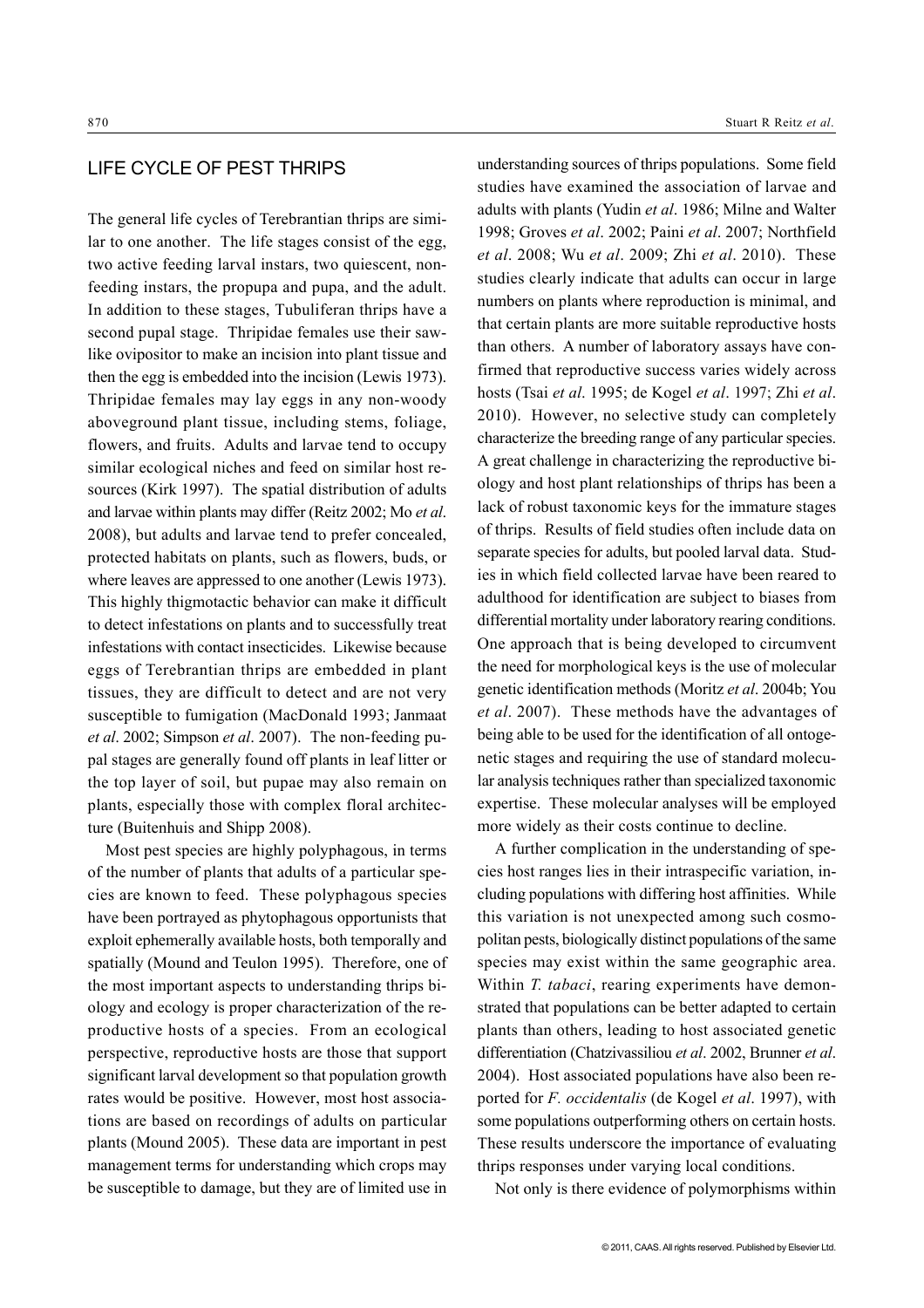### LIFE CYCLE OF PEST THRIPS

The general life cycles of Terebrantian thrips are similar to one another. The life stages consist of the egg, two active feeding larval instars, two quiescent, nonfeeding instars, the propupa and pupa, and the adult. In addition to these stages, Tubuliferan thrips have a second pupal stage. Thripidae females use their sawlike ovipositor to make an incision into plant tissue and then the egg is embedded into the incision (Lewis 1973). Thripidae females may lay eggs in any non-woody aboveground plant tissue, including stems, foliage, flowers, and fruits. Adults and larvae tend to occupy similar ecological niches and feed on similar host resources (Kirk 1997). The spatial distribution of adults and larvae within plants may differ (Reitz 2002; Mo *et al*. 2008), but adults and larvae tend to prefer concealed, protected habitats on plants, such as flowers, buds, or where leaves are appressed to one another (Lewis 1973). This highly thigmotactic behavior can make it difficult to detect infestations on plants and to successfully treat infestations with contact insecticides. Likewise because eggs of Terebrantian thrips are embedded in plant tissues, they are difficult to detect and are not very susceptible to fumigation (MacDonald 1993; Janmaat *et al*. 2002; Simpson *et al*. 2007). The non-feeding pupal stages are generally found off plants in leaf litter or the top layer of soil, but pupae may also remain on plants, especially those with complex floral architecture (Buitenhuis and Shipp 2008).

Most pest species are highly polyphagous, in terms of the number of plants that adults of a particular species are known to feed. These polyphagous species have been portrayed as phytophagous opportunists that exploit ephemerally available hosts, both temporally and spatially (Mound and Teulon 1995). Therefore, one of the most important aspects to understanding thrips biology and ecology is proper characterization of the reproductive hosts of a species. From an ecological perspective, reproductive hosts are those that support significant larval development so that population growth rates would be positive. However, most host associations are based on recordings of adults on particular plants (Mound 2005). These data are important in pest management terms for understanding which crops may be susceptible to damage, but they are of limited use in

understanding sources of thrips populations. Some field studies have examined the association of larvae and adults with plants (Yudin *et al*. 1986; Milne and Walter 1998; Groves *et al*. 2002; Paini *et al*. 2007; Northfield *et al*. 2008; Wu *et al*. 2009; Zhi *et al*. 2010). These studies clearly indicate that adults can occur in large numbers on plants where reproduction is minimal, and that certain plants are more suitable reproductive hosts than others. A number of laboratory assays have confirmed that reproductive success varies widely across hosts (Tsai *et al*. 1995; de Kogel *et al*. 1997; Zhi *et al*. 2010). However, no selective study can completely characterize the breeding range of any particular species. A great challenge in characterizing the reproductive biology and host plant relationships of thrips has been a lack of robust taxonomic keys for the immature stages of thrips. Results of field studies often include data on separate species for adults, but pooled larval data. Studies in which field collected larvae have been reared to adulthood for identification are subject to biases from differential mortality under laboratory rearing conditions. One approach that is being developed to circumvent the need for morphological keys is the use of molecular genetic identification methods (Moritz *et al*. 2004b; You *et al*. 2007). These methods have the advantages of being able to be used for the identification of all ontogenetic stages and requiring the use of standard molecular analysis techniques rather than specialized taxonomic expertise. These molecular analyses will be employed more widely as their costs continue to decline.

A further complication in the understanding of species host ranges lies in their intraspecific variation, including populations with differing host affinities. While this variation is not unexpected among such cosmopolitan pests, biologically distinct populations of the same species may exist within the same geographic area. Within *T. tabaci*, rearing experiments have demonstrated that populations can be better adapted to certain plants than others, leading to host associated genetic differentiation (Chatzivassiliou *et al*. 2002, Brunner *et al*. 2004). Host associated populations have also been reported for *F. occidentalis* (de Kogel *et al*. 1997), with some populations outperforming others on certain hosts. These results underscore the importance of evaluating thrips responses under varying local conditions.

Not only is there evidence of polymorphisms within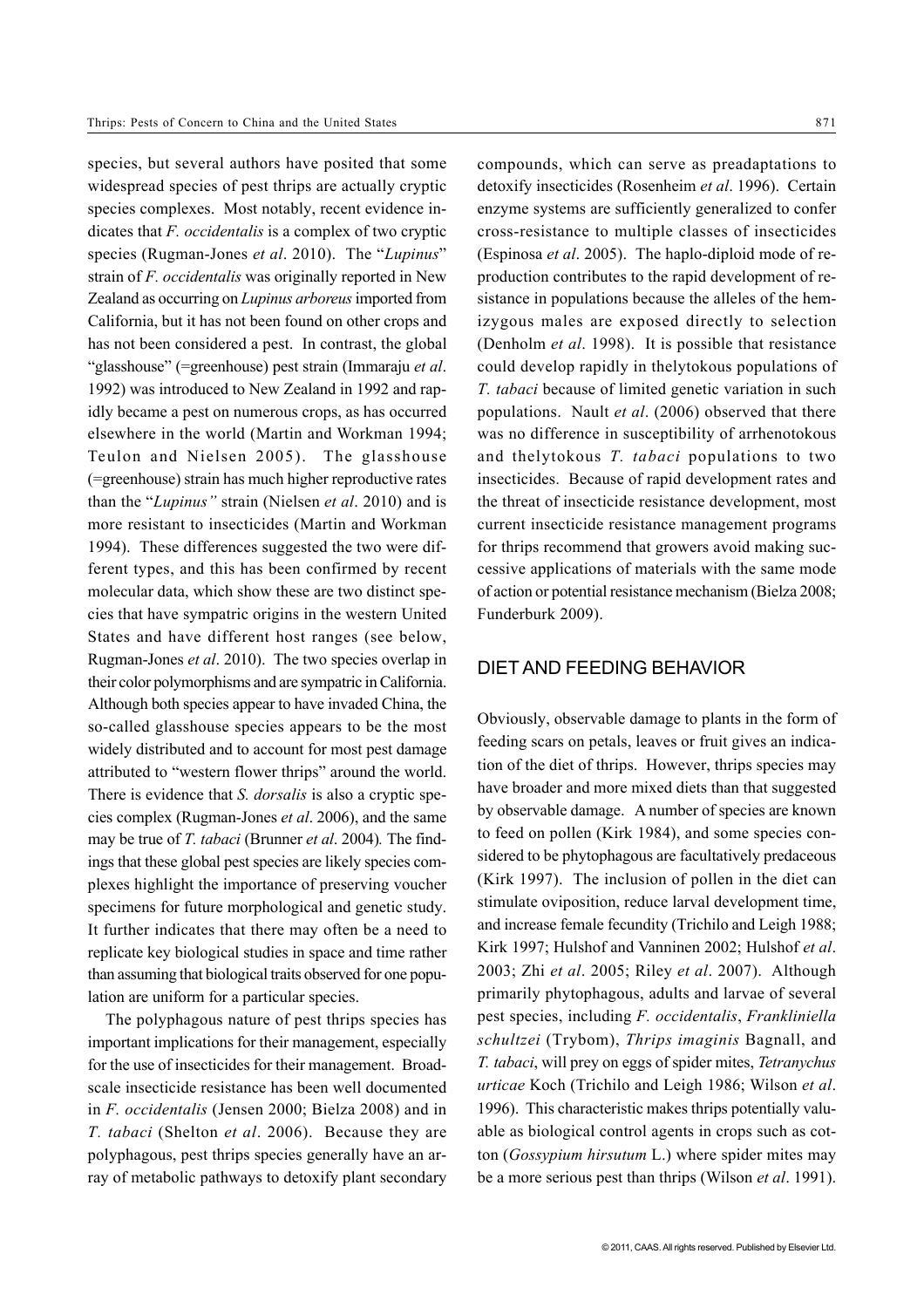species, but several authors have posited that some widespread species of pest thrips are actually cryptic species complexes. Most notably, recent evidence indicates that *F. occidentalis* is a complex of two cryptic species (Rugman-Jones *et al*. 2010). The "*Lupinus*" strain of *F. occidentalis* was originally reported in New Zealand as occurring on *Lupinus arboreus* imported from California, but it has not been found on other crops and has not been considered a pest. In contrast, the global "glasshouse" (=greenhouse) pest strain (Immaraju *et al*. 1992) was introduced to New Zealand in 1992 and rapidly became a pest on numerous crops, as has occurred elsewhere in the world (Martin and Workman 1994; Teulon and Nielsen 2005). The glasshouse (=greenhouse) strain has much higher reproductive rates than the "*Lupinus"* strain (Nielsen *et al*. 2010) and is more resistant to insecticides (Martin and Workman 1994). These differences suggested the two were different types, and this has been confirmed by recent molecular data, which show these are two distinct species that have sympatric origins in the western United States and have different host ranges (see below, Rugman-Jones *et al*. 2010). The two species overlap in their color polymorphisms and are sympatric in California. Although both species appear to have invaded China, the so-called glasshouse species appears to be the most widely distributed and to account for most pest damage attributed to "western flower thrips" around the world. There is evidence that *S. dorsalis* is also a cryptic species complex (Rugman-Jones *et al*. 2006), and the same may be true of *T. tabaci* (Brunner *et al*. 2004)*.* The findings that these global pest species are likely species complexes highlight the importance of preserving voucher specimens for future morphological and genetic study. It further indicates that there may often be a need to replicate key biological studies in space and time rather than assuming that biological traits observed for one population are uniform for a particular species.

The polyphagous nature of pest thrips species has important implications for their management, especially for the use of insecticides for their management. Broadscale insecticide resistance has been well documented in *F. occidentalis* (Jensen 2000; Bielza 2008) and in *T. tabaci* (Shelton *et al*. 2006). Because they are polyphagous, pest thrips species generally have an array of metabolic pathways to detoxify plant secondary compounds, which can serve as preadaptations to detoxify insecticides (Rosenheim *et al*. 1996). Certain enzyme systems are sufficiently generalized to confer cross-resistance to multiple classes of insecticides (Espinosa *et al*. 2005). The haplo-diploid mode of reproduction contributes to the rapid development of resistance in populations because the alleles of the hemizygous males are exposed directly to selection (Denholm *et al*. 1998). It is possible that resistance could develop rapidly in thelytokous populations of *T. tabaci* because of limited genetic variation in such populations. Nault *et al*. (2006) observed that there was no difference in susceptibility of arrhenotokous and thelytokous *T. tabaci* populations to two insecticides. Because of rapid development rates and the threat of insecticide resistance development, most current insecticide resistance management programs for thrips recommend that growers avoid making successive applications of materials with the same mode of action or potential resistance mechanism (Bielza 2008; Funderburk 2009).

#### DIET AND FEEDING BEHAVIOR

Obviously, observable damage to plants in the form of feeding scars on petals, leaves or fruit gives an indication of the diet of thrips. However, thrips species may have broader and more mixed diets than that suggested by observable damage. A number of species are known to feed on pollen (Kirk 1984), and some species considered to be phytophagous are facultatively predaceous (Kirk 1997). The inclusion of pollen in the diet can stimulate oviposition, reduce larval development time, and increase female fecundity (Trichilo and Leigh 1988; Kirk 1997; Hulshof and Vanninen 2002; Hulshof *et al*. 2003; Zhi *et al*. 2005; Riley *et al*. 2007). Although primarily phytophagous, adults and larvae of several pest species, including *F. occidentalis*, *Frankliniella schultzei* (Trybom), *Thrips imaginis* Bagnall, and *T. tabaci*, will prey on eggs of spider mites, *Tetranychus urticae* Koch (Trichilo and Leigh 1986; Wilson *et al*. 1996). This characteristic makes thrips potentially valuable as biological control agents in crops such as cotton (*Gossypium hirsutum* L.) where spider mites may be a more serious pest than thrips (Wilson *et al*. 1991).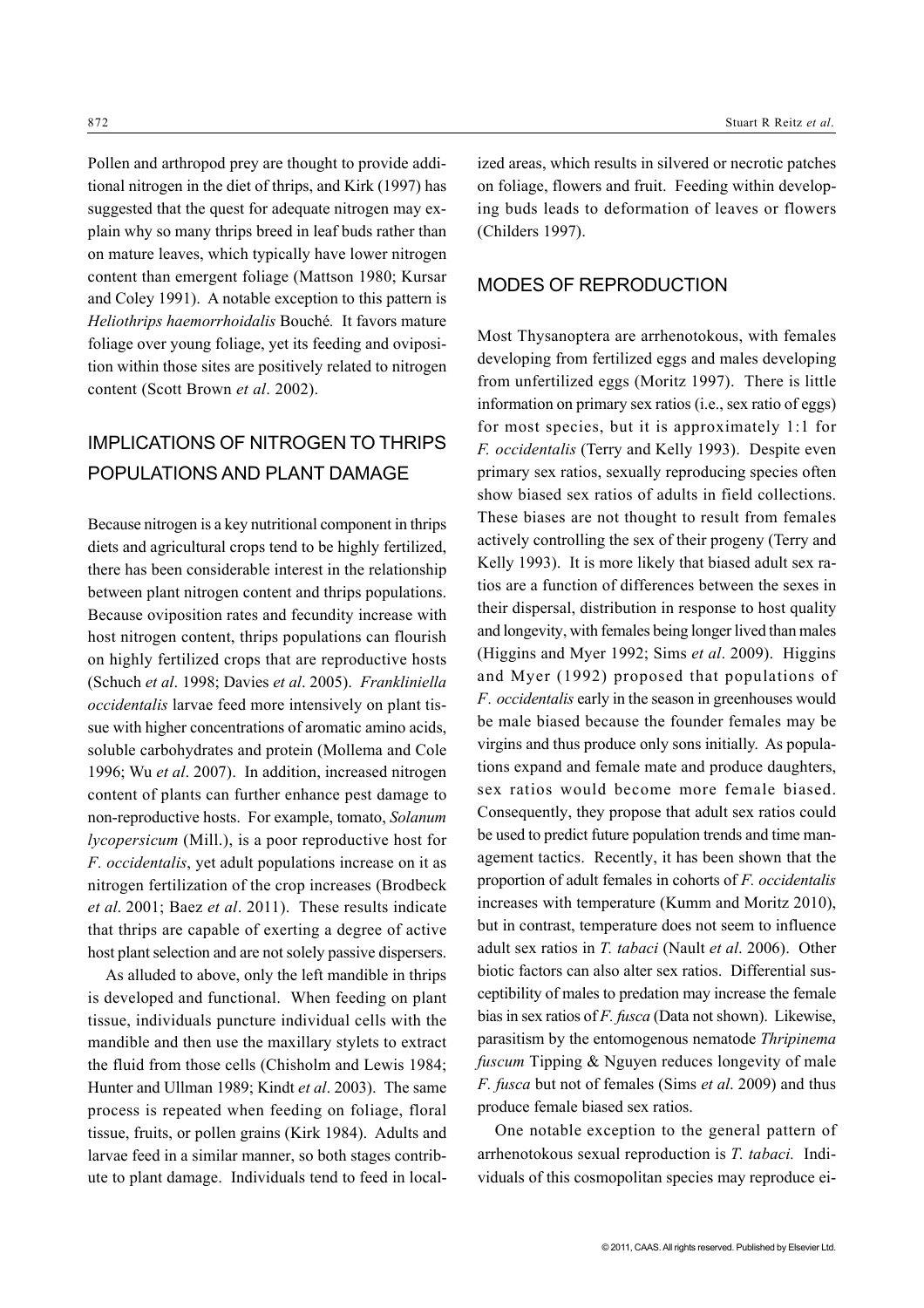Pollen and arthropod prey are thought to provide additional nitrogen in the diet of thrips, and Kirk (1997) has suggested that the quest for adequate nitrogen may explain why so many thrips breed in leaf buds rather than on mature leaves, which typically have lower nitrogen content than emergent foliage (Mattson 1980; Kursar and Coley 1991). A notable exception to this pattern is *Heliothrips haemorrhoidalis* Bouché*.* It favors mature foliage over young foliage, yet its feeding and oviposition within those sites are positively related to nitrogen content (Scott Brown *et al*. 2002).

## IMPLICATIONS OF NITROGEN TO THRIPS POPULATIONS AND PLANT DAMAGE

Because nitrogen is a key nutritional component in thrips diets and agricultural crops tend to be highly fertilized, there has been considerable interest in the relationship between plant nitrogen content and thrips populations. Because oviposition rates and fecundity increase with host nitrogen content, thrips populations can flourish on highly fertilized crops that are reproductive hosts (Schuch *et al*. 1998; Davies *et al*. 2005). *Frankliniella occidentalis* larvae feed more intensively on plant tissue with higher concentrations of aromatic amino acids, soluble carbohydrates and protein (Mollema and Cole 1996; Wu *et al*. 2007). In addition, increased nitrogen content of plants can further enhance pest damage to non-reproductive hosts. For example, tomato, *Solanum lycopersicum* (Mill.), is a poor reproductive host for *F. occidentalis*, yet adult populations increase on it as nitrogen fertilization of the crop increases (Brodbeck *et al*. 2001; Baez *et al*. 2011). These results indicate that thrips are capable of exerting a degree of active host plant selection and are not solely passive dispersers.

As alluded to above, only the left mandible in thrips is developed and functional. When feeding on plant tissue, individuals puncture individual cells with the mandible and then use the maxillary stylets to extract the fluid from those cells (Chisholm and Lewis 1984; Hunter and Ullman 1989; Kindt *et al*. 2003). The same process is repeated when feeding on foliage, floral tissue, fruits, or pollen grains (Kirk 1984). Adults and larvae feed in a similar manner, so both stages contribute to plant damage. Individuals tend to feed in localized areas, which results in silvered or necrotic patches on foliage, flowers and fruit. Feeding within developing buds leads to deformation of leaves or flowers (Childers 1997).

### MODES OF REPRODUCTION

Most Thysanoptera are arrhenotokous, with females developing from fertilized eggs and males developing from unfertilized eggs (Moritz 1997). There is little information on primary sex ratios (i.e., sex ratio of eggs) for most species, but it is approximately 1:1 for *F. occidentalis* (Terry and Kelly 1993). Despite even primary sex ratios, sexually reproducing species often show biased sex ratios of adults in field collections. These biases are not thought to result from females actively controlling the sex of their progeny (Terry and Kelly 1993). It is more likely that biased adult sex ratios are a function of differences between the sexes in their dispersal, distribution in response to host quality and longevity, with females being longer lived than males (Higgins and Myer 1992; Sims *et al*. 2009). Higgins and Myer (1992) proposed that populations of *F. occidentalis* early in the season in greenhouses would be male biased because the founder females may be virgins and thus produce only sons initially. As populations expand and female mate and produce daughters, sex ratios would become more female biased. Consequently, they propose that adult sex ratios could be used to predict future population trends and time management tactics. Recently, it has been shown that the proportion of adult females in cohorts of *F. occidentalis* increases with temperature (Kumm and Moritz 2010), but in contrast, temperature does not seem to influence adult sex ratios in *T. tabaci* (Nault *et al*. 2006). Other biotic factors can also alter sex ratios. Differential susceptibility of males to predation may increase the female bias in sex ratios of *F. fusca* (Data not shown). Likewise, parasitism by the entomogenous nematode *Thripinema fuscum* Tipping & Nguyen reduces longevity of male *F. fusca* but not of females (Sims *et al*. 2009) and thus produce female biased sex ratios.

One notable exception to the general pattern of arrhenotokous sexual reproduction is *T. tabaci.* Individuals of this cosmopolitan species may reproduce ei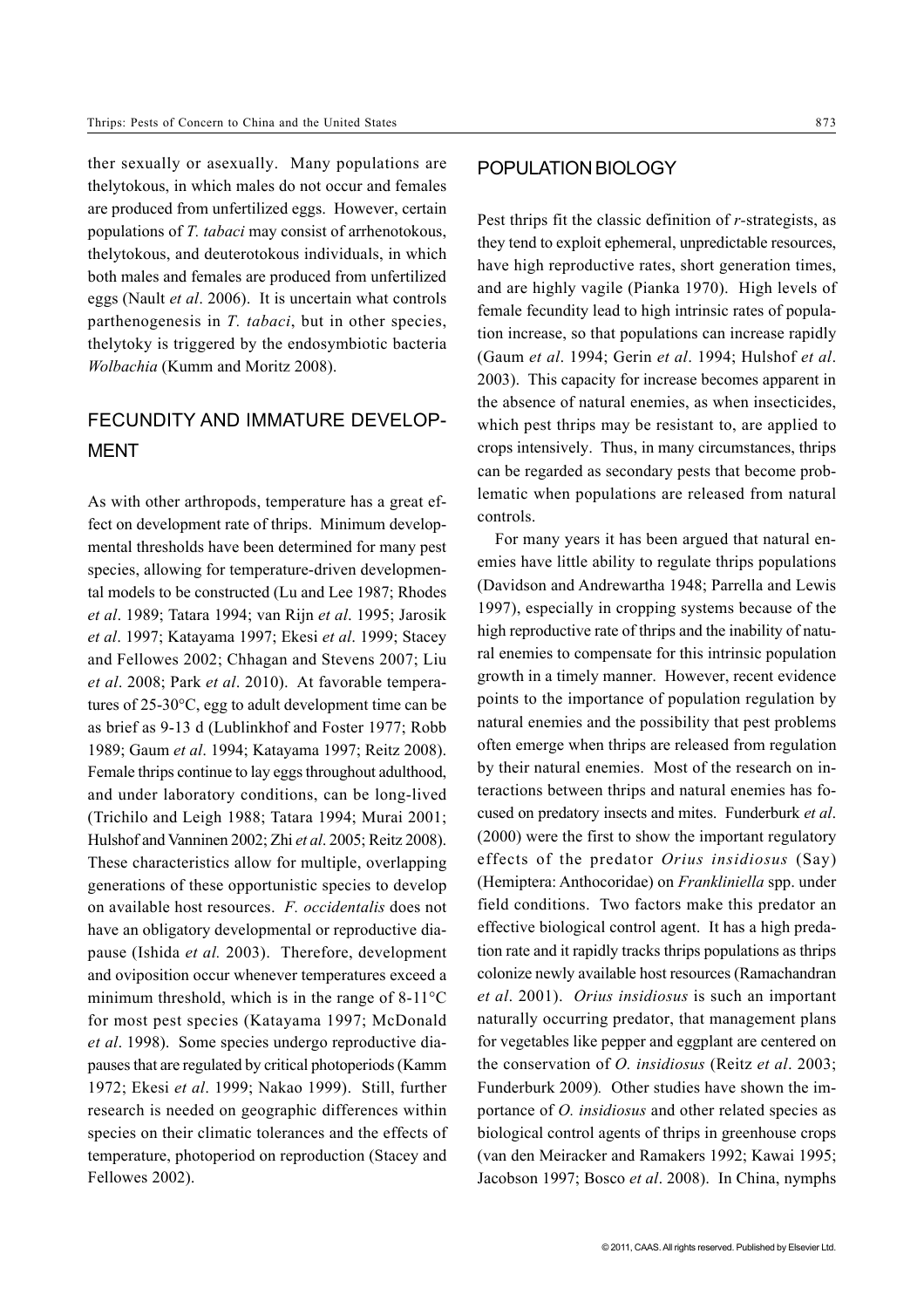ther sexually or asexually. Many populations are thelytokous, in which males do not occur and females are produced from unfertilized eggs. However, certain populations of *T. tabaci* may consist of arrhenotokous, thelytokous, and deuterotokous individuals, in which both males and females are produced from unfertilized eggs (Nault *et al*. 2006). It is uncertain what controls parthenogenesis in *T. tabaci*, but in other species, thelytoky is triggered by the endosymbiotic bacteria *Wolbachia* (Kumm and Moritz 2008).

## FECUNDITY AND IMMATURE DEVELOP-MENT

As with other arthropods, temperature has a great effect on development rate of thrips. Minimum developmental thresholds have been determined for many pest species, allowing for temperature-driven developmental models to be constructed (Lu and Lee 1987; Rhodes *et al*. 1989; Tatara 1994; van Rijn *et al*. 1995; Jarosik *et al*. 1997; Katayama 1997; Ekesi *et al*. 1999; Stacey and Fellowes 2002; Chhagan and Stevens 2007; Liu *et al*. 2008; Park *et al*. 2010). At favorable temperatures of 25-30°C, egg to adult development time can be as brief as 9-13 d (Lublinkhof and Foster 1977; Robb 1989; Gaum *et al*. 1994; Katayama 1997; Reitz 2008). Female thrips continue to lay eggs throughout adulthood, and under laboratory conditions, can be long-lived (Trichilo and Leigh 1988; Tatara 1994; Murai 2001; Hulshof and Vanninen 2002; Zhi *et al*. 2005; Reitz 2008). These characteristics allow for multiple, overlapping generations of these opportunistic species to develop on available host resources. *F. occidentalis* does not have an obligatory developmental or reproductive diapause (Ishida *et al.* 2003). Therefore, development and oviposition occur whenever temperatures exceed a minimum threshold, which is in the range of 8-11°C for most pest species (Katayama 1997; McDonald *et al*. 1998). Some species undergo reproductive diapauses that are regulated by critical photoperiods (Kamm 1972; Ekesi *et al*. 1999; Nakao 1999). Still, further research is needed on geographic differences within species on their climatic tolerances and the effects of temperature, photoperiod on reproduction (Stacey and Fellowes 2002).

#### POPULATION BIOLOGY

Pest thrips fit the classic definition of *r-*strategists, as they tend to exploit ephemeral, unpredictable resources, have high reproductive rates, short generation times, and are highly vagile (Pianka 1970). High levels of female fecundity lead to high intrinsic rates of population increase, so that populations can increase rapidly (Gaum *et al*. 1994; Gerin *et al*. 1994; Hulshof *et al*. 2003). This capacity for increase becomes apparent in the absence of natural enemies, as when insecticides, which pest thrips may be resistant to, are applied to crops intensively. Thus, in many circumstances, thrips can be regarded as secondary pests that become problematic when populations are released from natural controls.

For many years it has been argued that natural enemies have little ability to regulate thrips populations (Davidson and Andrewartha 1948; Parrella and Lewis 1997), especially in cropping systems because of the high reproductive rate of thrips and the inability of natural enemies to compensate for this intrinsic population growth in a timely manner. However, recent evidence points to the importance of population regulation by natural enemies and the possibility that pest problems often emerge when thrips are released from regulation by their natural enemies. Most of the research on interactions between thrips and natural enemies has focused on predatory insects and mites. Funderburk *et al*. (2000) were the first to show the important regulatory effects of the predator *Orius insidiosus* (Say) (Hemiptera: Anthocoridae) on *Frankliniella* spp. under field conditions. Two factors make this predator an effective biological control agent. It has a high predation rate and it rapidly tracks thrips populations as thrips colonize newly available host resources (Ramachandran *et al*. 2001). *Orius insidiosus* is such an important naturally occurring predator, that management plans for vegetables like pepper and eggplant are centered on the conservation of *O. insidiosus* (Reitz *et al*. 2003; Funderburk 2009)*.* Other studies have shown the importance of *O. insidiosus* and other related species as biological control agents of thrips in greenhouse crops (van den Meiracker and Ramakers 1992; Kawai 1995; Jacobson 1997; Bosco *et al*. 2008). In China, nymphs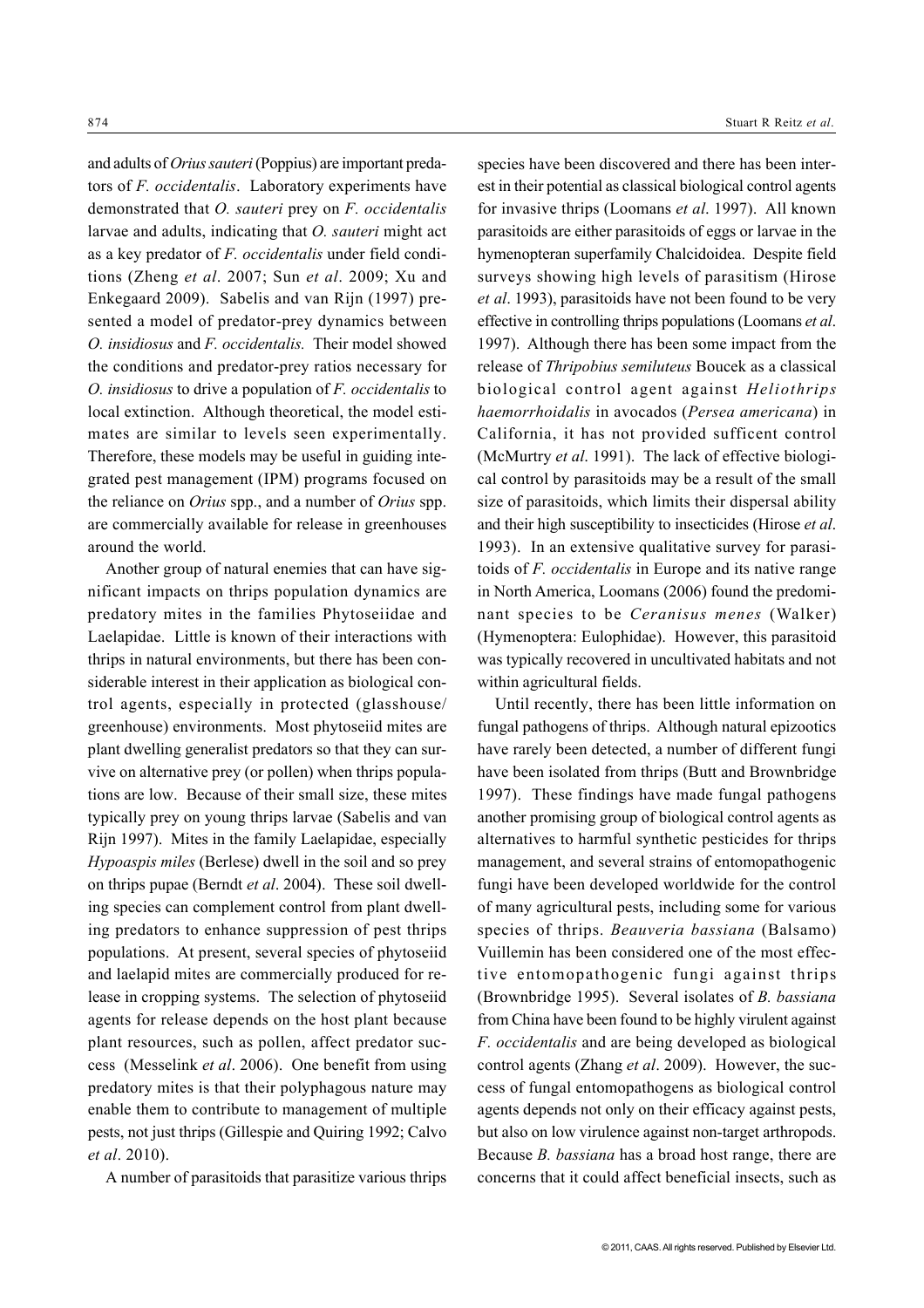and adults of *Orius sauteri* (Poppius) are important predators of *F. occidentalis*. Laboratory experiments have demonstrated that *O. sauteri* prey on *F. occidentalis* larvae and adults, indicating that *O. sauteri* might act as a key predator of *F. occidentalis* under field conditions (Zheng *et al*. 2007; Sun *et al*. 2009; Xu and Enkegaard 2009). Sabelis and van Rijn (1997) presented a model of predator-prey dynamics between *O. insidiosus* and *F. occidentalis.* Their model showed the conditions and predator-prey ratios necessary for *O. insidiosus* to drive a population of *F. occidentalis* to local extinction. Although theoretical, the model estimates are similar to levels seen experimentally. Therefore, these models may be useful in guiding integrated pest management (IPM) programs focused on the reliance on *Orius* spp., and a number of *Orius* spp. are commercially available for release in greenhouses around the world.

Another group of natural enemies that can have significant impacts on thrips population dynamics are predatory mites in the families Phytoseiidae and Laelapidae. Little is known of their interactions with thrips in natural environments, but there has been considerable interest in their application as biological control agents, especially in protected (glasshouse/ greenhouse) environments. Most phytoseiid mites are plant dwelling generalist predators so that they can survive on alternative prey (or pollen) when thrips populations are low. Because of their small size, these mites typically prey on young thrips larvae (Sabelis and van Rijn 1997). Mites in the family Laelapidae, especially *Hypoaspis miles* (Berlese) dwell in the soil and so prey on thrips pupae (Berndt *et al*. 2004). These soil dwelling species can complement control from plant dwelling predators to enhance suppression of pest thrips populations. At present, several species of phytoseiid and laelapid mites are commercially produced for release in cropping systems. The selection of phytoseiid agents for release depends on the host plant because plant resources, such as pollen, affect predator success (Messelink *et al*. 2006). One benefit from using predatory mites is that their polyphagous nature may enable them to contribute to management of multiple pests, not just thrips (Gillespie and Quiring 1992; Calvo *et al*. 2010).

A number of parasitoids that parasitize various thrips

species have been discovered and there has been interest in their potential as classical biological control agents for invasive thrips (Loomans *et al*. 1997). All known parasitoids are either parasitoids of eggs or larvae in the hymenopteran superfamily Chalcidoidea. Despite field surveys showing high levels of parasitism (Hirose *et al*. 1993), parasitoids have not been found to be very effective in controlling thrips populations (Loomans *et al*. 1997). Although there has been some impact from the release of *Thripobius semiluteus* Boucek as a classical biological control agent against *Heliothrips haemorrhoidalis* in avocados (*Persea americana*) in California, it has not provided sufficent control (McMurtry *et al*. 1991). The lack of effective biological control by parasitoids may be a result of the small size of parasitoids, which limits their dispersal ability and their high susceptibility to insecticides (Hirose *et al*. 1993). In an extensive qualitative survey for parasitoids of *F. occidentalis* in Europe and its native range in North America, Loomans (2006) found the predominant species to be *Ceranisus menes* (Walker) (Hymenoptera: Eulophidae). However, this parasitoid was typically recovered in uncultivated habitats and not within agricultural fields.

Until recently, there has been little information on fungal pathogens of thrips. Although natural epizootics have rarely been detected, a number of different fungi have been isolated from thrips (Butt and Brownbridge 1997). These findings have made fungal pathogens another promising group of biological control agents as alternatives to harmful synthetic pesticides for thrips management, and several strains of entomopathogenic fungi have been developed worldwide for the control of many agricultural pests, including some for various species of thrips. *Beauveria bassiana* (Balsamo) Vuillemin has been considered one of the most effective entomopathogenic fungi against thrips (Brownbridge 1995). Several isolates of *B. bassiana* from China have been found to be highly virulent against *F. occidentalis* and are being developed as biological control agents (Zhang *et al*. 2009). However, the success of fungal entomopathogens as biological control agents depends not only on their efficacy against pests, but also on low virulence against non-target arthropods. Because *B. bassiana* has a broad host range, there are concerns that it could affect beneficial insects, such as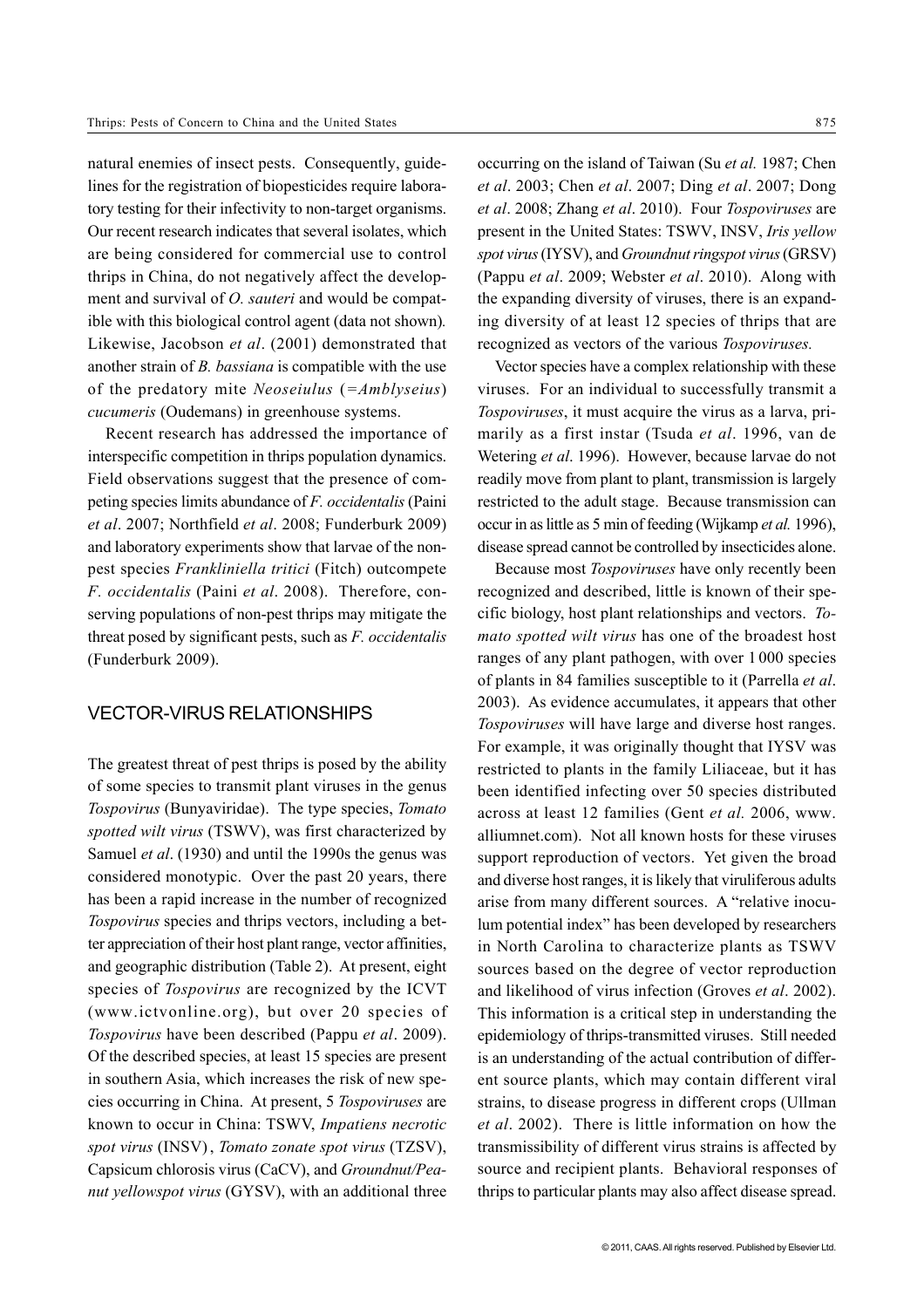natural enemies of insect pests. Consequently, guidelines for the registration of biopesticides require laboratory testing for their infectivity to non-target organisms. Our recent research indicates that several isolates, which are being considered for commercial use to control thrips in China, do not negatively affect the development and survival of *O. sauteri* and would be compatible with this biological control agent (data not shown)*.* Likewise, Jacobson *et al*. (2001) demonstrated that another strain of *B. bassiana* is compatible with the use of the predatory mite *Neoseiulus* (*=Amblyseius*) *cucumeris* (Oudemans) in greenhouse systems.

Recent research has addressed the importance of interspecific competition in thrips population dynamics. Field observations suggest that the presence of competing species limits abundance of *F. occidentalis* (Paini *et al*. 2007; Northfield *et al*. 2008; Funderburk 2009) and laboratory experiments show that larvae of the nonpest species *Frankliniella tritici* (Fitch) outcompete *F. occidentalis* (Paini *et al*. 2008). Therefore, conserving populations of non-pest thrips may mitigate the threat posed by significant pests, such as *F. occidentalis* (Funderburk 2009).

### VECTOR-VIRUS RELATIONSHIPS

The greatest threat of pest thrips is posed by the ability of some species to transmit plant viruses in the genus *Tospovirus* (Bunyaviridae). The type species, *Tomato spotted wilt virus* (TSWV), was first characterized by Samuel *et al*. (1930) and until the 1990s the genus was considered monotypic. Over the past 20 years, there has been a rapid increase in the number of recognized *Tospovirus* species and thrips vectors, including a better appreciation of their host plant range, vector affinities, and geographic distribution (Table 2). At present, eight species of *Tospovirus* are recognized by the ICVT (www.ictvonline.org), but over 20 species of *Tospovirus* have been described (Pappu *et al*. 2009). Of the described species, at least 15 species are present in southern Asia, which increases the risk of new species occurring in China. At present, 5 *Tospoviruses* are known to occur in China: TSWV, *Impatiens necrotic spot virus* (INSV) , *Tomato zonate spot virus* (TZSV), Capsicum chlorosis virus (CaCV), and *Groundnut/Peanut yellowspot virus* (GYSV), with an additional three

occurring on the island of Taiwan (Su *et al.* 1987; Chen *et al*. 2003; Chen *et al*. 2007; Ding *et al*. 2007; Dong *et al*. 2008; Zhang *et al*. 2010). Four *Tospoviruses* are present in the United States: TSWV, INSV, *Iris yellow spot virus* (IYSV), and *Groundnut ringspot virus* (GRSV) (Pappu *et al*. 2009; Webster *et al*. 2010). Along with the expanding diversity of viruses, there is an expanding diversity of at least 12 species of thrips that are recognized as vectors of the various *Tospoviruses.*

Vector species have a complex relationship with these viruses. For an individual to successfully transmit a *Tospoviruses*, it must acquire the virus as a larva, primarily as a first instar (Tsuda *et al*. 1996, van de Wetering *et al*. 1996). However, because larvae do not readily move from plant to plant, transmission is largely restricted to the adult stage. Because transmission can occur in as little as 5 min of feeding (Wijkamp *et al.* 1996), disease spread cannot be controlled by insecticides alone.

Because most *Tospoviruses* have only recently been recognized and described, little is known of their specific biology, host plant relationships and vectors. *Tomato spotted wilt virus* has one of the broadest host ranges of any plant pathogen, with over 1 000 species of plants in 84 families susceptible to it (Parrella *et al*. 2003). As evidence accumulates, it appears that other *Tospoviruses* will have large and diverse host ranges. For example, it was originally thought that IYSV was restricted to plants in the family Liliaceae, but it has been identified infecting over 50 species distributed across at least 12 families (Gent *et al.* 2006, www. alliumnet.com). Not all known hosts for these viruses support reproduction of vectors. Yet given the broad and diverse host ranges, it is likely that viruliferous adults arise from many different sources. A "relative inoculum potential index" has been developed by researchers in North Carolina to characterize plants as TSWV sources based on the degree of vector reproduction and likelihood of virus infection (Groves *et al*. 2002). This information is a critical step in understanding the epidemiology of thrips-transmitted viruses. Still needed is an understanding of the actual contribution of different source plants, which may contain different viral strains, to disease progress in different crops (Ullman *et al*. 2002). There is little information on how the transmissibility of different virus strains is affected by source and recipient plants. Behavioral responses of thrips to particular plants may also affect disease spread.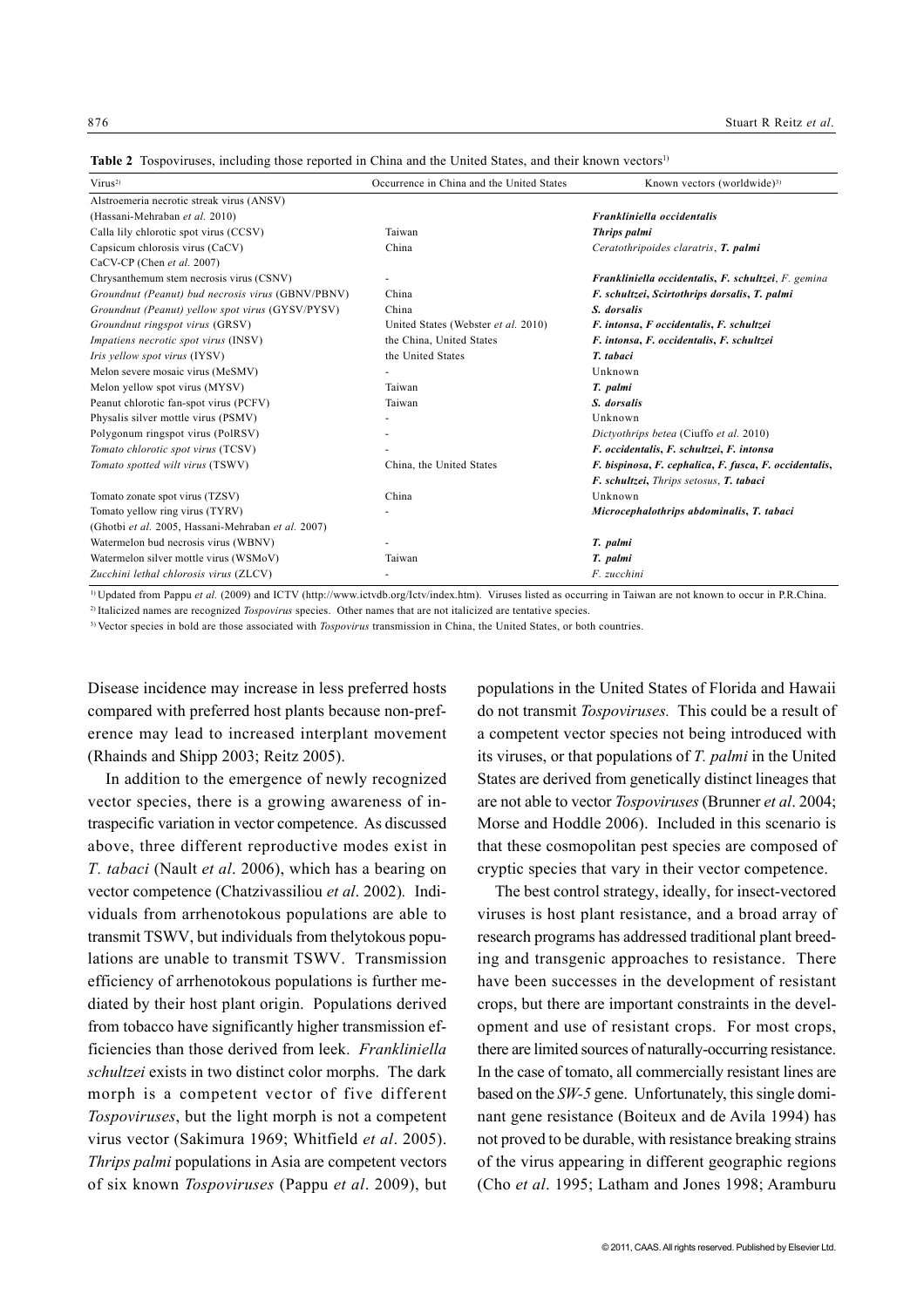| Virus <sup>2</sup>                                 | Occurrence in China and the United States | Known vectors (worldwide) <sup>3)</sup>                |
|----------------------------------------------------|-------------------------------------------|--------------------------------------------------------|
| Alstroemeria necrotic streak virus (ANSV)          |                                           |                                                        |
| (Hassani-Mehraban et al. 2010)                     |                                           | Frankliniella occidentalis                             |
| Calla lily chlorotic spot virus (CCSV)             | Taiwan                                    | Thrips palmi                                           |
| Capsicum chlorosis virus (CaCV)                    | China                                     | Ceratothripoides claratris, T. palmi                   |
| CaCV-CP (Chen et al. 2007)                         |                                           |                                                        |
| Chrysanthemum stem necrosis virus (CSNV)           |                                           | Frankliniella occidentalis, F. schultzei, F. gemina    |
| Groundnut (Peanut) bud necrosis virus (GBNV/PBNV)  | China                                     | F. schultzei, Scirtothrips dorsalis, T. palmi          |
| Groundnut (Peanut) vellow spot virus (GYSV/PYSV)   | China                                     | S. dorsalis                                            |
| Groundnut ringspot virus (GRSV)                    | United States (Webster et al. 2010)       | F. intonsa, F occidentalis, F. schultzei               |
| Impatiens necrotic spot virus (INSV)               | the China, United States                  | F. intonsa, F. occidentalis, F. schultzei              |
| <i>Iris yellow spot virus</i> (IYSV)               | the United States                         | T. tabaci                                              |
| Melon severe mosaic virus (MeSMV)                  |                                           | Unknown                                                |
| Melon yellow spot virus (MYSV)                     | Taiwan                                    | T. palmi                                               |
| Peanut chlorotic fan-spot virus (PCFV)             | Taiwan                                    | S. dorsalis                                            |
| Physalis silver mottle virus (PSMV)                |                                           | Unknown                                                |
| Polygonum ringspot virus (PolRSV)                  |                                           | Dictyothrips betea (Ciuffo et al. 2010)                |
| Tomato chlorotic spot virus (TCSV)                 |                                           | F. occidentalis, F. schultzei, F. intonsa              |
| Tomato spotted wilt virus (TSWV)                   | China, the United States                  | F. bispinosa, F. cephalica, F. fusca, F. occidentalis, |
|                                                    |                                           | F. schultzei, Thrips setosus, T. tabaci                |
| Tomato zonate spot virus (TZSV)                    | China                                     | Unknown                                                |
| Tomato yellow ring virus (TYRV)                    |                                           | Microcephalothrips abdominalis, T. tabaci              |
| (Ghotbi et al. 2005, Hassani-Mehraban et al. 2007) |                                           |                                                        |
| Watermelon bud necrosis virus (WBNV)               |                                           | T. palmi                                               |
| Watermelon silver mottle virus (WSMoV)             | Taiwan                                    | T. palmi                                               |
| Zucchini lethal chlorosis virus (ZLCV)             |                                           | F. zucchini                                            |

Table 2 Tospoviruses, including those reported in China and the United States, and their known vectors<sup>1)</sup>

<sup>1)</sup> Updated from Pappu et al. (2009) and ICTV (http://www.ictvdb.org/Ictv/index.htm). Viruses listed as occurring in Taiwan are not known to occur in P.R.China.

2) Italicized names are recognized *Tospovirus* species. Other names that are not italicized are tentative species.

3) Vector species in bold are those associated with *Tospovirus* transmission in China, the United States, or both countries.

Disease incidence may increase in less preferred hosts compared with preferred host plants because non-preference may lead to increased interplant movement (Rhainds and Shipp 2003; Reitz 2005).

In addition to the emergence of newly recognized vector species, there is a growing awareness of intraspecific variation in vector competence. As discussed above, three different reproductive modes exist in *T. tabaci* (Nault *et al*. 2006), which has a bearing on vector competence (Chatzivassiliou *et al*. 2002)*.* Individuals from arrhenotokous populations are able to transmit TSWV, but individuals from thelytokous populations are unable to transmit TSWV. Transmission efficiency of arrhenotokous populations is further mediated by their host plant origin. Populations derived from tobacco have significantly higher transmission efficiencies than those derived from leek. *Frankliniella schultzei* exists in two distinct color morphs. The dark morph is a competent vector of five different *Tospoviruses*, but the light morph is not a competent virus vector (Sakimura 1969; Whitfield *et al*. 2005). *Thrips palmi* populations in Asia are competent vectors of six known *Tospoviruses* (Pappu *et al*. 2009), but

populations in the United States of Florida and Hawaii do not transmit *Tospoviruses.* This could be a result of a competent vector species not being introduced with its viruses, or that populations of *T. palmi* in the United States are derived from genetically distinct lineages that are not able to vector *Tospoviruses* (Brunner *et al*. 2004; Morse and Hoddle 2006). Included in this scenario is that these cosmopolitan pest species are composed of cryptic species that vary in their vector competence.

The best control strategy, ideally, for insect-vectored viruses is host plant resistance, and a broad array of research programs has addressed traditional plant breeding and transgenic approaches to resistance. There have been successes in the development of resistant crops, but there are important constraints in the development and use of resistant crops. For most crops, there are limited sources of naturally-occurring resistance. In the case of tomato, all commercially resistant lines are based on the *SW-5* gene. Unfortunately, this single dominant gene resistance (Boiteux and de Avila 1994) has not proved to be durable, with resistance breaking strains of the virus appearing in different geographic regions (Cho *et al*. 1995; Latham and Jones 1998; Aramburu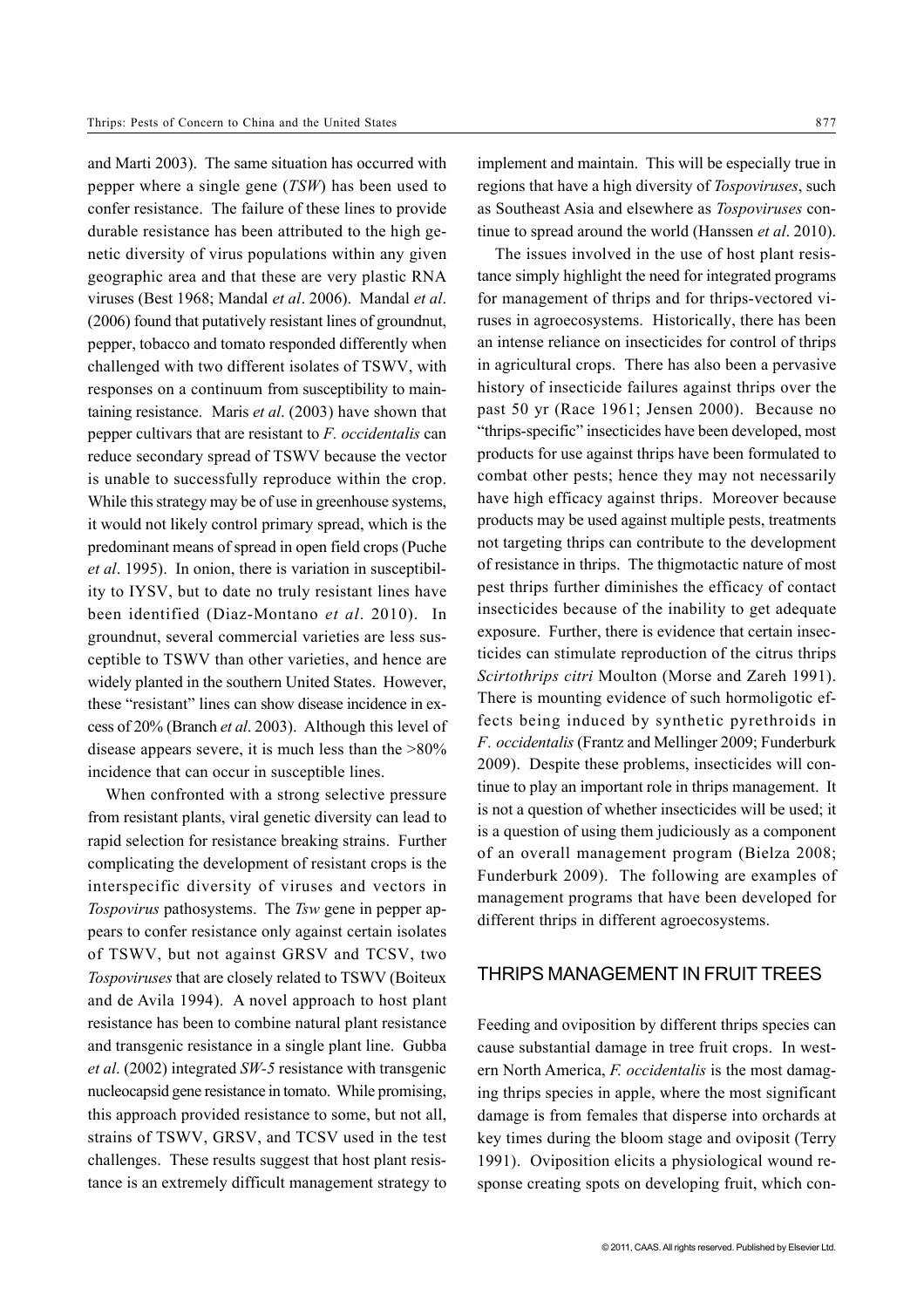and Marti 2003). The same situation has occurred with pepper where a single gene (*TSW*) has been used to confer resistance. The failure of these lines to provide durable resistance has been attributed to the high genetic diversity of virus populations within any given geographic area and that these are very plastic RNA viruses (Best 1968; Mandal *et al*. 2006). Mandal *et al*. (2006) found that putatively resistant lines of groundnut, pepper, tobacco and tomato responded differently when challenged with two different isolates of TSWV, with responses on a continuum from susceptibility to maintaining resistance. Maris *et al*. (2003) have shown that pepper cultivars that are resistant to *F. occidentalis* can reduce secondary spread of TSWV because the vector is unable to successfully reproduce within the crop. While this strategy may be of use in greenhouse systems, it would not likely control primary spread, which is the predominant means of spread in open field crops (Puche *et al*. 1995). In onion, there is variation in susceptibility to IYSV, but to date no truly resistant lines have been identified (Diaz-Montano *et al*. 2010). In groundnut, several commercial varieties are less susceptible to TSWV than other varieties, and hence are widely planted in the southern United States. However, these "resistant" lines can show disease incidence in excess of 20% (Branch *et al*. 2003). Although this level of disease appears severe, it is much less than the >80% incidence that can occur in susceptible lines.

When confronted with a strong selective pressure from resistant plants, viral genetic diversity can lead to rapid selection for resistance breaking strains. Further complicating the development of resistant crops is the interspecific diversity of viruses and vectors in *Tospovirus* pathosystems. The *Tsw* gene in pepper appears to confer resistance only against certain isolates of TSWV, but not against GRSV and TCSV, two *Tospoviruses* that are closely related to TSWV (Boiteux and de Avila 1994). A novel approach to host plant resistance has been to combine natural plant resistance and transgenic resistance in a single plant line. Gubba *et al*. (2002) integrated *SW-5* resistance with transgenic nucleocapsid gene resistance in tomato. While promising, this approach provided resistance to some, but not all, strains of TSWV, GRSV, and TCSV used in the test challenges. These results suggest that host plant resistance is an extremely difficult management strategy to

implement and maintain. This will be especially true in regions that have a high diversity of *Tospoviruses*, such as Southeast Asia and elsewhere as *Tospoviruses* continue to spread around the world (Hanssen *et al*. 2010).

The issues involved in the use of host plant resistance simply highlight the need for integrated programs for management of thrips and for thrips-vectored viruses in agroecosystems. Historically, there has been an intense reliance on insecticides for control of thrips in agricultural crops. There has also been a pervasive history of insecticide failures against thrips over the past 50 yr (Race 1961; Jensen 2000). Because no "thrips-specific" insecticides have been developed, most products for use against thrips have been formulated to combat other pests; hence they may not necessarily have high efficacy against thrips. Moreover because products may be used against multiple pests, treatments not targeting thrips can contribute to the development of resistance in thrips. The thigmotactic nature of most pest thrips further diminishes the efficacy of contact insecticides because of the inability to get adequate exposure. Further, there is evidence that certain insecticides can stimulate reproduction of the citrus thrips *Scirtothrips citri* Moulton (Morse and Zareh 1991). There is mounting evidence of such hormoligotic effects being induced by synthetic pyrethroids in *F. occidentalis* (Frantz and Mellinger 2009; Funderburk 2009). Despite these problems, insecticides will continue to play an important role in thrips management. It is not a question of whether insecticides will be used; it is a question of using them judiciously as a component of an overall management program (Bielza 2008; Funderburk 2009). The following are examples of management programs that have been developed for different thrips in different agroecosystems.

#### THRIPS MANAGEMENT IN FRUIT TREES

Feeding and oviposition by different thrips species can cause substantial damage in tree fruit crops. In western North America, *F. occidentalis* is the most damaging thrips species in apple, where the most significant damage is from females that disperse into orchards at key times during the bloom stage and oviposit (Terry 1991). Oviposition elicits a physiological wound response creating spots on developing fruit, which con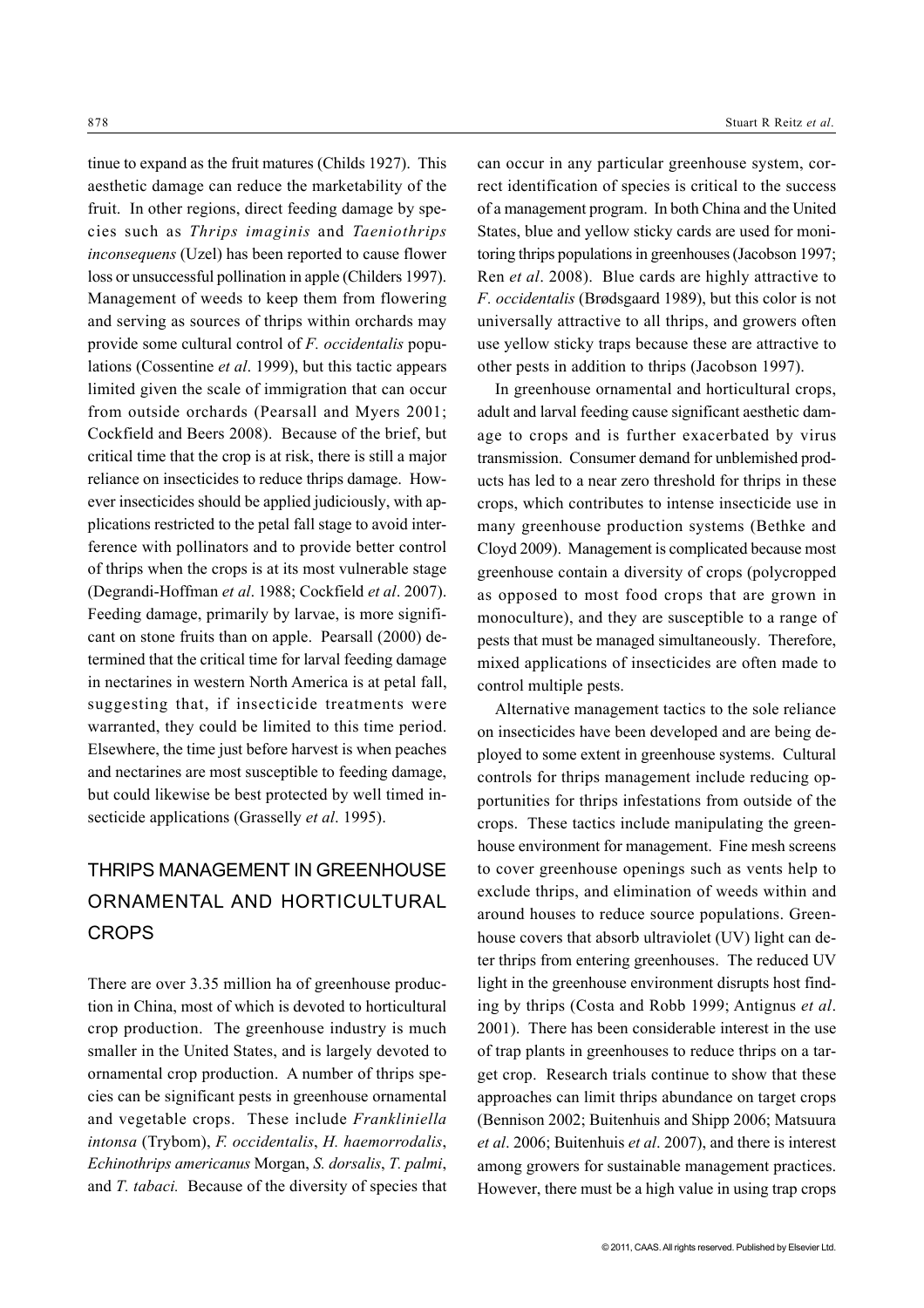tinue to expand as the fruit matures (Childs 1927). This aesthetic damage can reduce the marketability of the fruit. In other regions, direct feeding damage by species such as *Thrips imaginis* and *Taeniothrips inconsequens* (Uzel) has been reported to cause flower loss or unsuccessful pollination in apple (Childers 1997). Management of weeds to keep them from flowering and serving as sources of thrips within orchards may provide some cultural control of *F. occidentalis* populations (Cossentine *et al*. 1999), but this tactic appears limited given the scale of immigration that can occur from outside orchards (Pearsall and Myers 2001; Cockfield and Beers 2008). Because of the brief, but critical time that the crop is at risk, there is still a major reliance on insecticides to reduce thrips damage. However insecticides should be applied judiciously, with applications restricted to the petal fall stage to avoid interference with pollinators and to provide better control of thrips when the crops is at its most vulnerable stage (Degrandi-Hoffman *et al*. 1988; Cockfield *et al*. 2007). Feeding damage, primarily by larvae, is more significant on stone fruits than on apple. Pearsall (2000) determined that the critical time for larval feeding damage in nectarines in western North America is at petal fall, suggesting that, if insecticide treatments were warranted, they could be limited to this time period. Elsewhere, the time just before harvest is when peaches and nectarines are most susceptible to feeding damage, but could likewise be best protected by well timed insecticide applications (Grasselly *et al*. 1995).

## THRIPS MANAGEMENT IN GREENHOUSE ORNAMENTAL AND HORTICULTURAL CROPS

There are over 3.35 million ha of greenhouse production in China, most of which is devoted to horticultural crop production. The greenhouse industry is much smaller in the United States, and is largely devoted to ornamental crop production. A number of thrips species can be significant pests in greenhouse ornamental and vegetable crops. These include *Frankliniella intonsa* (Trybom), *F. occidentalis*, *H. haemorrodalis*, *Echinothrips americanus* Morgan, *S. dorsalis*, *T. palmi*, and *T. tabaci.* Because of the diversity of species that can occur in any particular greenhouse system, correct identification of species is critical to the success of a management program. In both China and the United States, blue and yellow sticky cards are used for monitoring thrips populations in greenhouses (Jacobson 1997; Ren *et al*. 2008). Blue cards are highly attractive to *F. occidentalis* (Brødsgaard 1989), but this color is not universally attractive to all thrips, and growers often use yellow sticky traps because these are attractive to other pests in addition to thrips (Jacobson 1997).

In greenhouse ornamental and horticultural crops, adult and larval feeding cause significant aesthetic damage to crops and is further exacerbated by virus transmission. Consumer demand for unblemished products has led to a near zero threshold for thrips in these crops, which contributes to intense insecticide use in many greenhouse production systems (Bethke and Cloyd 2009). Management is complicated because most greenhouse contain a diversity of crops (polycropped as opposed to most food crops that are grown in monoculture), and they are susceptible to a range of pests that must be managed simultaneously. Therefore, mixed applications of insecticides are often made to control multiple pests.

Alternative management tactics to the sole reliance on insecticides have been developed and are being deployed to some extent in greenhouse systems. Cultural controls for thrips management include reducing opportunities for thrips infestations from outside of the crops. These tactics include manipulating the greenhouse environment for management. Fine mesh screens to cover greenhouse openings such as vents help to exclude thrips, and elimination of weeds within and around houses to reduce source populations. Greenhouse covers that absorb ultraviolet (UV) light can deter thrips from entering greenhouses. The reduced UV light in the greenhouse environment disrupts host finding by thrips (Costa and Robb 1999; Antignus *et al*. 2001). There has been considerable interest in the use of trap plants in greenhouses to reduce thrips on a target crop. Research trials continue to show that these approaches can limit thrips abundance on target crops (Bennison 2002; Buitenhuis and Shipp 2006; Matsuura *et al*. 2006; Buitenhuis *et al*. 2007), and there is interest among growers for sustainable management practices. However, there must be a high value in using trap crops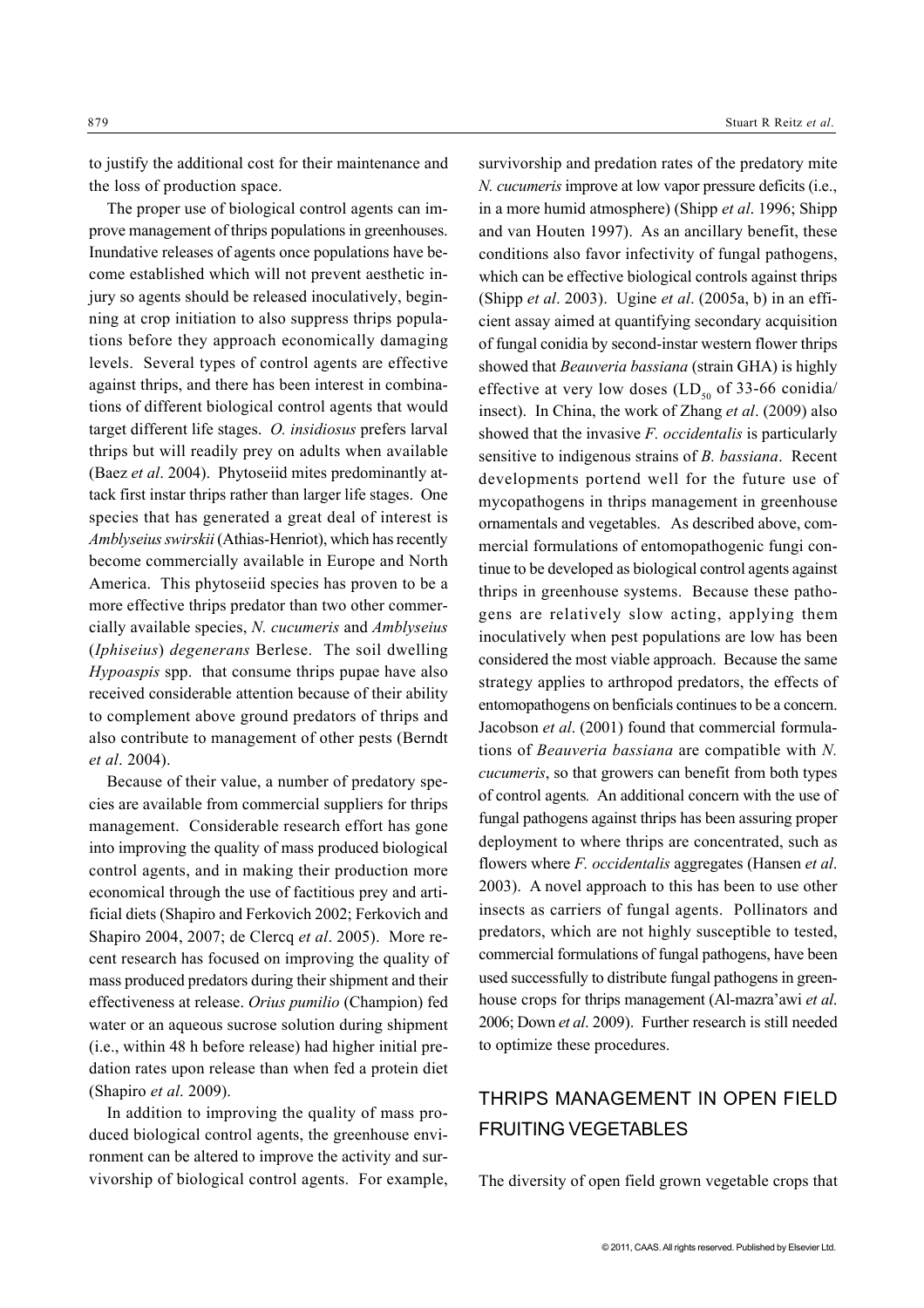to justify the additional cost for their maintenance and the loss of production space.

The proper use of biological control agents can improve management of thrips populations in greenhouses. Inundative releases of agents once populations have become established which will not prevent aesthetic injury so agents should be released inoculatively, beginning at crop initiation to also suppress thrips populations before they approach economically damaging levels. Several types of control agents are effective against thrips, and there has been interest in combinations of different biological control agents that would target different life stages. *O. insidiosus* prefers larval thrips but will readily prey on adults when available (Baez *et al*. 2004). Phytoseiid mites predominantly attack first instar thrips rather than larger life stages. One species that has generated a great deal of interest is *Amblyseius swirskii* (Athias-Henriot), which has recently become commercially available in Europe and North America. This phytoseiid species has proven to be a more effective thrips predator than two other commercially available species, *N. cucumeris* and *Amblyseius* (*Iphiseius*) *degenerans* Berlese. The soil dwelling *Hypoaspis* spp. that consume thrips pupae have also received considerable attention because of their ability to complement above ground predators of thrips and also contribute to management of other pests (Berndt *et al*. 2004).

Because of their value, a number of predatory species are available from commercial suppliers for thrips management. Considerable research effort has gone into improving the quality of mass produced biological control agents, and in making their production more economical through the use of factitious prey and artificial diets (Shapiro and Ferkovich 2002; Ferkovich and Shapiro 2004, 2007; de Clercq *et al*. 2005). More recent research has focused on improving the quality of mass produced predators during their shipment and their effectiveness at release. *Orius pumilio* (Champion) fed water or an aqueous sucrose solution during shipment (i.e., within 48 h before release) had higher initial predation rates upon release than when fed a protein diet (Shapiro *et al*. 2009).

In addition to improving the quality of mass produced biological control agents, the greenhouse environment can be altered to improve the activity and survivorship of biological control agents. For example,

survivorship and predation rates of the predatory mite *N. cucumeris* improve at low vapor pressure deficits (i.e., in a more humid atmosphere) (Shipp *et al*. 1996; Shipp and van Houten 1997). As an ancillary benefit, these conditions also favor infectivity of fungal pathogens, which can be effective biological controls against thrips (Shipp *et al*. 2003). Ugine *et al*. (2005a, b) in an efficient assay aimed at quantifying secondary acquisition of fungal conidia by second-instar western flower thrips showed that *Beauveria bassiana* (strain GHA) is highly effective at very low doses  $(LD_{50}$  of 33-66 conidia/ insect). In China, the work of Zhang *et al*. (2009) also showed that the invasive *F. occidentalis* is particularly sensitive to indigenous strains of *B. bassiana*. Recent developments portend well for the future use of mycopathogens in thrips management in greenhouse ornamentals and vegetables. As described above, commercial formulations of entomopathogenic fungi continue to be developed as biological control agents against thrips in greenhouse systems. Because these pathogens are relatively slow acting, applying them inoculatively when pest populations are low has been considered the most viable approach. Because the same strategy applies to arthropod predators, the effects of entomopathogens on benficials continues to be a concern. Jacobson *et al*. (2001) found that commercial formulations of *Beauveria bassiana* are compatible with *N. cucumeris*, so that growers can benefit from both types of control agents*.* An additional concern with the use of fungal pathogens against thrips has been assuring proper deployment to where thrips are concentrated, such as flowers where *F. occidentalis* aggregates (Hansen *et al*. 2003). A novel approach to this has been to use other insects as carriers of fungal agents. Pollinators and predators, which are not highly susceptible to tested, commercial formulations of fungal pathogens, have been used successfully to distribute fungal pathogens in greenhouse crops for thrips management (Al-mazra'awi *et al*. 2006; Down *et al*. 2009). Further research is still needed to optimize these procedures.

## THRIPS MANAGEMENT IN OPEN FIELD FRUITING VEGETABLES

The diversity of open field grown vegetable crops that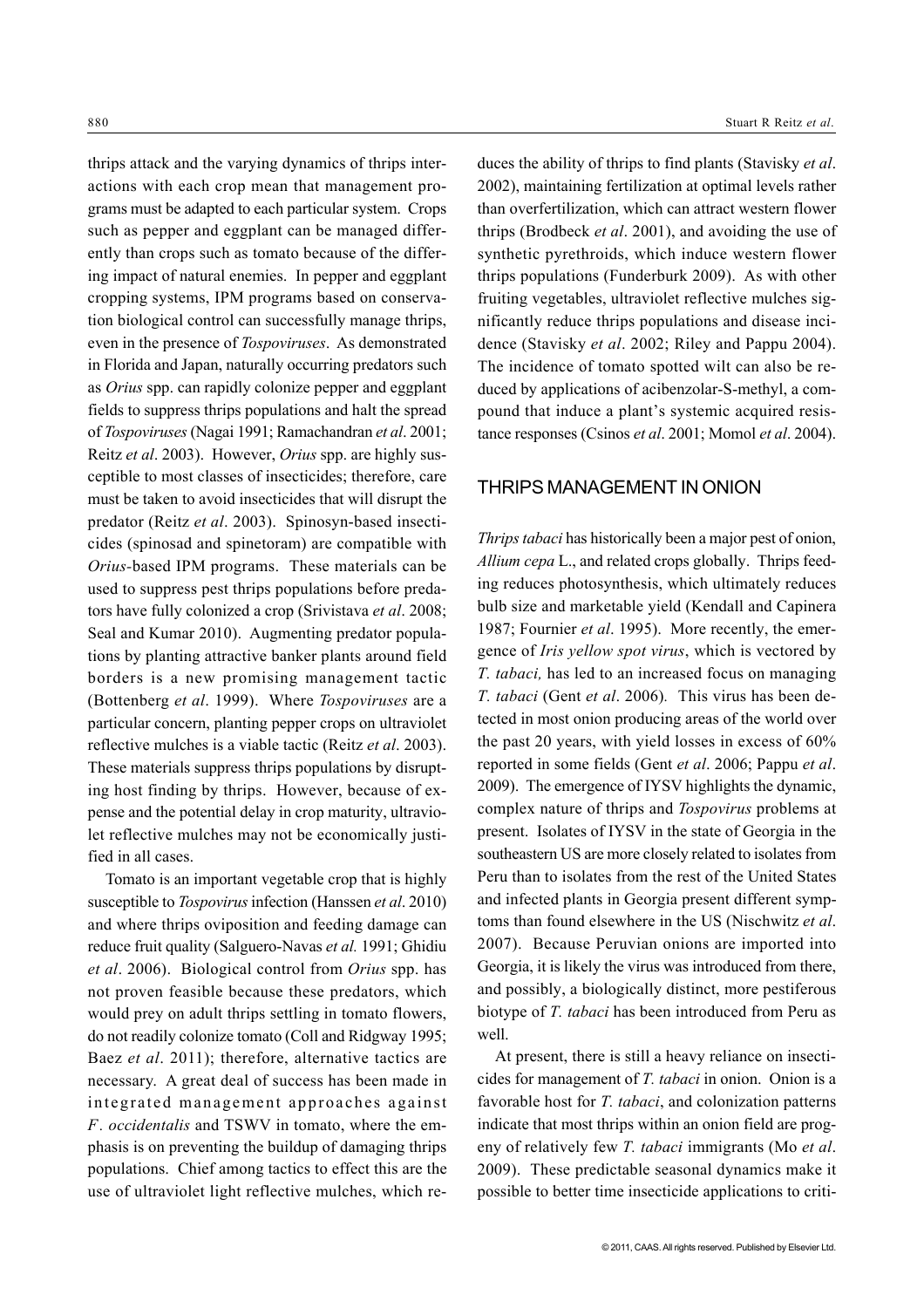thrips attack and the varying dynamics of thrips interactions with each crop mean that management programs must be adapted to each particular system. Crops such as pepper and eggplant can be managed differently than crops such as tomato because of the differing impact of natural enemies. In pepper and eggplant cropping systems, IPM programs based on conservation biological control can successfully manage thrips, even in the presence of *Tospoviruses*. As demonstrated in Florida and Japan, naturally occurring predators such as *Orius* spp. can rapidly colonize pepper and eggplant fields to suppress thrips populations and halt the spread of *Tospoviruses* (Nagai 1991; Ramachandran *et al*. 2001; Reitz *et al*. 2003). However, *Orius* spp. are highly susceptible to most classes of insecticides; therefore, care must be taken to avoid insecticides that will disrupt the predator (Reitz *et al*. 2003). Spinosyn-based insecticides (spinosad and spinetoram) are compatible with *Orius-*based IPM programs. These materials can be used to suppress pest thrips populations before predators have fully colonized a crop (Srivistava *et al*. 2008; Seal and Kumar 2010). Augmenting predator populations by planting attractive banker plants around field borders is a new promising management tactic (Bottenberg *et al*. 1999). Where *Tospoviruses* are a particular concern, planting pepper crops on ultraviolet reflective mulches is a viable tactic (Reitz *et al*. 2003). These materials suppress thrips populations by disrupting host finding by thrips. However, because of expense and the potential delay in crop maturity, ultraviolet reflective mulches may not be economically justified in all cases.

Tomato is an important vegetable crop that is highly susceptible to *Tospovirus* infection (Hanssen *et al*. 2010) and where thrips oviposition and feeding damage can reduce fruit quality (Salguero-Navas *et al.* 1991; Ghidiu *et al*. 2006). Biological control from *Orius* spp. has not proven feasible because these predators, which would prey on adult thrips settling in tomato flowers, do not readily colonize tomato (Coll and Ridgway 1995; Baez *et al*. 2011); therefore, alternative tactics are necessary. A great deal of success has been made in integrated management approaches against *F. occidentalis* and TSWV in tomato, where the emphasis is on preventing the buildup of damaging thrips populations. Chief among tactics to effect this are the use of ultraviolet light reflective mulches, which re-

880 Stuart R Reitz *et al*.

duces the ability of thrips to find plants (Stavisky *et al*. 2002), maintaining fertilization at optimal levels rather than overfertilization, which can attract western flower thrips (Brodbeck *et al*. 2001), and avoiding the use of synthetic pyrethroids, which induce western flower thrips populations (Funderburk 2009). As with other fruiting vegetables, ultraviolet reflective mulches significantly reduce thrips populations and disease incidence (Stavisky *et al*. 2002; Riley and Pappu 2004). The incidence of tomato spotted wilt can also be reduced by applications of acibenzolar-S-methyl, a compound that induce a plant's systemic acquired resistance responses (Csinos *et al*. 2001; Momol *et al*. 2004).

#### THRIPS MANAGEMENT IN ONION

*Thrips tabaci* has historically been a major pest of onion, *Allium cepa* L., and related crops globally. Thrips feeding reduces photosynthesis, which ultimately reduces bulb size and marketable yield (Kendall and Capinera 1987; Fournier *et al*. 1995). More recently, the emergence of *Iris yellow spot virus*, which is vectored by *T. tabaci,* has led to an increased focus on managing *T. tabaci* (Gent *et al*. 2006)*.* This virus has been detected in most onion producing areas of the world over the past 20 years, with yield losses in excess of 60% reported in some fields (Gent *et al*. 2006; Pappu *et al*. 2009). The emergence of IYSV highlights the dynamic, complex nature of thrips and *Tospovirus* problems at present. Isolates of IYSV in the state of Georgia in the southeastern US are more closely related to isolates from Peru than to isolates from the rest of the United States and infected plants in Georgia present different symptoms than found elsewhere in the US (Nischwitz *et al*. 2007). Because Peruvian onions are imported into Georgia, it is likely the virus was introduced from there, and possibly, a biologically distinct, more pestiferous biotype of *T. tabaci* has been introduced from Peru as well.

At present, there is still a heavy reliance on insecticides for management of *T. tabaci* in onion. Onion is a favorable host for *T. tabaci*, and colonization patterns indicate that most thrips within an onion field are progeny of relatively few *T. tabaci* immigrants (Mo *et al*. 2009). These predictable seasonal dynamics make it possible to better time insecticide applications to criti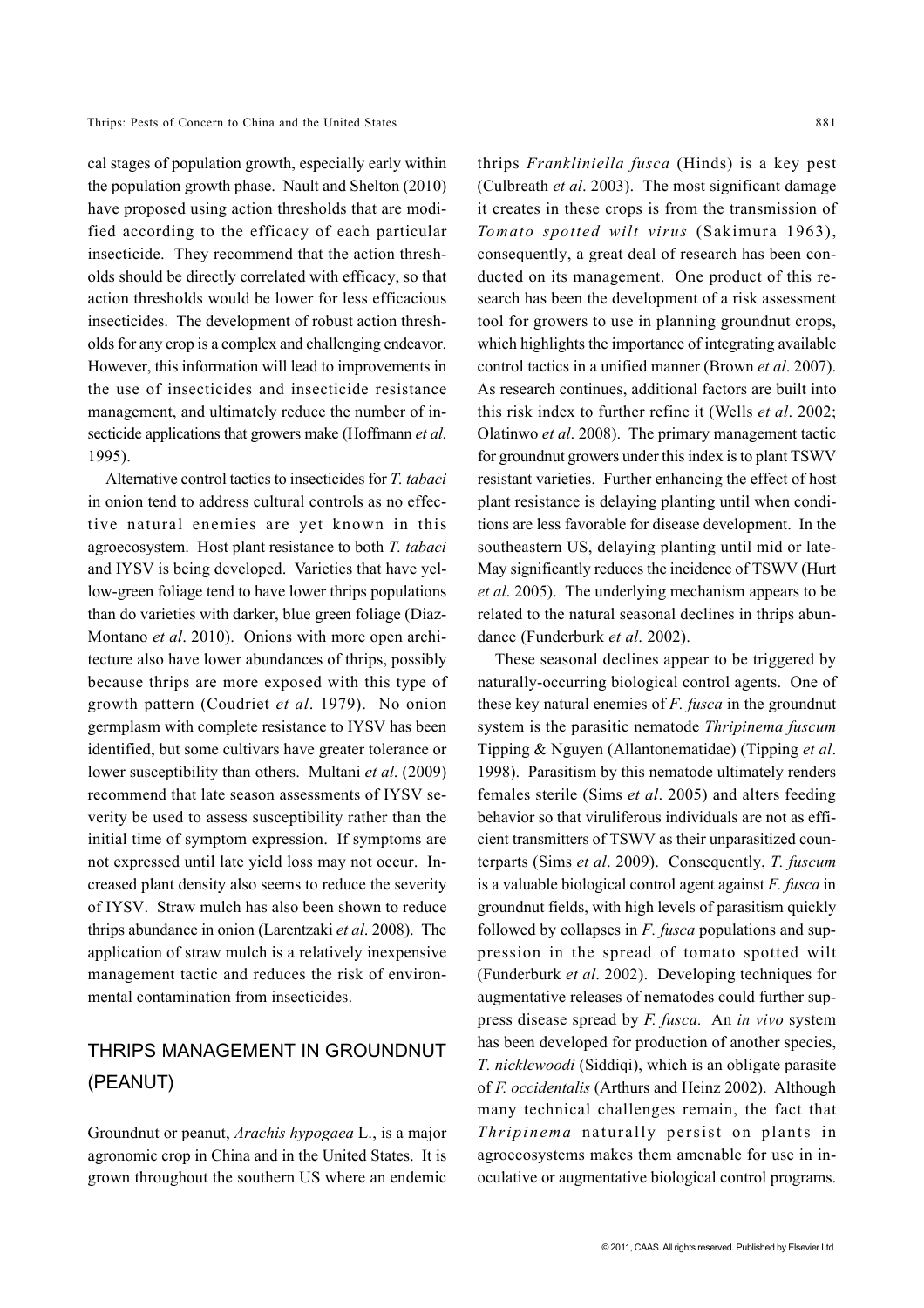cal stages of population growth, especially early within the population growth phase. Nault and Shelton (2010) have proposed using action thresholds that are modified according to the efficacy of each particular insecticide. They recommend that the action thresholds should be directly correlated with efficacy, so that action thresholds would be lower for less efficacious insecticides. The development of robust action thresholds for any crop is a complex and challenging endeavor. However, this information will lead to improvements in the use of insecticides and insecticide resistance management, and ultimately reduce the number of insecticide applications that growers make (Hoffmann *et al*. 1995).

Alternative control tactics to insecticides for *T. tabaci* in onion tend to address cultural controls as no effective natural enemies are yet known in this agroecosystem. Host plant resistance to both *T. tabaci* and IYSV is being developed. Varieties that have yellow-green foliage tend to have lower thrips populations than do varieties with darker, blue green foliage (Diaz-Montano *et al*. 2010). Onions with more open architecture also have lower abundances of thrips, possibly because thrips are more exposed with this type of growth pattern (Coudriet *et al*. 1979). No onion germplasm with complete resistance to IYSV has been identified, but some cultivars have greater tolerance or lower susceptibility than others. Multani *et al*. (2009) recommend that late season assessments of IYSV severity be used to assess susceptibility rather than the initial time of symptom expression. If symptoms are not expressed until late yield loss may not occur. Increased plant density also seems to reduce the severity of IYSV. Straw mulch has also been shown to reduce thrips abundance in onion (Larentzaki *et al*. 2008). The application of straw mulch is a relatively inexpensive management tactic and reduces the risk of environmental contamination from insecticides.

### THRIPS MANAGEMENT IN GROUNDNUT (PEANUT)

Groundnut or peanut, *Arachis hypogaea* L., is a major agronomic crop in China and in the United States. It is grown throughout the southern US where an endemic

thrips *Frankliniella fusca* (Hinds) is a key pest (Culbreath *et al*. 2003). The most significant damage it creates in these crops is from the transmission of *Tomato spotted wilt virus* (Sakimura 1963), consequently, a great deal of research has been conducted on its management. One product of this research has been the development of a risk assessment tool for growers to use in planning groundnut crops, which highlights the importance of integrating available control tactics in a unified manner (Brown *et al*. 2007). As research continues, additional factors are built into this risk index to further refine it (Wells *et al*. 2002; Olatinwo *et al*. 2008). The primary management tactic for groundnut growers under this index is to plant TSWV resistant varieties. Further enhancing the effect of host plant resistance is delaying planting until when conditions are less favorable for disease development. In the southeastern US, delaying planting until mid or late-May significantly reduces the incidence of TSWV (Hurt *et al*. 2005). The underlying mechanism appears to be related to the natural seasonal declines in thrips abundance (Funderburk *et al*. 2002).

These seasonal declines appear to be triggered by naturally-occurring biological control agents. One of these key natural enemies of *F. fusca* in the groundnut system is the parasitic nematode *Thripinema fuscum* Tipping & Nguyen (Allantonematidae) (Tipping *et al*. 1998). Parasitism by this nematode ultimately renders females sterile (Sims *et al*. 2005) and alters feeding behavior so that viruliferous individuals are not as efficient transmitters of TSWV as their unparasitized counterparts (Sims *et al*. 2009). Consequently, *T. fuscum* is a valuable biological control agent against *F. fusca* in groundnut fields, with high levels of parasitism quickly followed by collapses in *F. fusca* populations and suppression in the spread of tomato spotted wilt (Funderburk *et al*. 2002). Developing techniques for augmentative releases of nematodes could further suppress disease spread by *F. fusca.* An *in vivo* system has been developed for production of another species, *T. nicklewoodi* (Siddiqi), which is an obligate parasite of *F. occidentalis* (Arthurs and Heinz 2002). Although many technical challenges remain, the fact that *Thripinema* naturally persist on plants in agroecosystems makes them amenable for use in inoculative or augmentative biological control programs.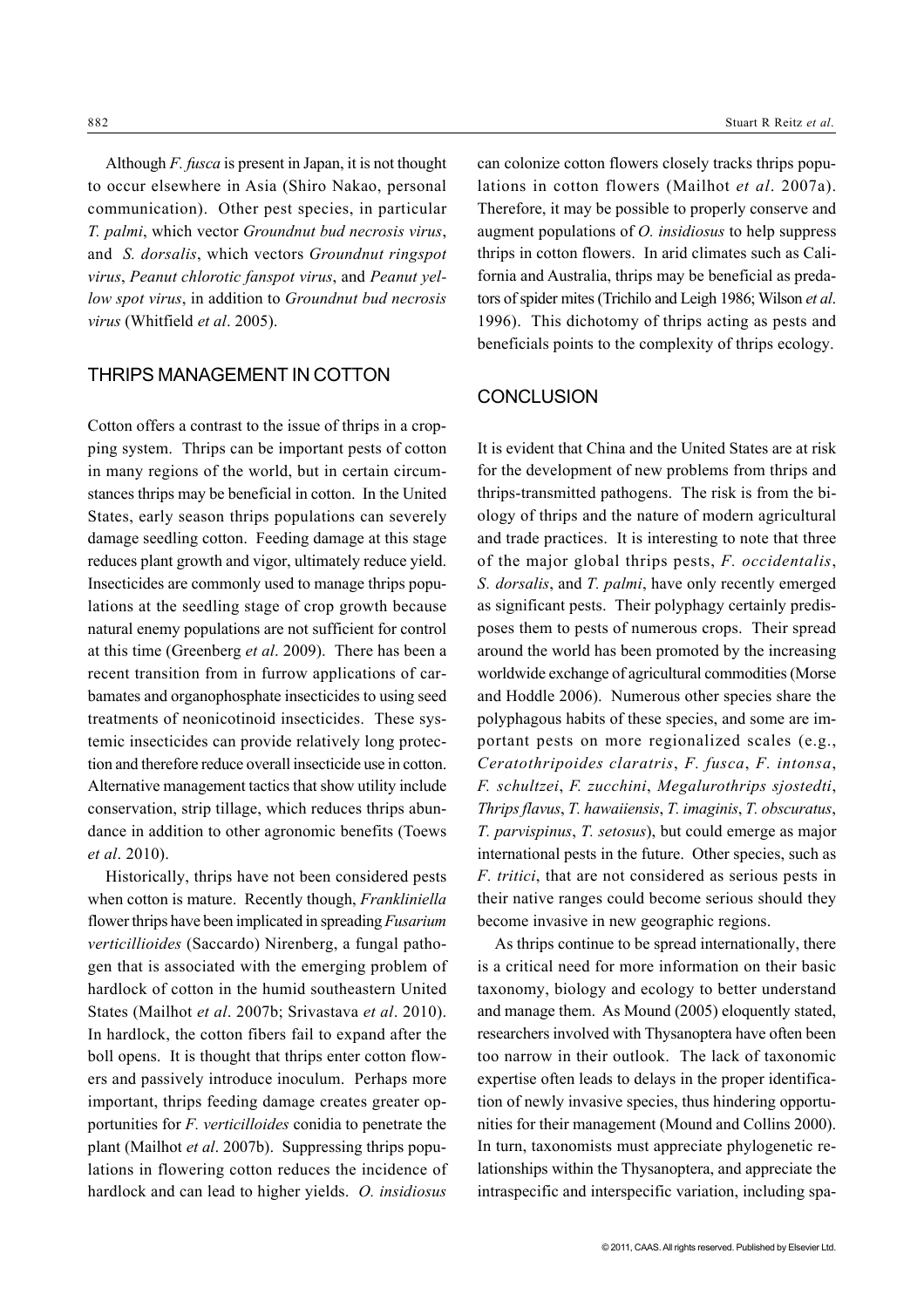Although *F. fusca* is present in Japan, it is not thought to occur elsewhere in Asia (Shiro Nakao, personal communication). Other pest species, in particular *T. palmi*, which vector *Groundnut bud necrosis virus*, and *S. dorsalis*, which vectors *Groundnut ringspot virus*, *Peanut chlorotic fanspot virus*, and *Peanut yellow spot virus*, in addition to *Groundnut bud necrosis virus* (Whitfield *et al*. 2005).

#### THRIPS MANAGEMENT IN COTTON

Cotton offers a contrast to the issue of thrips in a cropping system. Thrips can be important pests of cotton in many regions of the world, but in certain circumstances thrips may be beneficial in cotton. In the United States, early season thrips populations can severely damage seedling cotton. Feeding damage at this stage reduces plant growth and vigor, ultimately reduce yield. Insecticides are commonly used to manage thrips populations at the seedling stage of crop growth because natural enemy populations are not sufficient for control at this time (Greenberg *et al*. 2009). There has been a recent transition from in furrow applications of carbamates and organophosphate insecticides to using seed treatments of neonicotinoid insecticides. These systemic insecticides can provide relatively long protection and therefore reduce overall insecticide use in cotton. Alternative management tactics that show utility include conservation, strip tillage, which reduces thrips abundance in addition to other agronomic benefits (Toews *et al*. 2010).

Historically, thrips have not been considered pests when cotton is mature. Recently though, *Frankliniella* flower thrips have been implicated in spreading *Fusarium verticillioides* (Saccardo) Nirenberg, a fungal pathogen that is associated with the emerging problem of hardlock of cotton in the humid southeastern United States (Mailhot *et al*. 2007b; Srivastava *et al*. 2010). In hardlock, the cotton fibers fail to expand after the boll opens. It is thought that thrips enter cotton flowers and passively introduce inoculum. Perhaps more important, thrips feeding damage creates greater opportunities for *F. verticilloides* conidia to penetrate the plant (Mailhot *et al*. 2007b). Suppressing thrips populations in flowering cotton reduces the incidence of hardlock and can lead to higher yields. *O. insidiosus*

can colonize cotton flowers closely tracks thrips populations in cotton flowers (Mailhot *et al*. 2007a). Therefore, it may be possible to properly conserve and augment populations of *O. insidiosus* to help suppress thrips in cotton flowers. In arid climates such as California and Australia, thrips may be beneficial as predators of spider mites (Trichilo and Leigh 1986; Wilson *et al*. 1996). This dichotomy of thrips acting as pests and beneficials points to the complexity of thrips ecology.

#### **CONCLUSION**

It is evident that China and the United States are at risk for the development of new problems from thrips and thrips-transmitted pathogens. The risk is from the biology of thrips and the nature of modern agricultural and trade practices. It is interesting to note that three of the major global thrips pests, *F. occidentalis*, *S. dorsalis*, and *T. palmi*, have only recently emerged as significant pests. Their polyphagy certainly predisposes them to pests of numerous crops. Their spread around the world has been promoted by the increasing worldwide exchange of agricultural commodities (Morse and Hoddle 2006). Numerous other species share the polyphagous habits of these species, and some are important pests on more regionalized scales (e.g., *Ceratothripoides claratris*, *F. fusca*, *F. intonsa*, *F. schultzei*, *F. zucchini*, *Megalurothrips sjostedti*, *Thrips flavus*, *T. hawaiiensis*, *T. imaginis*, *T. obscuratus*, *T. parvispinus*, *T. setosus*), but could emerge as major international pests in the future. Other species, such as *F. tritici*, that are not considered as serious pests in their native ranges could become serious should they become invasive in new geographic regions.

As thrips continue to be spread internationally, there is a critical need for more information on their basic taxonomy, biology and ecology to better understand and manage them. As Mound (2005) eloquently stated, researchers involved with Thysanoptera have often been too narrow in their outlook. The lack of taxonomic expertise often leads to delays in the proper identification of newly invasive species, thus hindering opportunities for their management (Mound and Collins 2000). In turn, taxonomists must appreciate phylogenetic relationships within the Thysanoptera, and appreciate the intraspecific and interspecific variation, including spa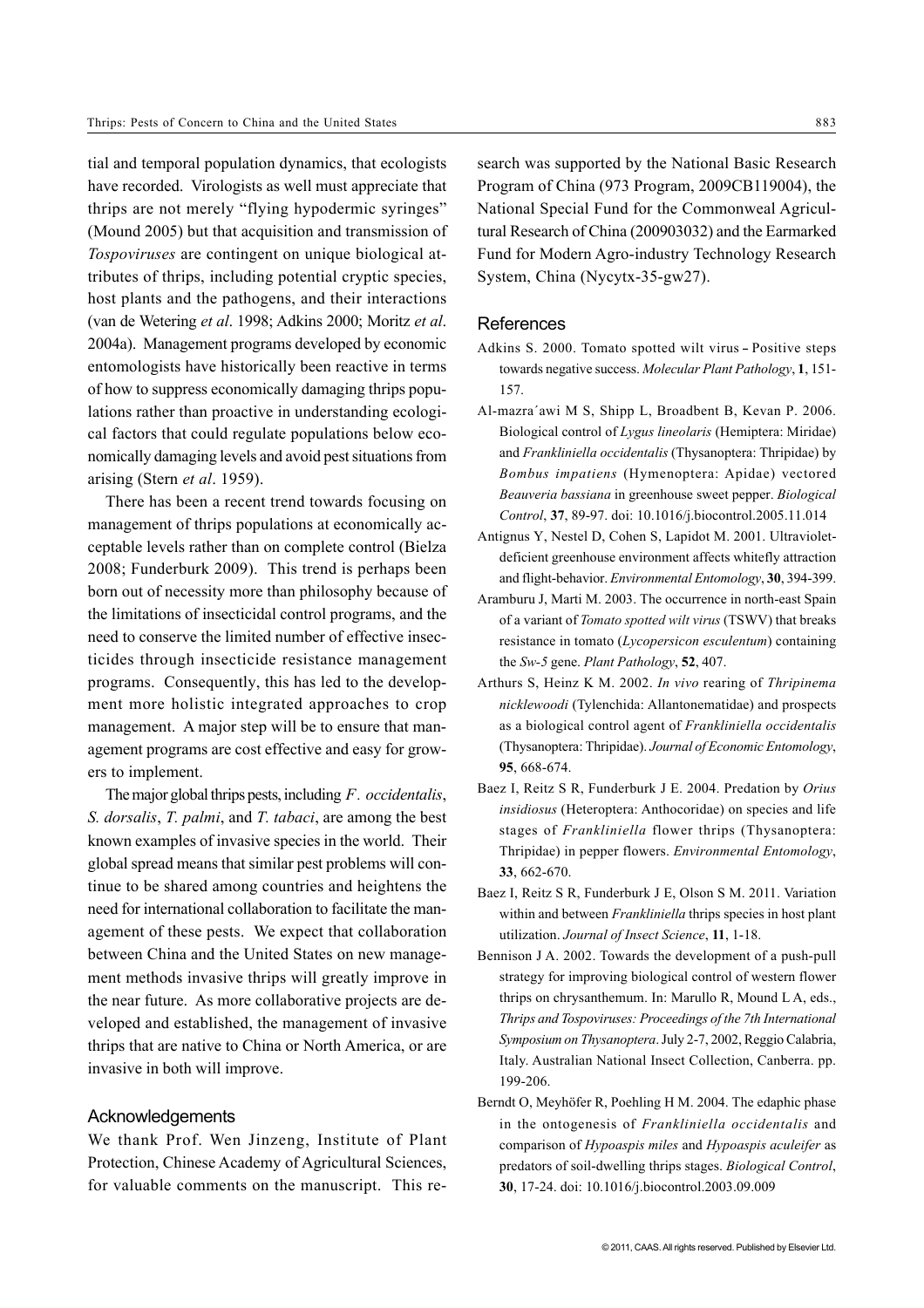tial and temporal population dynamics, that ecologists have recorded. Virologists as well must appreciate that thrips are not merely "flying hypodermic syringes" (Mound 2005) but that acquisition and transmission of *Tospoviruses* are contingent on unique biological attributes of thrips, including potential cryptic species, host plants and the pathogens, and their interactions (van de Wetering *et al*. 1998; Adkins 2000; Moritz *et al*. 2004a). Management programs developed by economic entomologists have historically been reactive in terms of how to suppress economically damaging thrips populations rather than proactive in understanding ecological factors that could regulate populations below economically damaging levels and avoid pest situations from arising (Stern *et al*. 1959).

There has been a recent trend towards focusing on management of thrips populations at economically acceptable levels rather than on complete control (Bielza 2008; Funderburk 2009). This trend is perhaps been born out of necessity more than philosophy because of the limitations of insecticidal control programs, and the need to conserve the limited number of effective insecticides through insecticide resistance management programs. Consequently, this has led to the development more holistic integrated approaches to crop management. A major step will be to ensure that management programs are cost effective and easy for growers to implement.

The major global thrips pests, including *F. occidentalis*, *S. dorsalis*, *T. palmi*, and *T. tabaci*, are among the best known examples of invasive species in the world. Their global spread means that similar pest problems will continue to be shared among countries and heightens the need for international collaboration to facilitate the management of these pests. We expect that collaboration between China and the United States on new management methods invasive thrips will greatly improve in the near future. As more collaborative projects are developed and established, the management of invasive thrips that are native to China or North America, or are invasive in both will improve.

#### Acknowledgements

We thank Prof. Wen Jinzeng, Institute of Plant Protection, Chinese Academy of Agricultural Sciences, for valuable comments on the manuscript. This research was supported by the National Basic Research Program of China (973 Program, 2009CB119004), the National Special Fund for the Commonweal Agricultural Research of China (200903032) and the Earmarked Fund for Modern Agro-industry Technology Research System, China (Nycytx-35-gw27).

#### References

- Adkins S. 2000. Tomato spotted wilt virus Positive steps towards negative success. *Molecular Plant Pathology*, **1**, 151- 157.
- Al-mazra´awi M S, Shipp L, Broadbent B, Kevan P. 2006. Biological control of *Lygus lineolaris* (Hemiptera: Miridae) and *Frankliniella occidentalis* (Thysanoptera: Thripidae) by *Bombus impatiens* (Hymenoptera: Apidae) vectored *Beauveria bassiana* in greenhouse sweet pepper. *Biological Control*, **37**, 89-97. doi: 10.1016/j.biocontrol.2005.11.014
- Antignus Y, Nestel D, Cohen S, Lapidot M. 2001. Ultravioletdeficient greenhouse environment affects whitefly attraction and flight-behavior. *Environmental Entomology*, **30**, 394-399.
- Aramburu J, Marti M. 2003. The occurrence in north-east Spain of a variant of *Tomato spotted wilt virus* (TSWV) that breaks resistance in tomato (*Lycopersicon esculentum*) containing the *Sw-5* gene. *Plant Pathology*, **52**, 407.
- Arthurs S, Heinz K M. 2002. *In vivo* rearing of *Thripinema nicklewoodi* (Tylenchida: Allantonematidae) and prospects as a biological control agent of *Frankliniella occidentalis* (Thysanoptera: Thripidae). *Journal of Economic Entomology*, **95**, 668-674.
- Baez I, Reitz S R, Funderburk J E. 2004. Predation by *Orius insidiosus* (Heteroptera: Anthocoridae) on species and life stages of *Frankliniella* flower thrips (Thysanoptera: Thripidae) in pepper flowers. *Environmental Entomology*, **33**, 662-670.
- Baez I, Reitz S R, Funderburk J E, Olson S M. 2011. Variation within and between *Frankliniella* thrips species in host plant utilization. *Journal of Insect Science*, **11**, 1-18.
- Bennison J A. 2002. Towards the development of a push-pull strategy for improving biological control of western flower thrips on chrysanthemum. In: Marullo R, Mound L A, eds., *Thrips and Tospoviruses: Proceedings of the 7th International Symposium on Thysanoptera*. July 2-7, 2002, Reggio Calabria, Italy. Australian National Insect Collection, Canberra. pp. 199-206.
- Berndt O, Meyhöfer R, Poehling H M. 2004. The edaphic phase in the ontogenesis of *Frankliniella occidentalis* and comparison of *Hypoaspis miles* and *Hypoaspis aculeifer* as predators of soil-dwelling thrips stages. *Biological Control*, **30**, 17-24. doi: 10.1016/j.biocontrol.2003.09.009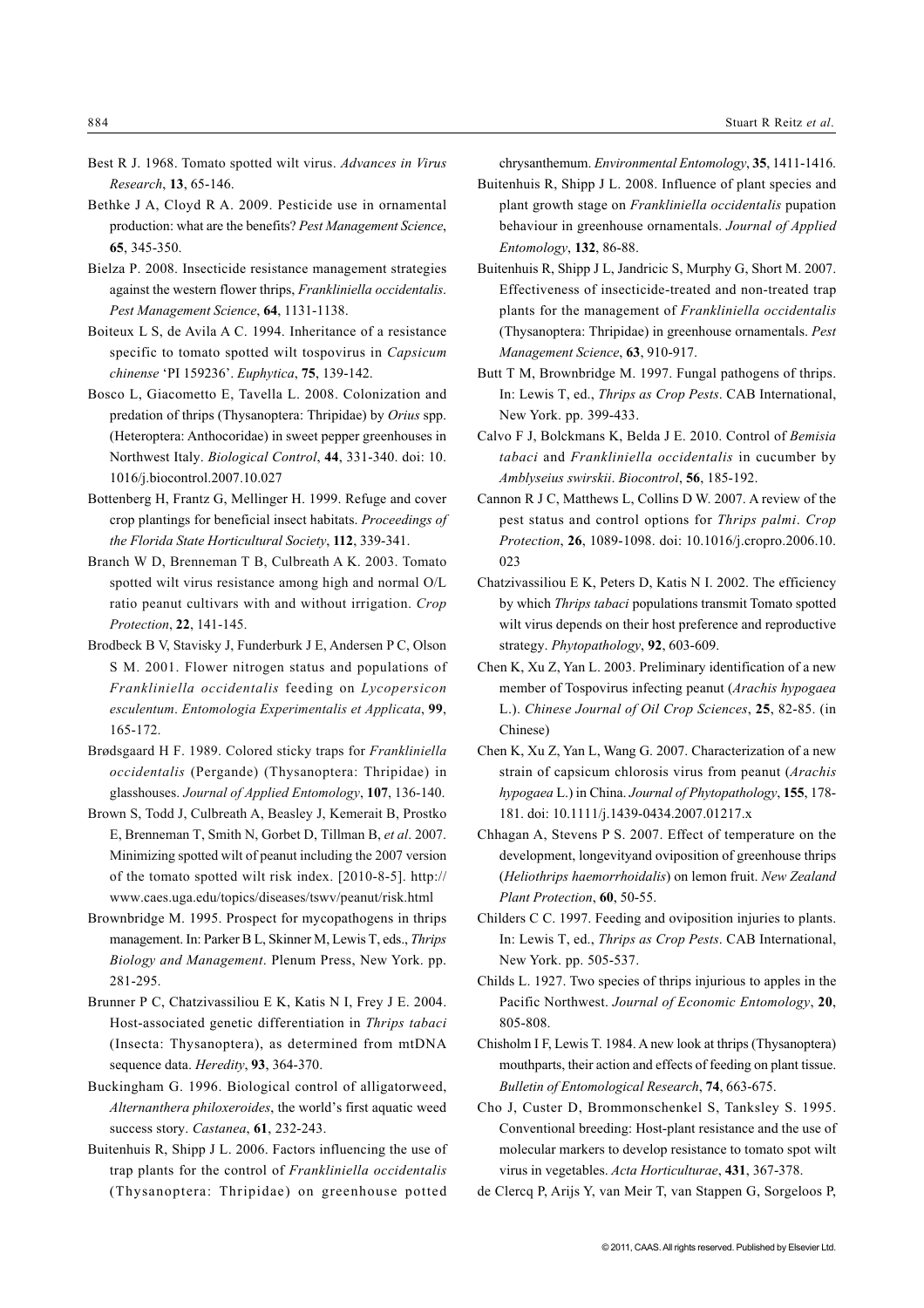- Best R J. 1968. Tomato spotted wilt virus. *Advances in Virus Research*, **13**, 65-146.
- Bethke J A, Cloyd R A. 2009. Pesticide use in ornamental production: what are the benefits? *Pest Management Science*, **65**, 345-350.
- Bielza P. 2008. Insecticide resistance management strategies against the western flower thrips, *Frankliniella occidentalis*. *Pest Management Science*, **64**, 1131-1138.
- Boiteux L S, de Avila A C. 1994. Inheritance of a resistance specific to tomato spotted wilt tospovirus in *Capsicum chinense* 'PI 159236'. *Euphytica*, **75**, 139-142.
- Bosco L, Giacometto E, Tavella L. 2008. Colonization and predation of thrips (Thysanoptera: Thripidae) by *Orius* spp. (Heteroptera: Anthocoridae) in sweet pepper greenhouses in Northwest Italy. *Biological Control*, **44**, 331-340. doi: 10. 1016/j.biocontrol.2007.10.027
- Bottenberg H, Frantz G, Mellinger H. 1999. Refuge and cover crop plantings for beneficial insect habitats. *Proceedings of the Florida State Horticultural Society*, **112**, 339-341.
- Branch W D, Brenneman T B, Culbreath A K. 2003. Tomato spotted wilt virus resistance among high and normal O/L ratio peanut cultivars with and without irrigation. *Crop Protection*, **22**, 141-145.
- Brodbeck B V, Stavisky J, Funderburk J E, Andersen P C, Olson S M. 2001. Flower nitrogen status and populations of *Frankliniella occidentalis* feeding on *Lycopersicon esculentum*. *Entomologia Experimentalis et Applicata*, **99**, 165-172.
- Brødsgaard H F. 1989. Colored sticky traps for *Frankliniella occidentalis* (Pergande) (Thysanoptera: Thripidae) in glasshouses. *Journal of Applied Entomology*, **107**, 136-140.
- Brown S, Todd J, Culbreath A, Beasley J, Kemerait B, Prostko E, Brenneman T, Smith N, Gorbet D, Tillman B, *et al*. 2007. Minimizing spotted wilt of peanut including the 2007 version of the tomato spotted wilt risk index. [2010-8-5]. http:// www.caes.uga.edu/topics/diseases/tswv/peanut/risk.html
- Brownbridge M. 1995. Prospect for mycopathogens in thrips management. In: Parker B L, Skinner M, Lewis T, eds., *Thrips Biology and Management*. Plenum Press, New York. pp. 281-295.
- Brunner P C, Chatzivassiliou E K, Katis N I, Frey J E. 2004. Host-associated genetic differentiation in *Thrips tabaci* (Insecta: Thysanoptera), as determined from mtDNA sequence data. *Heredity*, **93**, 364-370.
- Buckingham G. 1996. Biological control of alligatorweed, *Alternanthera philoxeroides*, the world's first aquatic weed success story. *Castanea*, **61**, 232-243.
- Buitenhuis R, Shipp J L. 2006. Factors influencing the use of trap plants for the control of *Frankliniella occidentalis* (Thysanoptera: Thripidae) on greenhouse potted

chrysanthemum. *Environmental Entomology*, **35**, 1411-1416.

- Buitenhuis R, Shipp J L. 2008. Influence of plant species and plant growth stage on *Frankliniella occidentalis* pupation behaviour in greenhouse ornamentals. *Journal of Applied Entomology*, **132**, 86-88.
- Buitenhuis R, Shipp J L, Jandricic S, Murphy G, Short M. 2007. Effectiveness of insecticide-treated and non-treated trap plants for the management of *Frankliniella occidentalis* (Thysanoptera: Thripidae) in greenhouse ornamentals. *Pest Management Science*, **63**, 910-917.
- Butt T M, Brownbridge M. 1997. Fungal pathogens of thrips. In: Lewis T, ed., *Thrips as Crop Pests*. CAB International, New York. pp. 399-433.
- Calvo F J, Bolckmans K, Belda J E. 2010. Control of *Bemisia tabaci* and *Frankliniella occidentalis* in cucumber by *Amblyseius swirskii*. *Biocontrol*, **56**, 185-192.
- Cannon R J C, Matthews L, Collins D W. 2007. A review of the pest status and control options for *Thrips palmi*. *Crop Protection*, **26**, 1089-1098. doi: 10.1016/j.cropro.2006.10. 023
- Chatzivassiliou E K, Peters D, Katis N I. 2002. The efficiency by which *Thrips tabaci* populations transmit Tomato spotted wilt virus depends on their host preference and reproductive strategy. *Phytopathology*, **92**, 603-609.
- Chen K, Xu Z, Yan L. 2003. Preliminary identification of a new member of Tospovirus infecting peanut (*Arachis hypogaea* L.). *Chinese Journal of Oil Crop Sciences*, **25**, 82-85. (in Chinese)
- Chen K, Xu Z, Yan L, Wang G. 2007. Characterization of a new strain of capsicum chlorosis virus from peanut (*Arachis hypogaea* L.) in China. *Journal of Phytopathology*, **155**, 178- 181. doi: 10.1111/j.1439-0434.2007.01217.x
- Chhagan A, Stevens P S. 2007. Effect of temperature on the development, longevityand oviposition of greenhouse thrips (*Heliothrips haemorrhoidalis*) on lemon fruit. *New Zealand Plant Protection*, **60**, 50-55.
- Childers C C. 1997. Feeding and oviposition injuries to plants. In: Lewis T, ed., *Thrips as Crop Pests*. CAB International, New York. pp. 505-537.
- Childs L. 1927. Two species of thrips injurious to apples in the Pacific Northwest. *Journal of Economic Entomology*, **20**, 805-808.
- Chisholm I F, Lewis T. 1984. A new look at thrips (Thysanoptera) mouthparts, their action and effects of feeding on plant tissue. *Bulletin of Entomological Research*, **74**, 663-675.
- Cho J, Custer D, Brommonschenkel S, Tanksley S. 1995. Conventional breeding: Host-plant resistance and the use of molecular markers to develop resistance to tomato spot wilt virus in vegetables. *Acta Horticulturae*, **431**, 367-378.
- de Clercq P, Arijs Y, van Meir T, van Stappen G, Sorgeloos P,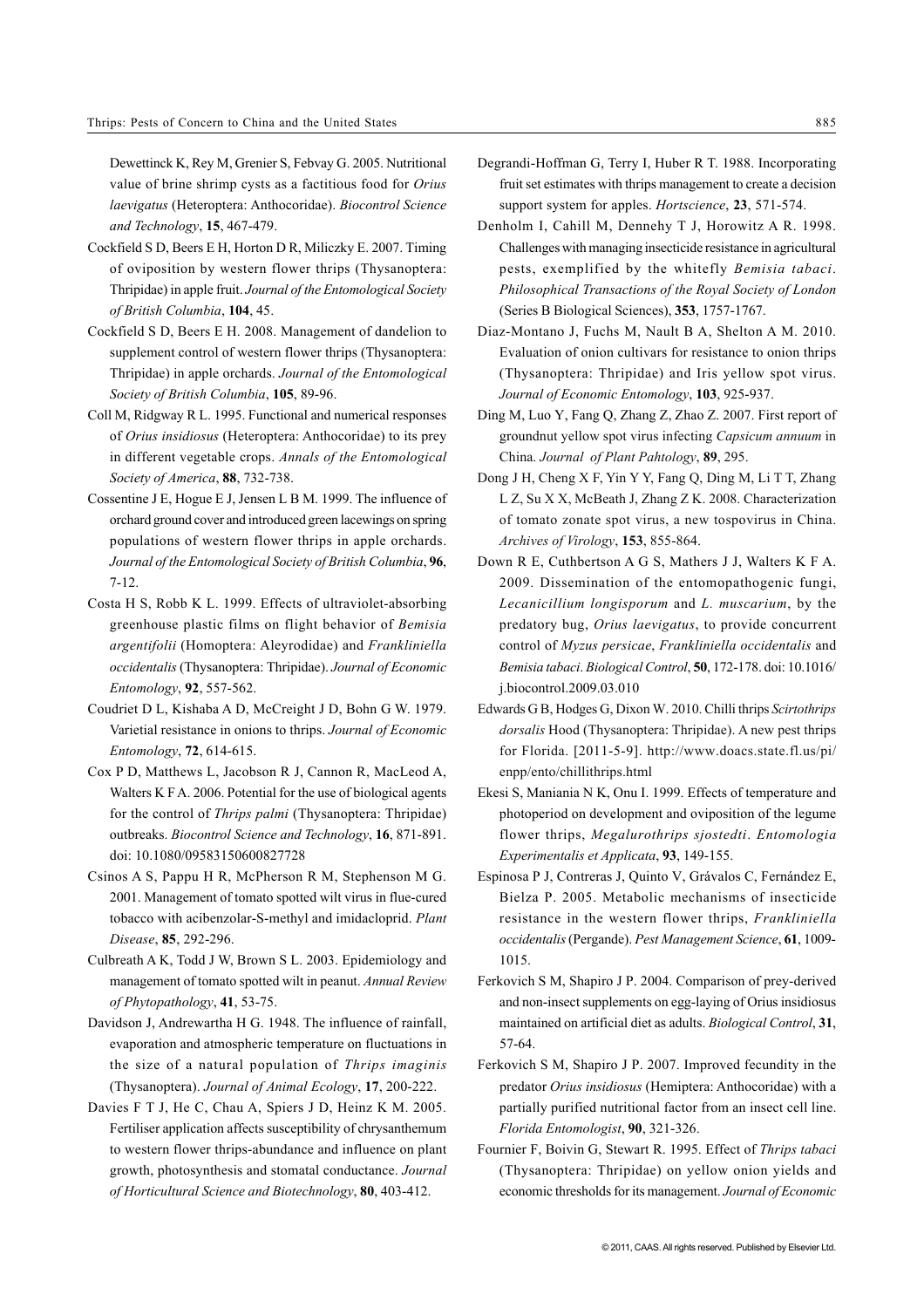Dewettinck K, Rey M, Grenier S, Febvay G. 2005. Nutritional value of brine shrimp cysts as a factitious food for *Orius laevigatus* (Heteroptera: Anthocoridae). *Biocontrol Science and Technology*, **15**, 467-479.

- Cockfield S D, Beers E H, Horton D R, Miliczky E. 2007. Timing of oviposition by western flower thrips (Thysanoptera: Thripidae) in apple fruit. *Journal of the Entomological Society of British Columbia*, **104**, 45.
- Cockfield S D, Beers E H. 2008. Management of dandelion to supplement control of western flower thrips (Thysanoptera: Thripidae) in apple orchards. *Journal of the Entomological Society of British Columbia*, **105**, 89-96.
- Coll M, Ridgway R L. 1995. Functional and numerical responses of *Orius insidiosus* (Heteroptera: Anthocoridae) to its prey in different vegetable crops. *Annals of the Entomological Society of America*, **88**, 732-738.
- Cossentine J E, Hogue E J, Jensen L B M. 1999. The influence of orchard ground cover and introduced green lacewings on spring populations of western flower thrips in apple orchards. *Journal of the Entomological Society of British Columbia*, **96**, 7-12.
- Costa H S, Robb K L. 1999. Effects of ultraviolet-absorbing greenhouse plastic films on flight behavior of *Bemisia argentifolii* (Homoptera: Aleyrodidae) and *Frankliniella occidentalis* (Thysanoptera: Thripidae). *Journal of Economic Entomology*, **92**, 557-562.
- Coudriet D L, Kishaba A D, McCreight J D, Bohn G W. 1979. Varietial resistance in onions to thrips. *Journal of Economic Entomology*, **72**, 614-615.
- Cox P D, Matthews L, Jacobson R J, Cannon R, MacLeod A, Walters K F A. 2006. Potential for the use of biological agents for the control of *Thrips palmi* (Thysanoptera: Thripidae) outbreaks. *Biocontrol Science and Technology*, **16**, 871-891. doi: 10.1080/09583150600827728
- Csinos A S, Pappu H R, McPherson R M, Stephenson M G. 2001. Management of tomato spotted wilt virus in flue-cured tobacco with acibenzolar-S-methyl and imidacloprid. *Plant Disease*, **85**, 292-296.
- Culbreath A K, Todd J W, Brown S L. 2003. Epidemiology and management of tomato spotted wilt in peanut. *Annual Review of Phytopathology*, **41**, 53-75.
- Davidson J, Andrewartha H G. 1948. The influence of rainfall, evaporation and atmospheric temperature on fluctuations in the size of a natural population of *Thrips imaginis* (Thysanoptera). *Journal of Animal Ecology*, **17**, 200-222.
- Davies F T J, He C, Chau A, Spiers J D, Heinz K M. 2005. Fertiliser application affects susceptibility of chrysanthemum to western flower thrips-abundance and influence on plant growth, photosynthesis and stomatal conductance. *Journal of Horticultural Science and Biotechnology*, **80**, 403-412.
- Degrandi-Hoffman G, Terry I, Huber R T. 1988. Incorporating fruit set estimates with thrips management to create a decision support system for apples. *Hortscience*, **23**, 571-574.
- Denholm I, Cahill M, Dennehy T J, Horowitz A R. 1998. Challenges with managing insecticide resistance in agricultural pests, exemplified by the whitefly *Bemisia tabaci*. *Philosophical Transactions of the Royal Society of London* (Series B Biological Sciences), **353**, 1757-1767.
- Diaz-Montano J, Fuchs M, Nault B A, Shelton A M. 2010. Evaluation of onion cultivars for resistance to onion thrips (Thysanoptera: Thripidae) and Iris yellow spot virus. *Journal of Economic Entomology*, **103**, 925-937.
- Ding M, Luo Y, Fang Q, Zhang Z, Zhao Z. 2007. First report of groundnut yellow spot virus infecting *Capsicum annuum* in China. *Journal of Plant Pahtology*, **89**, 295.
- Dong J H, Cheng X F, Yin Y Y, Fang Q, Ding M, Li T T, Zhang L Z, Su X X, McBeath J, Zhang Z K. 2008. Characterization of tomato zonate spot virus, a new tospovirus in China. *Archives of Virology*, **153**, 855-864.
- Down R E, Cuthbertson A G S, Mathers J J, Walters K F A. 2009. Dissemination of the entomopathogenic fungi, *Lecanicillium longisporum* and *L. muscarium*, by the predatory bug, *Orius laevigatus*, to provide concurrent control of *Myzus persicae*, *Frankliniella occidentalis* and *Bemisia tabaci*. *Biological Control*, **50**, 172-178. doi: 10.1016/ j.biocontrol.2009.03.010
- Edwards G B, Hodges G, Dixon W. 2010. Chilli thrips *Scirtothrips dorsalis* Hood (Thysanoptera: Thripidae). A new pest thrips for Florida. [2011-5-9]. http://www.doacs.state.fl.us/pi/ enpp/ento/chillithrips.html
- Ekesi S, Maniania N K, Onu I. 1999. Effects of temperature and photoperiod on development and oviposition of the legume flower thrips, *Megalurothrips sjostedti*. *Entomologia Experimentalis et Applicata*, **93**, 149-155.
- Espinosa P J, Contreras J, Quinto V, Grávalos C, Fernández E, Bielza P. 2005. Metabolic mechanisms of insecticide resistance in the western flower thrips, *Frankliniella occidentalis* (Pergande). *Pest Management Science*, **61**, 1009- 1015.
- Ferkovich S M, Shapiro J P. 2004. Comparison of prey-derived and non-insect supplements on egg-laying of Orius insidiosus maintained on artificial diet as adults. *Biological Control*, **31**, 57-64.
- Ferkovich S M, Shapiro J P. 2007. Improved fecundity in the predator *Orius insidiosus* (Hemiptera: Anthocoridae) with a partially purified nutritional factor from an insect cell line. *Florida Entomologist*, **90**, 321-326.
- Fournier F, Boivin G, Stewart R. 1995. Effect of *Thrips tabaci* (Thysanoptera: Thripidae) on yellow onion yields and economic thresholds for its management. *Journal of Economic*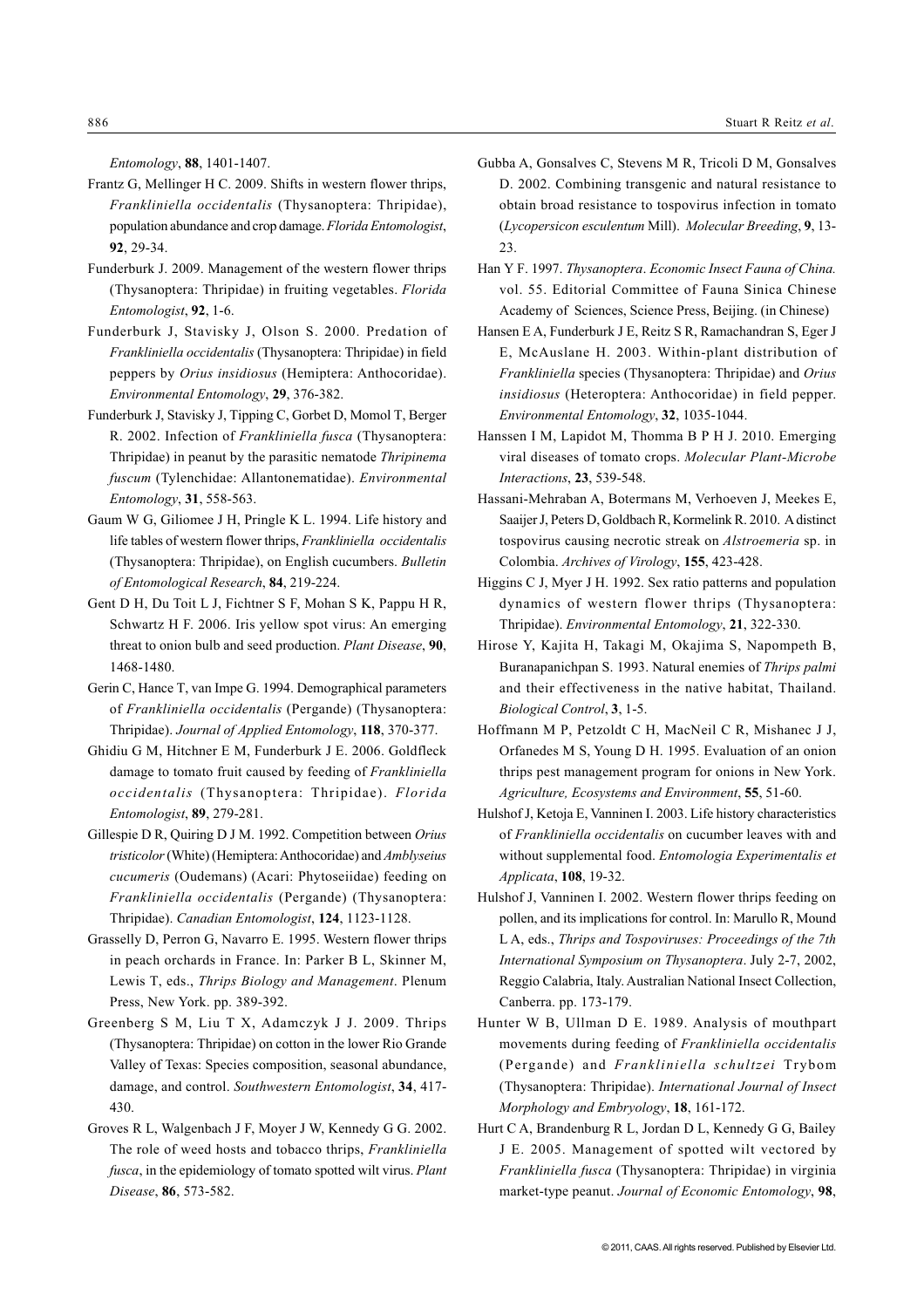*Entomology*, **88**, 1401-1407.

- Frantz G, Mellinger H C. 2009. Shifts in western flower thrips, *Frankliniella occidentalis* (Thysanoptera: Thripidae), population abundance and crop damage. *Florida Entomologist*, **92**, 29-34.
- Funderburk J. 2009. Management of the western flower thrips (Thysanoptera: Thripidae) in fruiting vegetables. *Florida Entomologist*, **92**, 1-6.
- Funderburk J, Stavisky J, Olson S. 2000. Predation of *Frankliniella occidentalis* (Thysanoptera: Thripidae) in field peppers by *Orius insidiosus* (Hemiptera: Anthocoridae). *Environmental Entomology*, **29**, 376-382.
- Funderburk J, Stavisky J, Tipping C, Gorbet D, Momol T, Berger R. 2002. Infection of *Frankliniella fusca* (Thysanoptera: Thripidae) in peanut by the parasitic nematode *Thripinema fuscum* (Tylenchidae: Allantonematidae). *Environmental Entomology*, **31**, 558-563.
- Gaum W G, Giliomee J H, Pringle K L. 1994. Life history and life tables of western flower thrips, *Frankliniella occidentalis* (Thysanoptera: Thripidae), on English cucumbers. *Bulletin of Entomological Research*, **84**, 219-224.
- Gent D H, Du Toit L J, Fichtner S F, Mohan S K, Pappu H R, Schwartz H F. 2006. Iris yellow spot virus: An emerging threat to onion bulb and seed production. *Plant Disease*, **90**, 1468-1480.
- Gerin C, Hance T, van Impe G. 1994. Demographical parameters of *Frankliniella occidentalis* (Pergande) (Thysanoptera: Thripidae). *Journal of Applied Entomology*, **118**, 370-377.
- Ghidiu G M, Hitchner E M, Funderburk J E. 2006. Goldfleck damage to tomato fruit caused by feeding of *Frankliniella occidentalis* (Thysanoptera: Thripidae). *Florida Entomologist*, **89**, 279-281.
- Gillespie D R, Quiring D J M. 1992. Competition between *Orius tristicolor* (White) (Hemiptera: Anthocoridae) and *Amblyseius cucumeris* (Oudemans) (Acari: Phytoseiidae) feeding on *Frankliniella occidentalis* (Pergande) (Thysanoptera: Thripidae). *Canadian Entomologist*, **124**, 1123-1128.
- Grasselly D, Perron G, Navarro E. 1995. Western flower thrips in peach orchards in France. In: Parker B L, Skinner M, Lewis T, eds., *Thrips Biology and Management*. Plenum Press, New York. pp. 389-392.
- Greenberg S M, Liu T X, Adamczyk J J. 2009. Thrips (Thysanoptera: Thripidae) on cotton in the lower Rio Grande Valley of Texas: Species composition, seasonal abundance, damage, and control. *Southwestern Entomologist*, **34**, 417- 430.
- Groves R L, Walgenbach J F, Moyer J W, Kennedy G G. 2002. The role of weed hosts and tobacco thrips, *Frankliniella fusca*, in the epidemiology of tomato spotted wilt virus. *Plant Disease*, **86**, 573-582.
- Gubba A, Gonsalves C, Stevens M R, Tricoli D M, Gonsalves D. 2002. Combining transgenic and natural resistance to obtain broad resistance to tospovirus infection in tomato (*Lycopersicon esculentum* Mill). *Molecular Breeding*, **9**, 13- 23.
- Han Y F. 1997. *Thysanoptera*. *Economic Insect Fauna of China.* vol. 55. Editorial Committee of Fauna Sinica Chinese Academy of Sciences, Science Press, Beijing. (in Chinese)
- Hansen E A, Funderburk J E, Reitz S R, Ramachandran S, Eger J E, McAuslane H. 2003. Within-plant distribution of *Frankliniella* species (Thysanoptera: Thripidae) and *Orius insidiosus* (Heteroptera: Anthocoridae) in field pepper. *Environmental Entomology*, **32**, 1035-1044.
- Hanssen I M, Lapidot M, Thomma B P H J. 2010. Emerging viral diseases of tomato crops. *Molecular Plant-Microbe Interactions*, **23**, 539-548.
- Hassani-Mehraban A, Botermans M, Verhoeven J, Meekes E, Saaijer J, Peters D, Goldbach R, Kormelink R. 2010. A distinct tospovirus causing necrotic streak on *Alstroemeria* sp. in Colombia. *Archives of Virology*, **155**, 423-428.
- Higgins C J, Myer J H. 1992. Sex ratio patterns and population dynamics of western flower thrips (Thysanoptera: Thripidae). *Environmental Entomology*, **21**, 322-330.
- Hirose Y, Kajita H, Takagi M, Okajima S, Napompeth B, Buranapanichpan S. 1993. Natural enemies of *Thrips palmi* and their effectiveness in the native habitat, Thailand. *Biological Control*, **3**, 1-5.
- Hoffmann M P, Petzoldt C H, MacNeil C R, Mishanec J J, Orfanedes M S, Young D H. 1995. Evaluation of an onion thrips pest management program for onions in New York. *Agriculture, Ecosystems and Environment*, **55**, 51-60.
- Hulshof J, Ketoja E, Vanninen I. 2003. Life history characteristics of *Frankliniella occidentalis* on cucumber leaves with and without supplemental food. *Entomologia Experimentalis et Applicata*, **108**, 19-32.
- Hulshof J, Vanninen I. 2002. Western flower thrips feeding on pollen, and its implications for control. In: Marullo R, Mound L A, eds., *Thrips and Tospoviruses: Proceedings of the 7th International Symposium on Thysanoptera*. July 2-7, 2002, Reggio Calabria, Italy. Australian National Insect Collection, Canberra. pp. 173-179.
- Hunter W B, Ullman D E. 1989. Analysis of mouthpart movements during feeding of *Frankliniella occidentalis* (Pergande) and *Frankliniella schultzei* Trybom (Thysanoptera: Thripidae). *International Journal of Insect Morphology and Embryology*, **18**, 161-172.
- Hurt C A, Brandenburg R L, Jordan D L, Kennedy G G, Bailey J E. 2005. Management of spotted wilt vectored by *Frankliniella fusca* (Thysanoptera: Thripidae) in virginia market-type peanut. *Journal of Economic Entomology*, **98**,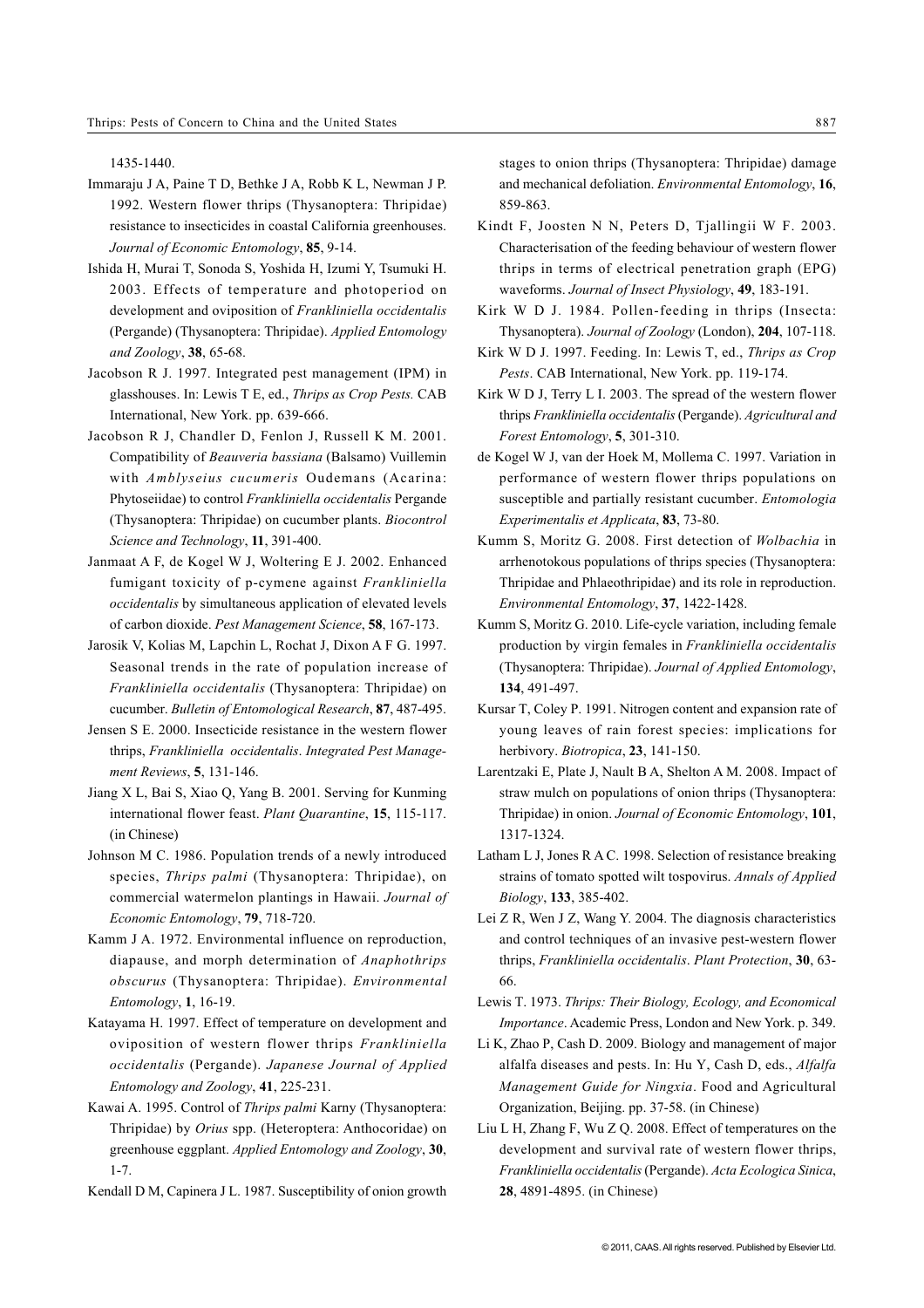1435-1440.

- Immaraju J A, Paine T D, Bethke J A, Robb K L, Newman J P. 1992. Western flower thrips (Thysanoptera: Thripidae) resistance to insecticides in coastal California greenhouses. *Journal of Economic Entomology*, **85**, 9-14.
- Ishida H, Murai T, Sonoda S, Yoshida H, Izumi Y, Tsumuki H. 2003. Effects of temperature and photoperiod on development and oviposition of *Frankliniella occidentalis* (Pergande) (Thysanoptera: Thripidae). *Applied Entomology and Zoology*, **38**, 65-68.
- Jacobson R J. 1997. Integrated pest management (IPM) in glasshouses. In: Lewis T E, ed., *Thrips as Crop Pests.* CAB International, New York. pp. 639-666.
- Jacobson R J, Chandler D, Fenlon J, Russell K M. 2001. Compatibility of *Beauveria bassiana* (Balsamo) Vuillemin with *Amblyseius cucumeris* Oudemans (Acarina: Phytoseiidae) to control *Frankliniella occidentalis* Pergande (Thysanoptera: Thripidae) on cucumber plants. *Biocontrol Science and Technology*, **11**, 391-400.
- Janmaat A F, de Kogel W J, Woltering E J. 2002. Enhanced fumigant toxicity of p-cymene against *Frankliniella occidentalis* by simultaneous application of elevated levels of carbon dioxide. *Pest Management Science*, **58**, 167-173.
- Jarosik V, Kolias M, Lapchin L, Rochat J, Dixon A F G. 1997. Seasonal trends in the rate of population increase of *Frankliniella occidentalis* (Thysanoptera: Thripidae) on cucumber. *Bulletin of Entomological Research*, **87**, 487-495.
- Jensen S E. 2000. Insecticide resistance in the western flower thrips, *Frankliniella occidentalis*. *Integrated Pest Management Reviews*, **5**, 131-146.
- Jiang X L, Bai S, Xiao Q, Yang B. 2001. Serving for Kunming international flower feast. *Plant Quarantine*, **15**, 115-117. (in Chinese)
- Johnson M C. 1986. Population trends of a newly introduced species, *Thrips palmi* (Thysanoptera: Thripidae), on commercial watermelon plantings in Hawaii. *Journal of Economic Entomology*, **79**, 718-720.
- Kamm J A. 1972. Environmental influence on reproduction, diapause, and morph determination of *Anaphothrips obscurus* (Thysanoptera: Thripidae). *Environmental Entomology*, **1**, 16-19.
- Katayama H. 1997. Effect of temperature on development and oviposition of western flower thrips *Frankliniella occidentalis* (Pergande). *Japanese Journal of Applied Entomology and Zoology*, **41**, 225-231.
- Kawai A. 1995. Control of *Thrips palmi* Karny (Thysanoptera: Thripidae) by *Orius* spp. (Heteroptera: Anthocoridae) on greenhouse eggplant. *Applied Entomology and Zoology*, **30**, 1-7.

Kendall D M, Capinera J L. 1987. Susceptibility of onion growth

stages to onion thrips (Thysanoptera: Thripidae) damage and mechanical defoliation. *Environmental Entomology*, **16**, 859-863.

- Kindt F, Joosten N N, Peters D, Tjallingii W F. 2003. Characterisation of the feeding behaviour of western flower thrips in terms of electrical penetration graph (EPG) waveforms. *Journal of Insect Physiology*, **49**, 183-191.
- Kirk W D J. 1984. Pollen-feeding in thrips (Insecta: Thysanoptera). *Journal of Zoology* (London), **204**, 107-118.
- Kirk W D J. 1997. Feeding. In: Lewis T, ed., *Thrips as Crop Pests*. CAB International, New York. pp. 119-174.
- Kirk W D J, Terry L I. 2003. The spread of the western flower thrips *Frankliniella occidentalis* (Pergande). *Agricultural and Forest Entomology*, **5**, 301-310.
- de Kogel W J, van der Hoek M, Mollema C. 1997. Variation in performance of western flower thrips populations on susceptible and partially resistant cucumber. *Entomologia Experimentalis et Applicata*, **83**, 73-80.
- Kumm S, Moritz G. 2008. First detection of *Wolbachia* in arrhenotokous populations of thrips species (Thysanoptera: Thripidae and Phlaeothripidae) and its role in reproduction. *Environmental Entomology*, **37**, 1422-1428.
- Kumm S, Moritz G. 2010. Life-cycle variation, including female production by virgin females in *Frankliniella occidentalis* (Thysanoptera: Thripidae). *Journal of Applied Entomology*, **134**, 491-497.
- Kursar T, Coley P. 1991. Nitrogen content and expansion rate of young leaves of rain forest species: implications for herbivory. *Biotropica*, **23**, 141-150.
- Larentzaki E, Plate J, Nault B A, Shelton A M. 2008. Impact of straw mulch on populations of onion thrips (Thysanoptera: Thripidae) in onion. *Journal of Economic Entomology*, **101**, 1317-1324.
- Latham L J, Jones R A C. 1998. Selection of resistance breaking strains of tomato spotted wilt tospovirus. *Annals of Applied Biology*, **133**, 385-402.
- Lei Z R, Wen J Z, Wang Y. 2004. The diagnosis characteristics and control techniques of an invasive pest-western flower thrips, *Frankliniella occidentalis*. *Plant Protection*, **30**, 63- 66.
- Lewis T. 1973. *Thrips: Their Biology, Ecology, and Economical Importance*. Academic Press, London and New York. p. 349.
- Li K, Zhao P, Cash D. 2009. Biology and management of major alfalfa diseases and pests. In: Hu Y, Cash D, eds., *Alfalfa Management Guide for Ningxia*. Food and Agricultural Organization, Beijing. pp. 37-58. (in Chinese)
- Liu L H, Zhang F, Wu Z Q. 2008. Effect of temperatures on the development and survival rate of western flower thrips, *Frankliniella occidentalis* (Pergande). *Acta Ecologica Sinica*, **28**, 4891-4895. (in Chinese)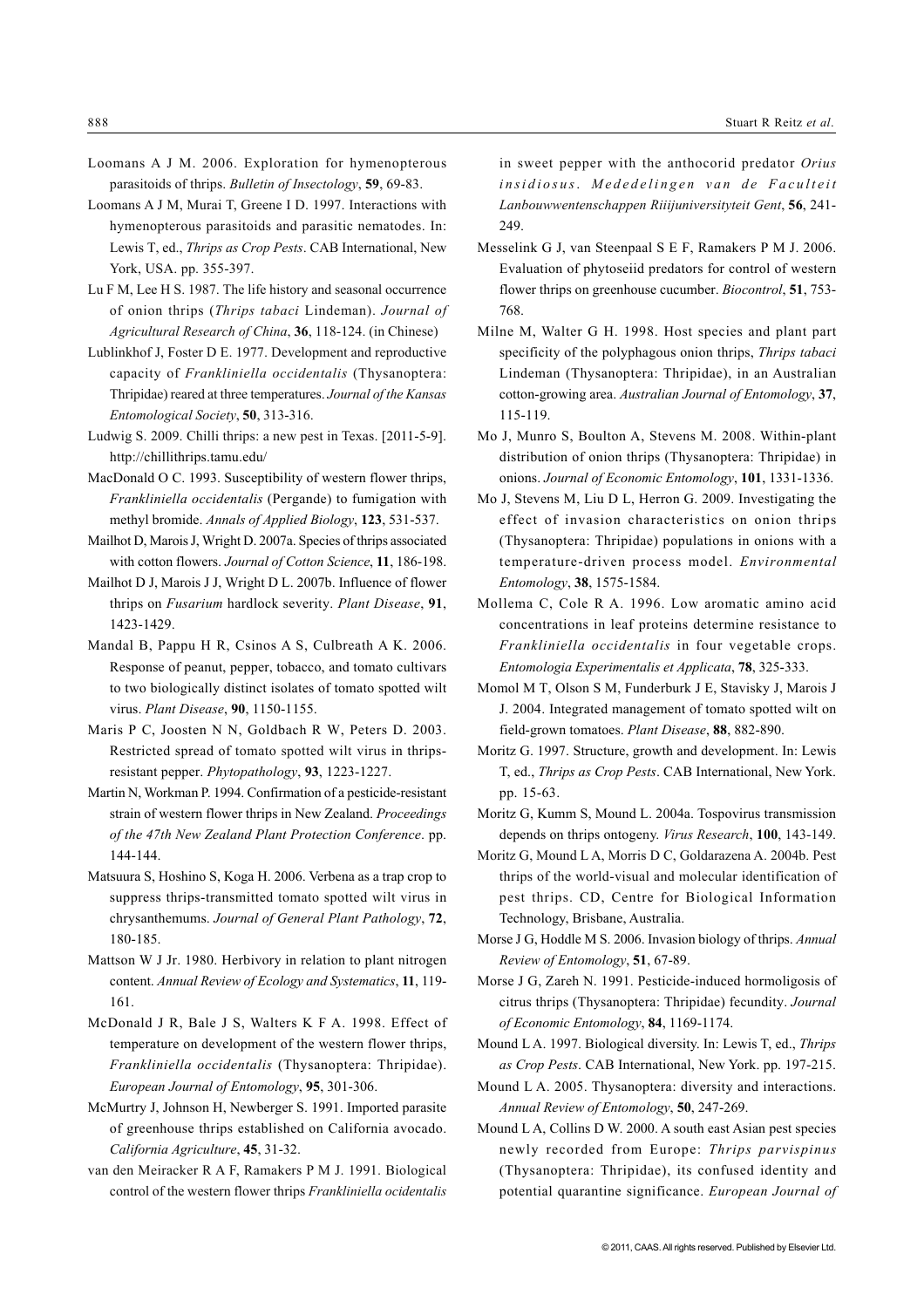- Loomans A J M. 2006. Exploration for hymenopterous parasitoids of thrips. *Bulletin of Insectology*, **59**, 69-83.
- Loomans A J M, Murai T, Greene I D. 1997. Interactions with hymenopterous parasitoids and parasitic nematodes. In: Lewis T, ed., *Thrips as Crop Pests*. CAB International, New York, USA. pp. 355-397.
- Lu F M, Lee H S. 1987. The life history and seasonal occurrence of onion thrips (*Thrips tabaci* Lindeman). *Journal of Agricultural Research of China*, **36**, 118-124. (in Chinese)
- Lublinkhof J, Foster D E. 1977. Development and reproductive capacity of *Frankliniella occidentalis* (Thysanoptera: Thripidae) reared at three temperatures. *Journal of the Kansas Entomological Society*, **50**, 313-316.
- Ludwig S. 2009. Chilli thrips: a new pest in Texas. [2011-5-9]. http://chillithrips.tamu.edu/
- MacDonald O C. 1993. Susceptibility of western flower thrips, *Frankliniella occidentalis* (Pergande) to fumigation with methyl bromide. *Annals of Applied Biology*, **123**, 531-537.
- Mailhot D, Marois J, Wright D. 2007a. Species of thrips associated with cotton flowers. *Journal of Cotton Science*, **11**, 186-198.
- Mailhot D J, Marois J J, Wright D L. 2007b. Influence of flower thrips on *Fusarium* hardlock severity. *Plant Disease*, **91**, 1423-1429.
- Mandal B, Pappu H R, Csinos A S, Culbreath A K. 2006. Response of peanut, pepper, tobacco, and tomato cultivars to two biologically distinct isolates of tomato spotted wilt virus. *Plant Disease*, **90**, 1150-1155.
- Maris P C, Joosten N N, Goldbach R W, Peters D. 2003. Restricted spread of tomato spotted wilt virus in thripsresistant pepper. *Phytopathology*, **93**, 1223-1227.
- Martin N, Workman P. 1994. Confirmation of a pesticide-resistant strain of western flower thrips in New Zealand. *Proceedings of the 47th New Zealand Plant Protection Conference*. pp. 144-144.
- Matsuura S, Hoshino S, Koga H. 2006. Verbena as a trap crop to suppress thrips-transmitted tomato spotted wilt virus in chrysanthemums. *Journal of General Plant Pathology*, **72**, 180-185.
- Mattson W J Jr. 1980. Herbivory in relation to plant nitrogen content. *Annual Review of Ecology and Systematics*, **11**, 119- 161.
- McDonald J R, Bale J S, Walters K F A. 1998. Effect of temperature on development of the western flower thrips, *Frankliniella occidentalis* (Thysanoptera: Thripidae). *European Journal of Entomology*, **95**, 301-306.
- McMurtry J, Johnson H, Newberger S. 1991. Imported parasite of greenhouse thrips established on California avocado. *California Agriculture*, **45**, 31-32.
- van den Meiracker R A F, Ramakers P M J. 1991. Biological control of the western flower thrips *Frankliniella ocidentalis*

in sweet pepper with the anthocorid predator *Orius insidiosus*. *Mededelingen van de Faculteit Lanbouwwentenschappen Riiijuniversityteit Gent*, **56**, 241- 249.

- Messelink G J, van Steenpaal S E F, Ramakers P M J. 2006. Evaluation of phytoseiid predators for control of western flower thrips on greenhouse cucumber. *Biocontrol*, **51**, 753- 768.
- Milne M, Walter G H. 1998. Host species and plant part specificity of the polyphagous onion thrips, *Thrips tabaci* Lindeman (Thysanoptera: Thripidae), in an Australian cotton-growing area. *Australian Journal of Entomology*, **37**, 115-119.
- Mo J, Munro S, Boulton A, Stevens M. 2008. Within-plant distribution of onion thrips (Thysanoptera: Thripidae) in onions. *Journal of Economic Entomology*, **101**, 1331-1336.
- Mo J, Stevens M, Liu D L, Herron G. 2009. Investigating the effect of invasion characteristics on onion thrips (Thysanoptera: Thripidae) populations in onions with a temperature-driven process model. *Environmental Entomology*, **38**, 1575-1584.
- Mollema C, Cole R A. 1996. Low aromatic amino acid concentrations in leaf proteins determine resistance to *Frankliniella occidentalis* in four vegetable crops. *Entomologia Experimentalis et Applicata*, **78**, 325-333.
- Momol M T, Olson S M, Funderburk J E, Stavisky J, Marois J J. 2004. Integrated management of tomato spotted wilt on field-grown tomatoes. *Plant Disease*, **88**, 882-890.
- Moritz G. 1997. Structure, growth and development. In: Lewis T, ed., *Thrips as Crop Pests*. CAB International, New York. pp. 15-63.
- Moritz G, Kumm S, Mound L. 2004a. Tospovirus transmission depends on thrips ontogeny. *Virus Research*, **100**, 143-149.
- Moritz G, Mound L A, Morris D C, Goldarazena A. 2004b. Pest thrips of the world-visual and molecular identification of pest thrips. CD, Centre for Biological Information Technology, Brisbane, Australia.
- Morse J G, Hoddle M S. 2006. Invasion biology of thrips. *Annual Review of Entomology*, **51**, 67-89.
- Morse J G, Zareh N. 1991. Pesticide-induced hormoligosis of citrus thrips (Thysanoptera: Thripidae) fecundity. *Journal of Economic Entomology*, **84**, 1169-1174.
- Mound L A. 1997. Biological diversity. In: Lewis T, ed., *Thrips as Crop Pests*. CAB International, New York. pp. 197-215.
- Mound L A. 2005. Thysanoptera: diversity and interactions. *Annual Review of Entomology*, **50**, 247-269.
- Mound L A, Collins D W. 2000. A south east Asian pest species newly recorded from Europe: *Thrips parvispinus* (Thysanoptera: Thripidae), its confused identity and potential quarantine significance. *European Journal of*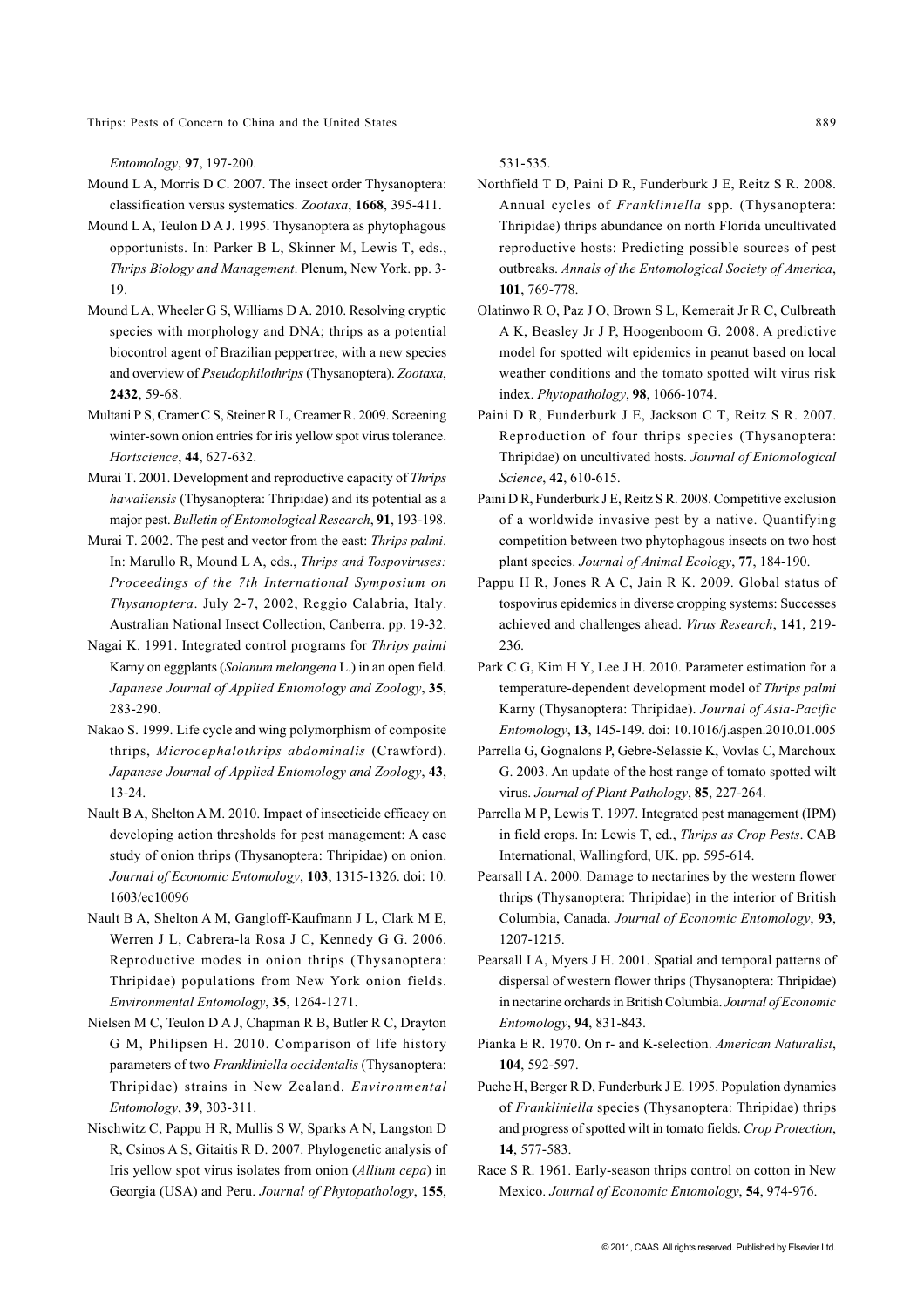*Entomology*, **97**, 197-200.

- Mound L A, Morris D C. 2007. The insect order Thysanoptera: classification versus systematics. *Zootaxa*, **1668**, 395-411.
- Mound L A, Teulon D A J. 1995. Thysanoptera as phytophagous opportunists. In: Parker B L, Skinner M, Lewis T, eds., *Thrips Biology and Management*. Plenum, New York. pp. 3- 19.
- Mound L A, Wheeler G S, Williams D A. 2010. Resolving cryptic species with morphology and DNA; thrips as a potential biocontrol agent of Brazilian peppertree, with a new species and overview of *Pseudophilothrips* (Thysanoptera). *Zootaxa*, **2432**, 59-68.
- Multani P S, Cramer C S, Steiner R L, Creamer R. 2009. Screening winter-sown onion entries for iris yellow spot virus tolerance. *Hortscience*, **44**, 627-632.
- Murai T. 2001. Development and reproductive capacity of *Thrips hawaiiensis* (Thysanoptera: Thripidae) and its potential as a major pest. *Bulletin of Entomological Research*, **91**, 193-198.
- Murai T. 2002. The pest and vector from the east: *Thrips palmi*. In: Marullo R, Mound L A, eds., *Thrips and Tospoviruses: Proceedings of the 7th International Symposium on Thysanoptera*. July 2-7, 2002, Reggio Calabria, Italy. Australian National Insect Collection, Canberra. pp. 19-32.
- Nagai K. 1991. Integrated control programs for *Thrips palmi* Karny on eggplants (*Solanum melongena* L.) in an open field. *Japanese Journal of Applied Entomology and Zoology*, **35**, 283-290.
- Nakao S. 1999. Life cycle and wing polymorphism of composite thrips, *Microcephalothrips abdominalis* (Crawford). *Japanese Journal of Applied Entomology and Zoology*, **43**, 13-24.
- Nault B A, Shelton A M. 2010. Impact of insecticide efficacy on developing action thresholds for pest management: A case study of onion thrips (Thysanoptera: Thripidae) on onion. *Journal of Economic Entomology*, **103**, 1315-1326. doi: 10. 1603/ec10096
- Nault B A, Shelton A M, Gangloff-Kaufmann J L, Clark M E, Werren J L, Cabrera-la Rosa J C, Kennedy G G. 2006. Reproductive modes in onion thrips (Thysanoptera: Thripidae) populations from New York onion fields. *Environmental Entomology*, **35**, 1264-1271.
- Nielsen M C, Teulon D A J, Chapman R B, Butler R C, Drayton G M, Philipsen H. 2010. Comparison of life history parameters of two *Frankliniella occidentalis* (Thysanoptera: Thripidae) strains in New Zealand. *Environmental Entomology*, **39**, 303-311.
- Nischwitz C, Pappu H R, Mullis S W, Sparks A N, Langston D R, Csinos A S, Gitaitis R D. 2007. Phylogenetic analysis of Iris yellow spot virus isolates from onion (*Allium cepa*) in Georgia (USA) and Peru. *Journal of Phytopathology*, **155**,

531-535.

- Northfield T D, Paini D R, Funderburk J E, Reitz S R. 2008. Annual cycles of *Frankliniella* spp. (Thysanoptera: Thripidae) thrips abundance on north Florida uncultivated reproductive hosts: Predicting possible sources of pest outbreaks. *Annals of the Entomological Society of America*, **101**, 769-778.
- Olatinwo R O, Paz J O, Brown S L, Kemerait Jr R C, Culbreath A K, Beasley Jr J P, Hoogenboom G. 2008. A predictive model for spotted wilt epidemics in peanut based on local weather conditions and the tomato spotted wilt virus risk index. *Phytopathology*, **98**, 1066-1074.
- Paini D R, Funderburk J E, Jackson C T, Reitz S R. 2007. Reproduction of four thrips species (Thysanoptera: Thripidae) on uncultivated hosts. *Journal of Entomological Science*, **42**, 610-615.
- Paini D R, Funderburk J E, Reitz S R. 2008. Competitive exclusion of a worldwide invasive pest by a native. Quantifying competition between two phytophagous insects on two host plant species. *Journal of Animal Ecology*, **77**, 184-190.
- Pappu H R, Jones R A C, Jain R K. 2009. Global status of tospovirus epidemics in diverse cropping systems: Successes achieved and challenges ahead. *Virus Research*, **141**, 219- 236.
- Park C G, Kim H Y, Lee J H. 2010. Parameter estimation for a temperature-dependent development model of *Thrips palmi* Karny (Thysanoptera: Thripidae). *Journal of Asia-Pacific Entomology*, **13**, 145-149. doi: 10.1016/j.aspen.2010.01.005
- Parrella G, Gognalons P, Gebre-Selassie K, Vovlas C, Marchoux G. 2003. An update of the host range of tomato spotted wilt virus. *Journal of Plant Pathology*, **85**, 227-264.
- Parrella M P, Lewis T. 1997. Integrated pest management (IPM) in field crops. In: Lewis T, ed., *Thrips as Crop Pests*. CAB International, Wallingford, UK. pp. 595-614.
- Pearsall I A. 2000. Damage to nectarines by the western flower thrips (Thysanoptera: Thripidae) in the interior of British Columbia, Canada. *Journal of Economic Entomology*, **93**, 1207-1215.
- Pearsall I A, Myers J H. 2001. Spatial and temporal patterns of dispersal of western flower thrips (Thysanoptera: Thripidae) in nectarine orchards in British Columbia. *Journal of Economic Entomology*, **94**, 831-843.
- Pianka E R. 1970. On r- and K-selection. *American Naturalist*, **104**, 592-597.
- Puche H, Berger R D, Funderburk J E. 1995. Population dynamics of *Frankliniella* species (Thysanoptera: Thripidae) thrips and progress of spotted wilt in tomato fields. *Crop Protection*, **14**, 577-583.
- Race S R. 1961. Early-season thrips control on cotton in New Mexico. *Journal of Economic Entomology*, **54**, 974-976.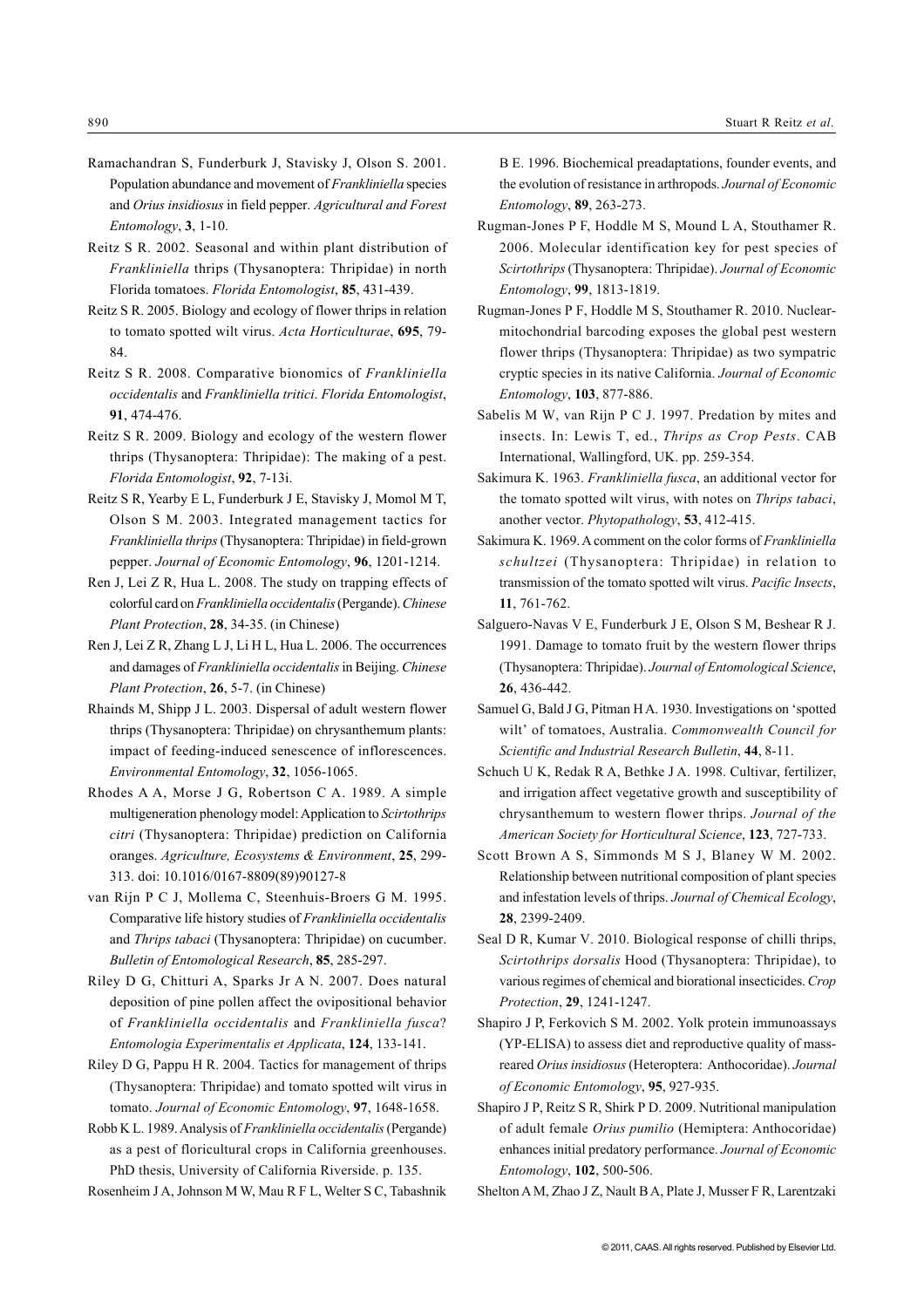- Ramachandran S, Funderburk J, Stavisky J, Olson S. 2001. Population abundance and movement of *Frankliniella* species and *Orius insidiosus* in field pepper. *Agricultural and Forest Entomology*, **3**, 1-10.
- Reitz S R. 2002. Seasonal and within plant distribution of *Frankliniella* thrips (Thysanoptera: Thripidae) in north Florida tomatoes. *Florida Entomologist*, **85**, 431-439.
- Reitz S R. 2005. Biology and ecology of flower thrips in relation to tomato spotted wilt virus. *Acta Horticulturae*, **695**, 79- 84.
- Reitz S R. 2008. Comparative bionomics of *Frankliniella occidentalis* and *Frankliniella tritici*. *Florida Entomologist*, **91**, 474-476.
- Reitz S R. 2009. Biology and ecology of the western flower thrips (Thysanoptera: Thripidae): The making of a pest. *Florida Entomologist*, **92**, 7-13i.
- Reitz S R, Yearby E L, Funderburk J E, Stavisky J, Momol M T, Olson S M. 2003. Integrated management tactics for *Frankliniella thrips* (Thysanoptera: Thripidae) in field-grown pepper. *Journal of Economic Entomology*, **96**, 1201-1214.
- Ren J, Lei Z R, Hua L. 2008. The study on trapping effects of colorful card on *Frankliniella occidentalis* (Pergande). *Chinese Plant Protection*, **28**, 34-35. (in Chinese)
- Ren J, Lei Z R, Zhang L J, Li H L, Hua L. 2006. The occurrences and damages of *Frankliniella occidentalis* in Beijing. *Chinese Plant Protection*, **26**, 5-7. (in Chinese)
- Rhainds M, Shipp J L. 2003. Dispersal of adult western flower thrips (Thysanoptera: Thripidae) on chrysanthemum plants: impact of feeding-induced senescence of inflorescences. *Environmental Entomology*, **32**, 1056-1065.
- Rhodes A A, Morse J G, Robertson C A. 1989. A simple multigeneration phenology model: Application to *Scirtothrips citri* (Thysanoptera: Thripidae) prediction on California oranges. *Agriculture, Ecosystems & Environment*, **25**, 299- 313. doi: 10.1016/0167-8809(89)90127-8
- van Rijn P C J, Mollema C, Steenhuis-Broers G M. 1995. Comparative life history studies of *Frankliniella occidentalis* and *Thrips tabaci* (Thysanoptera: Thripidae) on cucumber. *Bulletin of Entomological Research*, **85**, 285-297.
- Riley D G, Chitturi A, Sparks Jr A N. 2007. Does natural deposition of pine pollen affect the ovipositional behavior of *Frankliniella occidentalis* and *Frankliniella fusca*? *Entomologia Experimentalis et Applicata*, **124**, 133-141.
- Riley D G, Pappu H R. 2004. Tactics for management of thrips (Thysanoptera: Thripidae) and tomato spotted wilt virus in tomato. *Journal of Economic Entomology*, **97**, 1648-1658.
- Robb K L. 1989. Analysis of *Frankliniella occidentalis* (Pergande) as a pest of floricultural crops in California greenhouses. PhD thesis, University of California Riverside. p. 135.

Rosenheim J A, Johnson M W, Mau R F L, Welter S C, Tabashnik

B E. 1996. Biochemical preadaptations, founder events, and the evolution of resistance in arthropods. *Journal of Economic Entomology*, **89**, 263-273.

- Rugman-Jones P F, Hoddle M S, Mound L A, Stouthamer R. 2006. Molecular identification key for pest species of *Scirtothrips* (Thysanoptera: Thripidae). *Journal of Economic Entomology*, **99**, 1813-1819.
- Rugman-Jones P F, Hoddle M S, Stouthamer R. 2010. Nuclearmitochondrial barcoding exposes the global pest western flower thrips (Thysanoptera: Thripidae) as two sympatric cryptic species in its native California. *Journal of Economic Entomology*, **103**, 877-886.
- Sabelis M W, van Rijn P C J. 1997. Predation by mites and insects. In: Lewis T, ed., *Thrips as Crop Pests*. CAB International, Wallingford, UK. pp. 259-354.
- Sakimura K. 1963. *Frankliniella fusca*, an additional vector for the tomato spotted wilt virus, with notes on *Thrips tabaci*, another vector. *Phytopathology*, **53**, 412-415.
- Sakimura K. 1969. A comment on the color forms of *Frankliniella schultzei* (Thysanoptera: Thripidae) in relation to transmission of the tomato spotted wilt virus. *Pacific Insects*, **11**, 761-762.
- Salguero-Navas V E, Funderburk J E, Olson S M, Beshear R J. 1991. Damage to tomato fruit by the western flower thrips (Thysanoptera: Thripidae). *Journal of Entomological Science*, **26**, 436-442.
- Samuel G, Bald J G, Pitman H A. 1930. Investigations on 'spotted wilt' of tomatoes, Australia. *Commonwealth Council for Scientific and Industrial Research Bulletin*, **44**, 8-11.
- Schuch U K, Redak R A, Bethke J A. 1998. Cultivar, fertilizer, and irrigation affect vegetative growth and susceptibility of chrysanthemum to western flower thrips. *Journal of the American Society for Horticultural Science*, **123**, 727-733.
- Scott Brown A S, Simmonds M S J, Blaney W M. 2002. Relationship between nutritional composition of plant species and infestation levels of thrips. *Journal of Chemical Ecology*, **28**, 2399-2409.
- Seal D R, Kumar V. 2010. Biological response of chilli thrips, *Scirtothrips dorsalis* Hood (Thysanoptera: Thripidae), to various regimes of chemical and biorational insecticides. *Crop Protection*, **29**, 1241-1247.
- Shapiro J P, Ferkovich S M. 2002. Yolk protein immunoassays (YP-ELISA) to assess diet and reproductive quality of massreared *Orius insidiosus* (Heteroptera: Anthocoridae). *Journal of Economic Entomology*, **95**, 927-935.
- Shapiro J P, Reitz S R, Shirk P D. 2009. Nutritional manipulation of adult female *Orius pumilio* (Hemiptera: Anthocoridae) enhances initial predatory performance. *Journal of Economic Entomology*, **102**, 500-506.

Shelton A M, Zhao J Z, Nault B A, Plate J, Musser F R, Larentzaki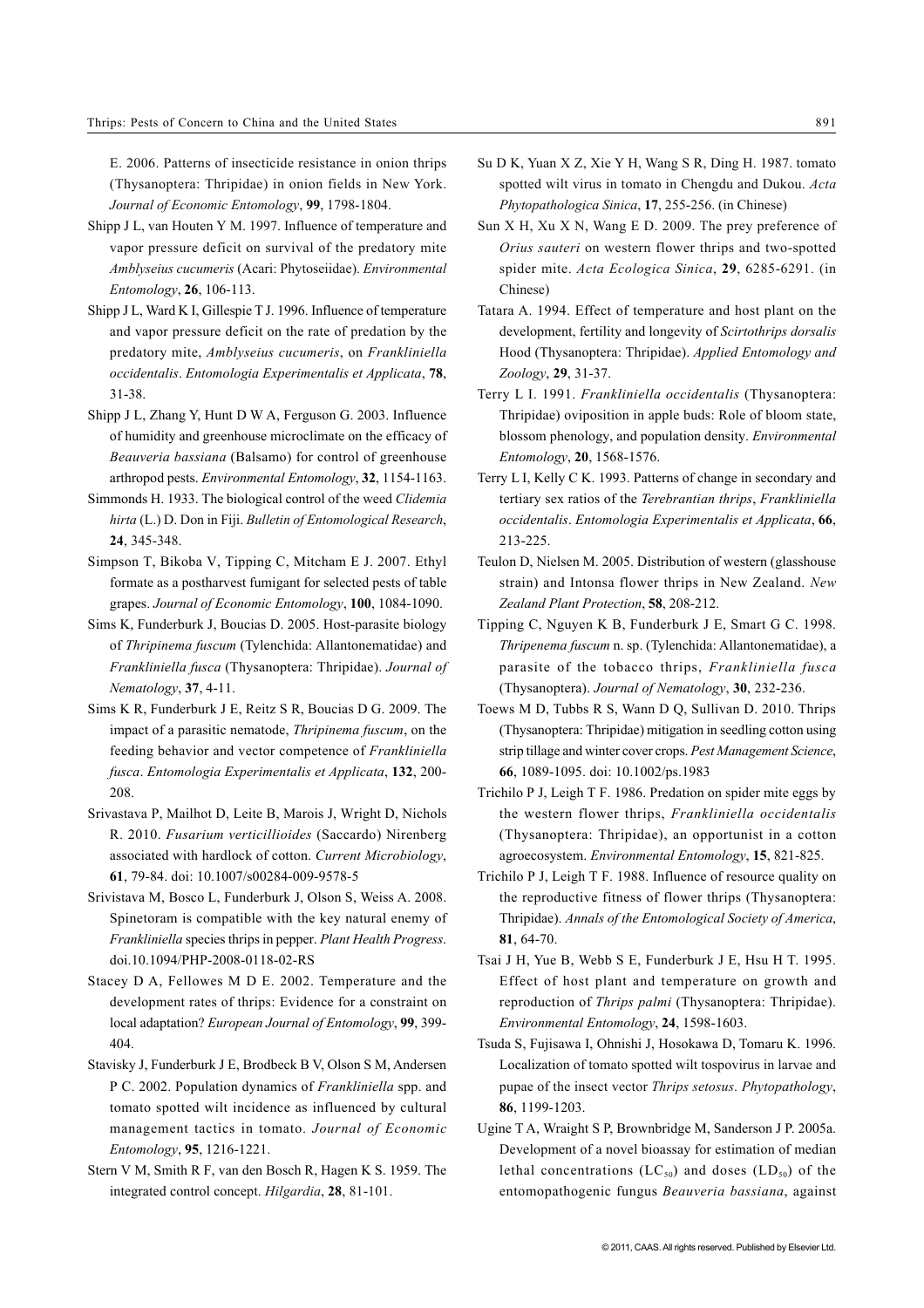E. 2006. Patterns of insecticide resistance in onion thrips (Thysanoptera: Thripidae) in onion fields in New York. *Journal of Economic Entomology*, **99**, 1798-1804.

- Shipp J L, van Houten Y M. 1997. Influence of temperature and vapor pressure deficit on survival of the predatory mite *Amblyseius cucumeris* (Acari: Phytoseiidae). *Environmental Entomology*, **26**, 106-113.
- Shipp J L, Ward K I, Gillespie T J. 1996. Influence of temperature and vapor pressure deficit on the rate of predation by the predatory mite, *Amblyseius cucumeris*, on *Frankliniella occidentalis*. *Entomologia Experimentalis et Applicata*, **78**, 31-38.
- Shipp J L, Zhang Y, Hunt D W A, Ferguson G. 2003. Influence of humidity and greenhouse microclimate on the efficacy of *Beauveria bassiana* (Balsamo) for control of greenhouse arthropod pests. *Environmental Entomology*, **32**, 1154-1163.
- Simmonds H. 1933. The biological control of the weed *Clidemia hirta* (L.) D. Don in Fiji. *Bulletin of Entomological Research*, **24**, 345-348.
- Simpson T, Bikoba V, Tipping C, Mitcham E J. 2007. Ethyl formate as a postharvest fumigant for selected pests of table grapes. *Journal of Economic Entomology*, **100**, 1084-1090.
- Sims K, Funderburk J, Boucias D. 2005. Host-parasite biology of *Thripinema fuscum* (Tylenchida: Allantonematidae) and *Frankliniella fusca* (Thysanoptera: Thripidae). *Journal of Nematology*, **37**, 4-11.
- Sims K R, Funderburk J E, Reitz S R, Boucias D G. 2009. The impact of a parasitic nematode, *Thripinema fuscum*, on the feeding behavior and vector competence of *Frankliniella fusca*. *Entomologia Experimentalis et Applicata*, **132**, 200- 208.
- Srivastava P, Mailhot D, Leite B, Marois J, Wright D, Nichols R. 2010. *Fusarium verticillioides* (Saccardo) Nirenberg associated with hardlock of cotton. *Current Microbiology*, **61**, 79-84. doi: 10.1007/s00284-009-9578-5
- Srivistava M, Bosco L, Funderburk J, Olson S, Weiss A. 2008. Spinetoram is compatible with the key natural enemy of *Frankliniella* species thrips in pepper. *Plant Health Progress*. doi.10.1094/PHP-2008-0118-02-RS
- Stacey D A, Fellowes M D E. 2002. Temperature and the development rates of thrips: Evidence for a constraint on local adaptation? *European Journal of Entomology*, **99**, 399- 404.
- Stavisky J, Funderburk J E, Brodbeck B V, Olson S M, Andersen P C. 2002. Population dynamics of *Frankliniella* spp. and tomato spotted wilt incidence as influenced by cultural management tactics in tomato. *Journal of Economic Entomology*, **95**, 1216-1221.
- Stern V M, Smith R F, van den Bosch R, Hagen K S. 1959. The integrated control concept. *Hilgardia*, **28**, 81-101.
- Su D K, Yuan X Z, Xie Y H, Wang S R, Ding H. 1987. tomato spotted wilt virus in tomato in Chengdu and Dukou. *Acta*
- *Phytopathologica Sinica*, **17**, 255-256. (in Chinese) Sun X H, Xu X N, Wang E D. 2009. The prey preference of *Orius sauteri* on western flower thrips and two-spotted spider mite. *Acta Ecologica Sinica*, **29**, 6285-6291. (in Chinese)
- Tatara A. 1994. Effect of temperature and host plant on the development, fertility and longevity of *Scirtothrips dorsalis* Hood (Thysanoptera: Thripidae). *Applied Entomology and Zoology*, **29**, 31-37.
- Terry L I. 1991. *Frankliniella occidentalis* (Thysanoptera: Thripidae) oviposition in apple buds: Role of bloom state, blossom phenology, and population density. *Environmental Entomology*, **20**, 1568-1576.
- Terry L I, Kelly C K. 1993. Patterns of change in secondary and tertiary sex ratios of the *Terebrantian thrips*, *Frankliniella occidentalis*. *Entomologia Experimentalis et Applicata*, **66**, 213-225.
- Teulon D, Nielsen M. 2005. Distribution of western (glasshouse strain) and Intonsa flower thrips in New Zealand. *New Zealand Plant Protection*, **58**, 208-212.
- Tipping C, Nguyen K B, Funderburk J E, Smart G C. 1998. *Thripenema fuscum* n. sp. (Tylenchida: Allantonematidae), a parasite of the tobacco thrips, *Frankliniella fusca* (Thysanoptera). *Journal of Nematology*, **30**, 232-236.
- Toews M D, Tubbs R S, Wann D Q, Sullivan D. 2010. Thrips (Thysanoptera: Thripidae) mitigation in seedling cotton using strip tillage and winter cover crops. *Pest Management Science*, **66**, 1089-1095. doi: 10.1002/ps.1983
- Trichilo P J, Leigh T F. 1986. Predation on spider mite eggs by the western flower thrips, *Frankliniella occidentalis* (Thysanoptera: Thripidae), an opportunist in a cotton agroecosystem. *Environmental Entomology*, **15**, 821-825.
- Trichilo P J, Leigh T F. 1988. Influence of resource quality on the reproductive fitness of flower thrips (Thysanoptera: Thripidae). *Annals of the Entomological Society of America*, **81**, 64-70.
- Tsai J H, Yue B, Webb S E, Funderburk J E, Hsu H T. 1995. Effect of host plant and temperature on growth and reproduction of *Thrips palmi* (Thysanoptera: Thripidae). *Environmental Entomology*, **24**, 1598-1603.
- Tsuda S, Fujisawa I, Ohnishi J, Hosokawa D, Tomaru K. 1996. Localization of tomato spotted wilt tospovirus in larvae and pupae of the insect vector *Thrips setosus*. *Phytopathology*, **86**, 1199-1203.
- Ugine T A, Wraight S P, Brownbridge M, Sanderson J P. 2005a. Development of a novel bioassay for estimation of median lethal concentrations  $(LC_{50})$  and doses  $(LD_{50})$  of the entomopathogenic fungus *Beauveria bassiana*, against